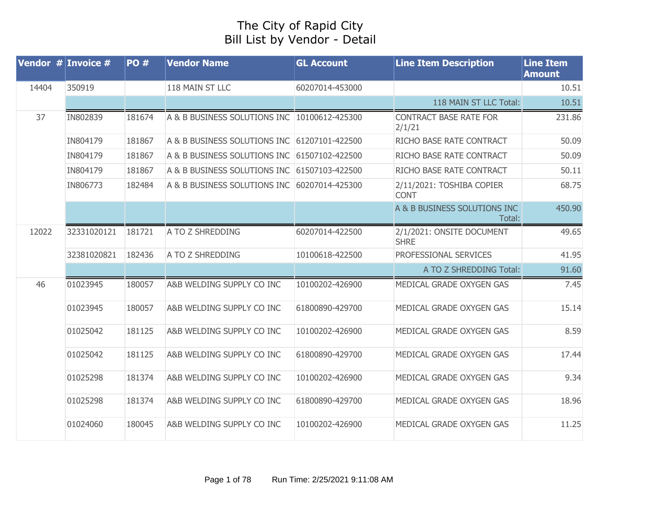## The City of Rapid City Bill List by Vendor - Detail

| Vendor $#$ Invoice $#$ |             | <b>PO#</b> | <b>Vendor Name</b>                           | <b>GL Account</b> | <b>Line Item Description</b>             | <b>Line Item</b><br><b>Amount</b> |
|------------------------|-------------|------------|----------------------------------------------|-------------------|------------------------------------------|-----------------------------------|
| 14404                  | 350919      |            | 118 MAIN ST LLC                              | 60207014-453000   |                                          | 10.51                             |
|                        |             |            |                                              |                   | 118 MAIN ST LLC Total:                   | 10.51                             |
| 37                     | IN802839    | 181674     | A & B BUSINESS SOLUTIONS INC 10100612-425300 |                   | <b>CONTRACT BASE RATE FOR</b><br>2/1/21  | 231.86                            |
|                        | IN804179    | 181867     | A & B BUSINESS SOLUTIONS INC                 | 61207101-422500   | RICHO BASE RATE CONTRACT                 | 50.09                             |
|                        | IN804179    | 181867     | A & B BUSINESS SOLUTIONS INC                 | 61507102-422500   | RICHO BASE RATE CONTRACT                 | 50.09                             |
|                        | IN804179    | 181867     | A & B BUSINESS SOLUTIONS INC                 | 61507103-422500   | RICHO BASE RATE CONTRACT                 | 50.11                             |
|                        | IN806773    | 182484     | A & B BUSINESS SOLUTIONS INC                 | 60207014-425300   | 2/11/2021: TOSHIBA COPIER<br><b>CONT</b> | 68.75                             |
|                        |             |            |                                              |                   | A & B BUSINESS SOLUTIONS INC<br>Total:   | 450.90                            |
| 12022                  | 32331020121 | 181721     | A TO Z SHREDDING                             | 60207014-422500   | 2/1/2021: ONSITE DOCUMENT<br><b>SHRE</b> | 49.65                             |
|                        | 32381020821 | 182436     | A TO Z SHREDDING                             | 10100618-422500   | PROFESSIONAL SERVICES                    | 41.95                             |
|                        |             |            |                                              |                   | A TO Z SHREDDING Total:                  | 91.60                             |
| 46                     | 01023945    | 180057     | A&B WELDING SUPPLY CO INC                    | 10100202-426900   | MEDICAL GRADE OXYGEN GAS                 | 7.45                              |
|                        | 01023945    | 180057     | A&B WELDING SUPPLY CO INC                    | 61800890-429700   | MEDICAL GRADE OXYGEN GAS                 | 15.14                             |
|                        | 01025042    | 181125     | A&B WELDING SUPPLY CO INC                    | 10100202-426900   | MEDICAL GRADE OXYGEN GAS                 | 8.59                              |
|                        | 01025042    | 181125     | A&B WELDING SUPPLY CO INC                    | 61800890-429700   | MEDICAL GRADE OXYGEN GAS                 | 17.44                             |
|                        | 01025298    | 181374     | A&B WELDING SUPPLY CO INC                    | 10100202-426900   | MEDICAL GRADE OXYGEN GAS                 | 9.34                              |
|                        | 01025298    | 181374     | A&B WELDING SUPPLY CO INC                    | 61800890-429700   | MEDICAL GRADE OXYGEN GAS                 | 18.96                             |
|                        | 01024060    | 180045     | A&B WELDING SUPPLY CO INC                    | 10100202-426900   | MEDICAL GRADE OXYGEN GAS                 | 11.25                             |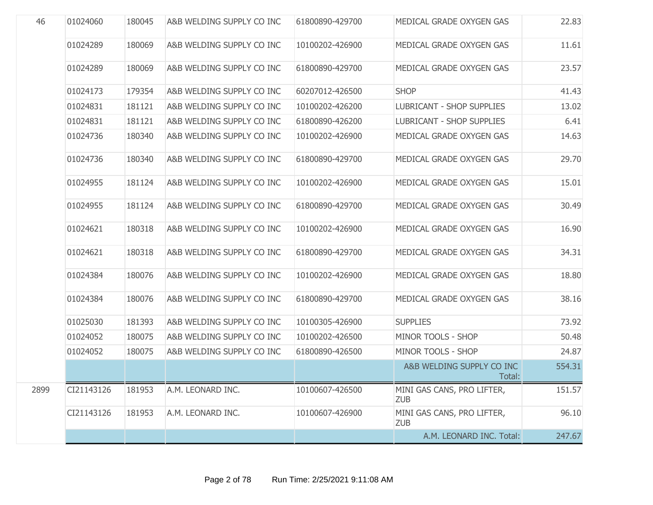| 46   | 01024060   | 180045 | A&B WELDING SUPPLY CO INC | 61800890-429700 | MEDICAL GRADE OXYGEN GAS                 | 22.83  |
|------|------------|--------|---------------------------|-----------------|------------------------------------------|--------|
|      | 01024289   | 180069 | A&B WELDING SUPPLY CO INC | 10100202-426900 | MEDICAL GRADE OXYGEN GAS                 | 11.61  |
|      | 01024289   | 180069 | A&B WELDING SUPPLY CO INC | 61800890-429700 | MEDICAL GRADE OXYGEN GAS                 | 23.57  |
|      | 01024173   | 179354 | A&B WELDING SUPPLY CO INC | 60207012-426500 | <b>SHOP</b>                              | 41.43  |
|      | 01024831   | 181121 | A&B WELDING SUPPLY CO INC | 10100202-426200 | <b>LUBRICANT - SHOP SUPPLIES</b>         | 13.02  |
|      | 01024831   | 181121 | A&B WELDING SUPPLY CO INC | 61800890-426200 | LUBRICANT - SHOP SUPPLIES                | 6.41   |
|      | 01024736   | 180340 | A&B WELDING SUPPLY CO INC | 10100202-426900 | MEDICAL GRADE OXYGEN GAS                 | 14.63  |
|      | 01024736   | 180340 | A&B WELDING SUPPLY CO INC | 61800890-429700 | MEDICAL GRADE OXYGEN GAS                 | 29.70  |
|      | 01024955   | 181124 | A&B WELDING SUPPLY CO INC | 10100202-426900 | MEDICAL GRADE OXYGEN GAS                 | 15.01  |
|      | 01024955   | 181124 | A&B WELDING SUPPLY CO INC | 61800890-429700 | MEDICAL GRADE OXYGEN GAS                 | 30.49  |
|      | 01024621   | 180318 | A&B WELDING SUPPLY CO INC | 10100202-426900 | MEDICAL GRADE OXYGEN GAS                 | 16.90  |
|      | 01024621   | 180318 | A&B WELDING SUPPLY CO INC | 61800890-429700 | MEDICAL GRADE OXYGEN GAS                 | 34.31  |
|      | 01024384   | 180076 | A&B WELDING SUPPLY CO INC | 10100202-426900 | MEDICAL GRADE OXYGEN GAS                 | 18.80  |
|      | 01024384   | 180076 | A&B WELDING SUPPLY CO INC | 61800890-429700 | MEDICAL GRADE OXYGEN GAS                 | 38.16  |
|      | 01025030   | 181393 | A&B WELDING SUPPLY CO INC | 10100305-426900 | <b>SUPPLIES</b>                          | 73.92  |
|      | 01024052   | 180075 | A&B WELDING SUPPLY CO INC | 10100202-426500 | MINOR TOOLS - SHOP                       | 50.48  |
|      | 01024052   | 180075 | A&B WELDING SUPPLY CO INC | 61800890-426500 | MINOR TOOLS - SHOP                       | 24.87  |
|      |            |        |                           |                 | A&B WELDING SUPPLY CO INC<br>Total:      | 554.31 |
| 2899 | CI21143126 | 181953 | A.M. LEONARD INC.         | 10100607-426500 | MINI GAS CANS, PRO LIFTER,<br><b>ZUB</b> | 151.57 |
|      | CI21143126 | 181953 | A.M. LEONARD INC.         | 10100607-426900 | MINI GAS CANS, PRO LIFTER,<br><b>ZUB</b> | 96.10  |
|      |            |        |                           |                 | A.M. LEONARD INC. Total:                 | 247.67 |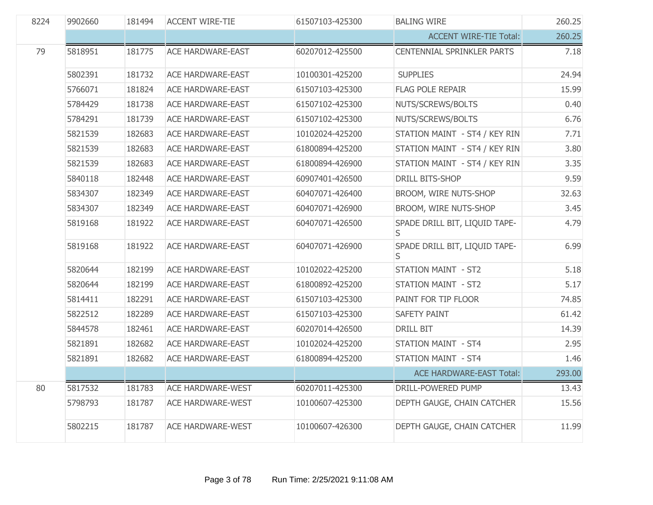| 8224 | 9902660 | 181494<br><b>ACCENT WIRE-TIE</b><br>61507103-425300<br><b>BALING WIRE</b> |                          | 260.25          |                                     |        |
|------|---------|---------------------------------------------------------------------------|--------------------------|-----------------|-------------------------------------|--------|
|      |         |                                                                           |                          |                 | <b>ACCENT WIRE-TIE Total:</b>       | 260.25 |
| 79   | 5818951 | 181775                                                                    | <b>ACE HARDWARE-EAST</b> | 60207012-425500 | CENTENNIAL SPRINKLER PARTS          | 7.18   |
|      | 5802391 | 181732                                                                    | <b>ACE HARDWARE-EAST</b> | 10100301-425200 | <b>SUPPLIES</b>                     | 24.94  |
|      | 5766071 | 181824                                                                    | <b>ACE HARDWARE-EAST</b> | 61507103-425300 | <b>FLAG POLE REPAIR</b>             | 15.99  |
|      | 5784429 | 181738                                                                    | <b>ACE HARDWARE-EAST</b> | 61507102-425300 | NUTS/SCREWS/BOLTS                   | 0.40   |
|      | 5784291 | 181739                                                                    | <b>ACE HARDWARE-EAST</b> | 61507102-425300 | NUTS/SCREWS/BOLTS                   | 6.76   |
|      | 5821539 | 182683                                                                    | <b>ACE HARDWARE-EAST</b> | 10102024-425200 | STATION MAINT - ST4 / KEY RIN       | 7.71   |
|      | 5821539 | 182683                                                                    | <b>ACE HARDWARE-EAST</b> | 61800894-425200 | STATION MAINT - ST4 / KEY RIN       | 3.80   |
|      | 5821539 | 182683                                                                    | <b>ACE HARDWARE-EAST</b> | 61800894-426900 | STATION MAINT - ST4 / KEY RIN       | 3.35   |
|      | 5840118 | 182448                                                                    | <b>ACE HARDWARE-EAST</b> | 60907401-426500 | DRILL BITS-SHOP                     | 9.59   |
|      | 5834307 | 182349                                                                    | <b>ACE HARDWARE-EAST</b> | 60407071-426400 | BROOM, WIRE NUTS-SHOP               | 32.63  |
|      | 5834307 | 182349                                                                    | <b>ACE HARDWARE-EAST</b> | 60407071-426900 | BROOM, WIRE NUTS-SHOP               | 3.45   |
|      | 5819168 | 181922                                                                    | <b>ACE HARDWARE-EAST</b> | 60407071-426500 | SPADE DRILL BIT, LIQUID TAPE-<br>S  | 4.79   |
|      | 5819168 | 181922                                                                    | <b>ACE HARDWARE-EAST</b> | 60407071-426900 | SPADE DRILL BIT, LIQUID TAPE-<br>S. | 6.99   |
|      | 5820644 | 182199                                                                    | <b>ACE HARDWARE-EAST</b> | 10102022-425200 | <b>STATION MAINT - ST2</b>          | 5.18   |
|      | 5820644 | 182199                                                                    | <b>ACE HARDWARE-EAST</b> | 61800892-425200 | <b>STATION MAINT - ST2</b>          | 5.17   |
|      | 5814411 | 182291                                                                    | <b>ACE HARDWARE-EAST</b> | 61507103-425300 | PAINT FOR TIP FLOOR                 | 74.85  |
|      | 5822512 | 182289                                                                    | <b>ACE HARDWARE-EAST</b> | 61507103-425300 | <b>SAFETY PAINT</b>                 | 61.42  |
|      | 5844578 | 182461                                                                    | <b>ACE HARDWARE-EAST</b> | 60207014-426500 | <b>DRILL BIT</b>                    | 14.39  |
|      | 5821891 | 182682                                                                    | <b>ACE HARDWARE-EAST</b> | 10102024-425200 | <b>STATION MAINT - ST4</b>          | 2.95   |
|      | 5821891 | 182682                                                                    | <b>ACE HARDWARE-EAST</b> | 61800894-425200 | STATION MAINT - ST4                 | 1.46   |
|      |         |                                                                           |                          |                 | <b>ACE HARDWARE-EAST Total:</b>     | 293.00 |
| 80   | 5817532 | 181783                                                                    | <b>ACE HARDWARE-WEST</b> | 60207011-425300 | DRILL-POWERED PUMP                  | 13.43  |
|      | 5798793 | 181787                                                                    | <b>ACE HARDWARE-WEST</b> | 10100607-425300 | DEPTH GAUGE, CHAIN CATCHER          | 15.56  |
|      | 5802215 | 181787                                                                    | <b>ACE HARDWARE-WEST</b> | 10100607-426300 | DEPTH GAUGE, CHAIN CATCHER          | 11.99  |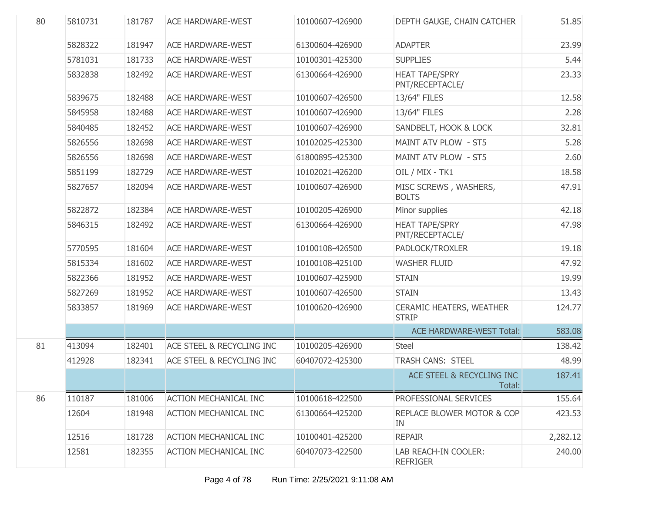| 80 | 5810731 | 181787 | <b>ACE HARDWARE-WEST</b>     | 10100607-426900 | DEPTH GAUGE, CHAIN CATCHER                      | 51.85    |
|----|---------|--------|------------------------------|-----------------|-------------------------------------------------|----------|
|    | 5828322 | 181947 | <b>ACE HARDWARE-WEST</b>     | 61300604-426900 | <b>ADAPTER</b>                                  | 23.99    |
|    | 5781031 | 181733 | <b>ACE HARDWARE-WEST</b>     | 10100301-425300 | <b>SUPPLIES</b>                                 | 5.44     |
|    | 5832838 | 182492 | <b>ACE HARDWARE-WEST</b>     | 61300664-426900 | <b>HEAT TAPE/SPRY</b><br>PNT/RECEPTACLE/        | 23.33    |
|    | 5839675 | 182488 | <b>ACE HARDWARE-WEST</b>     | 10100607-426500 | 13/64" FILES                                    | 12.58    |
|    | 5845958 | 182488 | <b>ACE HARDWARE-WEST</b>     | 10100607-426900 | 13/64" FILES                                    | 2.28     |
|    | 5840485 | 182452 | <b>ACE HARDWARE-WEST</b>     | 10100607-426900 | SANDBELT, HOOK & LOCK                           | 32.81    |
|    | 5826556 | 182698 | <b>ACE HARDWARE-WEST</b>     | 10102025-425300 | MAINT ATV PLOW - ST5                            | 5.28     |
|    | 5826556 | 182698 | <b>ACE HARDWARE-WEST</b>     | 61800895-425300 | MAINT ATV PLOW - ST5                            | 2.60     |
|    | 5851199 | 182729 | <b>ACE HARDWARE-WEST</b>     | 10102021-426200 | OIL / MIX - TK1                                 | 18.58    |
|    | 5827657 | 182094 | <b>ACE HARDWARE-WEST</b>     | 10100607-426900 | MISC SCREWS, WASHERS,<br><b>BOLTS</b>           | 47.91    |
|    | 5822872 | 182384 | <b>ACE HARDWARE-WEST</b>     | 10100205-426900 | Minor supplies                                  | 42.18    |
|    | 5846315 | 182492 | <b>ACE HARDWARE-WEST</b>     | 61300664-426900 | <b>HEAT TAPE/SPRY</b><br>PNT/RECEPTACLE/        | 47.98    |
|    | 5770595 | 181604 | <b>ACE HARDWARE-WEST</b>     | 10100108-426500 | PADLOCK/TROXLER                                 | 19.18    |
|    | 5815334 | 181602 | <b>ACE HARDWARE-WEST</b>     | 10100108-425100 | <b>WASHER FLUID</b>                             | 47.92    |
|    | 5822366 | 181952 | <b>ACE HARDWARE-WEST</b>     | 10100607-425900 | <b>STAIN</b>                                    | 19.99    |
|    | 5827269 | 181952 | <b>ACE HARDWARE-WEST</b>     | 10100607-426500 | <b>STAIN</b>                                    | 13.43    |
|    | 5833857 | 181969 | <b>ACE HARDWARE-WEST</b>     | 10100620-426900 | <b>CERAMIC HEATERS, WEATHER</b><br><b>STRIP</b> | 124.77   |
|    |         |        |                              |                 | <b>ACE HARDWARE-WEST Total:</b>                 | 583.08   |
| 81 | 413094  | 182401 | ACE STEEL & RECYCLING INC    | 10100205-426900 | <b>Steel</b>                                    | 138.42   |
|    | 412928  | 182341 | ACE STEEL & RECYCLING INC    | 60407072-425300 | <b>TRASH CANS: STEEL</b>                        | 48.99    |
|    |         |        |                              |                 | ACE STEEL & RECYCLING INC<br>Total:             | 187.41   |
| 86 | 110187  | 181006 | <b>ACTION MECHANICAL INC</b> | 10100618-422500 | PROFESSIONAL SERVICES                           | 155.64   |
|    | 12604   | 181948 | <b>ACTION MECHANICAL INC</b> | 61300664-425200 | <b>REPLACE BLOWER MOTOR &amp; COP</b><br>IN     | 423.53   |
|    | 12516   | 181728 | <b>ACTION MECHANICAL INC</b> | 10100401-425200 | <b>REPAIR</b>                                   | 2,282.12 |
|    | 12581   | 182355 | <b>ACTION MECHANICAL INC</b> | 60407073-422500 | LAB REACH-IN COOLER:<br><b>REFRIGER</b>         | 240.00   |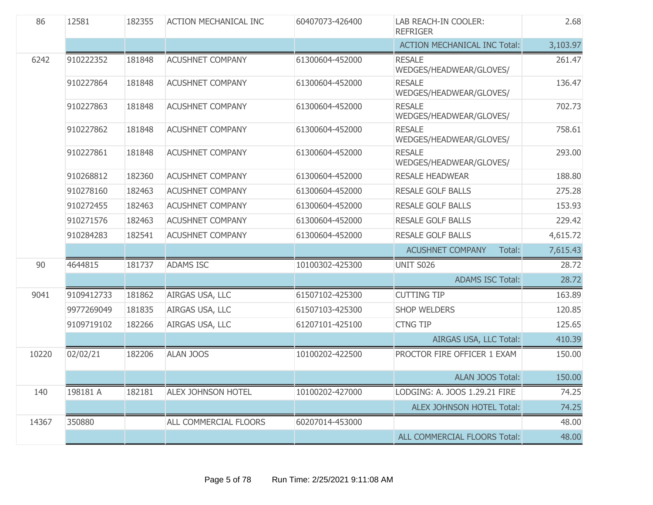| 86    | 12581      | 182355<br><b>ACTION MECHANICAL INC</b><br>60407073-426400<br>LAB REACH-IN COOLER:<br><b>REFRIGER</b> |                           | 2.68            |                                          |          |
|-------|------------|------------------------------------------------------------------------------------------------------|---------------------------|-----------------|------------------------------------------|----------|
|       |            |                                                                                                      |                           |                 | <b>ACTION MECHANICAL INC Total:</b>      | 3,103.97 |
| 6242  | 910222352  | 181848                                                                                               | <b>ACUSHNET COMPANY</b>   | 61300604-452000 | <b>RESALE</b><br>WEDGES/HEADWEAR/GLOVES/ | 261.47   |
|       | 910227864  | 181848                                                                                               | <b>ACUSHNET COMPANY</b>   | 61300604-452000 | <b>RESALE</b><br>WEDGES/HEADWEAR/GLOVES/ | 136.47   |
|       | 910227863  | 181848                                                                                               | <b>ACUSHNET COMPANY</b>   | 61300604-452000 | <b>RESALE</b><br>WEDGES/HEADWEAR/GLOVES/ | 702.73   |
|       | 910227862  | 181848                                                                                               | <b>ACUSHNET COMPANY</b>   | 61300604-452000 | <b>RESALE</b><br>WEDGES/HEADWEAR/GLOVES/ | 758.61   |
|       | 910227861  | 181848                                                                                               | <b>ACUSHNET COMPANY</b>   | 61300604-452000 | <b>RESALE</b><br>WEDGES/HEADWEAR/GLOVES/ | 293.00   |
|       | 910268812  | 182360                                                                                               | <b>ACUSHNET COMPANY</b>   | 61300604-452000 | <b>RESALE HEADWEAR</b>                   | 188.80   |
|       | 910278160  | 182463                                                                                               | <b>ACUSHNET COMPANY</b>   | 61300604-452000 | <b>RESALE GOLF BALLS</b>                 | 275.28   |
|       | 910272455  | 182463                                                                                               | <b>ACUSHNET COMPANY</b>   | 61300604-452000 | <b>RESALE GOLF BALLS</b>                 |          |
|       | 910271576  | 182463                                                                                               | <b>ACUSHNET COMPANY</b>   | 61300604-452000 | <b>RESALE GOLF BALLS</b>                 | 229.42   |
|       | 910284283  | 182541                                                                                               | <b>ACUSHNET COMPANY</b>   | 61300604-452000 | <b>RESALE GOLF BALLS</b>                 | 4,615.72 |
|       |            |                                                                                                      |                           |                 | <b>ACUSHNET COMPANY</b><br>Total:        | 7,615.43 |
| 90    | 4644815    | 181737                                                                                               | <b>ADAMS ISC</b>          | 10100302-425300 | <b>UNIT S026</b>                         | 28.72    |
|       |            |                                                                                                      |                           |                 | <b>ADAMS ISC Total:</b>                  | 28.72    |
| 9041  | 9109412733 | 181862                                                                                               | AIRGAS USA, LLC           | 61507102-425300 | <b>CUTTING TIP</b>                       | 163.89   |
|       | 9977269049 | 181835                                                                                               | AIRGAS USA, LLC           | 61507103-425300 | <b>SHOP WELDERS</b>                      | 120.85   |
|       | 9109719102 | 182266                                                                                               | AIRGAS USA, LLC           | 61207101-425100 | <b>CTNG TIP</b>                          | 125.65   |
|       |            |                                                                                                      |                           |                 | AIRGAS USA, LLC Total:                   | 410.39   |
| 10220 | 02/02/21   | 182206                                                                                               | ALAN JOOS                 | 10100202-422500 | PROCTOR FIRE OFFICER 1 EXAM              | 150.00   |
|       |            |                                                                                                      |                           |                 | <b>ALAN JOOS Total:</b>                  | 150.00   |
| 140   | 198181 A   | 182181                                                                                               | <b>ALEX JOHNSON HOTEL</b> | 10100202-427000 | LODGING: A. JOOS 1.29.21 FIRE            | 74.25    |
|       |            |                                                                                                      |                           |                 | ALEX JOHNSON HOTEL Total:                | 74.25    |
| 14367 | 350880     |                                                                                                      | ALL COMMERCIAL FLOORS     | 60207014-453000 |                                          | 48.00    |
|       |            |                                                                                                      |                           |                 | ALL COMMERCIAL FLOORS Total:             | 48.00    |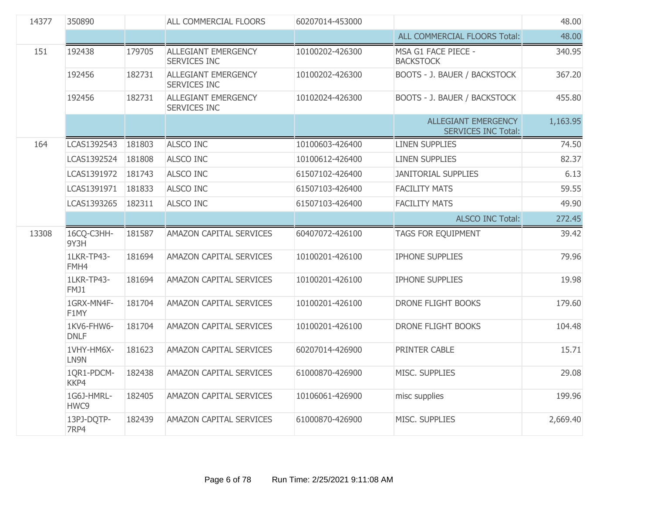| 14377 | 350890                    |        | ALL COMMERCIAL FLOORS                             | 60207014-453000 |                                                          | 48.00    |
|-------|---------------------------|--------|---------------------------------------------------|-----------------|----------------------------------------------------------|----------|
|       |                           |        |                                                   |                 | ALL COMMERCIAL FLOORS Total:                             | 48.00    |
| 151   | 192438                    | 179705 | <b>ALLEGIANT EMERGENCY</b><br>SERVICES INC        | 10100202-426300 | MSA G1 FACE PIECE -<br><b>BACKSTOCK</b>                  | 340.95   |
|       | 192456                    | 182731 | <b>ALLEGIANT EMERGENCY</b><br><b>SERVICES INC</b> | 10100202-426300 | <b>BOOTS - J. BAUER / BACKSTOCK</b>                      | 367.20   |
|       | 192456                    | 182731 | <b>ALLEGIANT EMERGENCY</b><br>SERVICES INC        | 10102024-426300 | BOOTS - J. BAUER / BACKSTOCK                             | 455.80   |
|       |                           |        |                                                   |                 | <b>ALLEGIANT EMERGENCY</b><br><b>SERVICES INC Total:</b> | 1,163.95 |
| 164   | LCAS1392543               | 181803 | <b>ALSCO INC</b>                                  | 10100603-426400 | <b>LINEN SUPPLIES</b>                                    | 74.50    |
|       | LCAS1392524               | 181808 | <b>ALSCO INC</b>                                  | 10100612-426400 | <b>LINEN SUPPLIES</b>                                    | 82.37    |
|       | LCAS1391972               | 181743 | <b>ALSCO INC</b>                                  | 61507102-426400 | <b>JANITORIAL SUPPLIES</b>                               | 6.13     |
|       | LCAS1391971               | 181833 | <b>ALSCO INC</b>                                  | 61507103-426400 | <b>FACILITY MATS</b>                                     | 59.55    |
|       | LCAS1393265               | 182311 | <b>ALSCO INC</b>                                  | 61507103-426400 | <b>FACILITY MATS</b>                                     | 49.90    |
|       |                           |        |                                                   |                 | <b>ALSCO INC Total:</b>                                  | 272.45   |
| 13308 | 16CQ-C3HH-<br>9Y3H        | 181587 | <b>AMAZON CAPITAL SERVICES</b>                    | 60407072-426100 | TAGS FOR EQUIPMENT                                       | 39.42    |
|       | 1LKR-TP43-<br>FMH4        | 181694 | <b>AMAZON CAPITAL SERVICES</b>                    | 10100201-426100 | <b>IPHONE SUPPLIES</b>                                   | 79.96    |
|       | 1LKR-TP43-<br>FMJ1        | 181694 | <b>AMAZON CAPITAL SERVICES</b>                    | 10100201-426100 | <b>IPHONE SUPPLIES</b>                                   | 19.98    |
|       | 1GRX-MN4F-<br>F1MY        | 181704 | <b>AMAZON CAPITAL SERVICES</b>                    | 10100201-426100 | DRONE FLIGHT BOOKS                                       | 179.60   |
|       | 1KV6-FHW6-<br><b>DNLF</b> | 181704 | <b>AMAZON CAPITAL SERVICES</b>                    | 10100201-426100 | DRONE FLIGHT BOOKS                                       | 104.48   |
|       | 1VHY-HM6X-<br>LN9N        | 181623 | <b>AMAZON CAPITAL SERVICES</b>                    | 60207014-426900 | PRINTER CABLE                                            | 15.71    |
|       | 1QR1-PDCM-<br>KKP4        | 182438 | <b>AMAZON CAPITAL SERVICES</b>                    | 61000870-426900 | MISC. SUPPLIES                                           | 29.08    |
|       | 1G6J-HMRL-<br>HWC9        | 182405 | <b>AMAZON CAPITAL SERVICES</b>                    | 10106061-426900 | misc supplies                                            | 199.96   |
|       | 13PJ-DQTP-<br>7RP4        | 182439 | <b>AMAZON CAPITAL SERVICES</b>                    | 61000870-426900 | MISC. SUPPLIES                                           | 2,669.40 |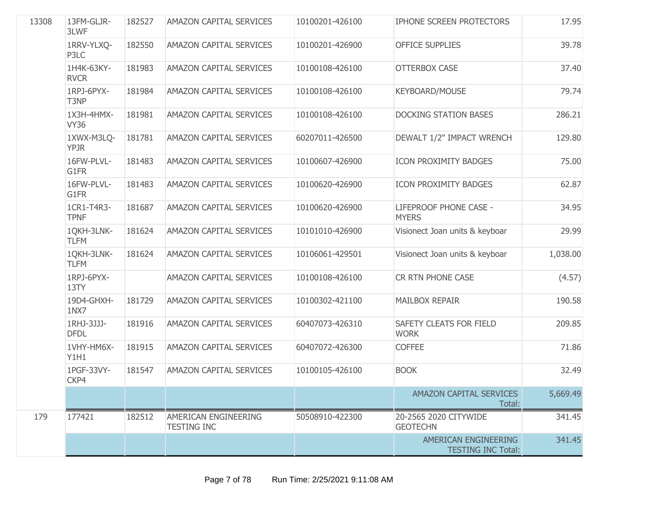| 13308 | 13FM-GLJR-<br>3LWF        | 182527 | <b>AMAZON CAPITAL SERVICES</b>             | 10100201-426100 | IPHONE SCREEN PROTECTORS                          | 17.95    |
|-------|---------------------------|--------|--------------------------------------------|-----------------|---------------------------------------------------|----------|
|       | 1RRV-YLXQ-<br>P3LC        | 182550 | <b>AMAZON CAPITAL SERVICES</b>             | 10100201-426900 | <b>OFFICE SUPPLIES</b>                            | 39.78    |
|       | 1H4K-63KY-<br><b>RVCR</b> | 181983 | <b>AMAZON CAPITAL SERVICES</b>             | 10100108-426100 | <b>OTTERBOX CASE</b>                              | 37.40    |
|       | 1RPJ-6PYX-<br>T3NP        | 181984 | <b>AMAZON CAPITAL SERVICES</b>             | 10100108-426100 | KEYBOARD/MOUSE                                    | 79.74    |
|       | 1X3H-4HMX-<br><b>VY36</b> | 181981 | <b>AMAZON CAPITAL SERVICES</b>             | 10100108-426100 | <b>DOCKING STATION BASES</b>                      | 286.21   |
|       | 1XWX-M3LQ-<br><b>YPJR</b> | 181781 | AMAZON CAPITAL SERVICES                    | 60207011-426500 | DEWALT 1/2" IMPACT WRENCH                         | 129.80   |
|       | 16FW-PLVL-<br>G1FR        | 181483 | <b>AMAZON CAPITAL SERVICES</b>             | 10100607-426900 | ICON PROXIMITY BADGES                             | 75.00    |
|       | 16FW-PLVL-<br>G1FR        | 181483 | <b>AMAZON CAPITAL SERVICES</b>             | 10100620-426900 | <b>ICON PROXIMITY BADGES</b>                      | 62.87    |
|       | 1CR1-T4R3-<br><b>TPNF</b> | 181687 | <b>AMAZON CAPITAL SERVICES</b>             | 10100620-426900 | LIFEPROOF PHONE CASE -<br><b>MYERS</b>            | 34.95    |
|       | 1QKH-3LNK-<br><b>TLFM</b> | 181624 | <b>AMAZON CAPITAL SERVICES</b>             | 10101010-426900 | Visionect Joan units & keyboar                    | 29.99    |
|       | 1QKH-3LNK-<br><b>TLFM</b> | 181624 | <b>AMAZON CAPITAL SERVICES</b>             | 10106061-429501 | Visionect Joan units & keyboar                    | 1,038.00 |
|       | 1RPJ-6PYX-<br>13TY        |        | <b>AMAZON CAPITAL SERVICES</b>             | 10100108-426100 | CR RTN PHONE CASE                                 | (4.57)   |
|       | 19D4-GHXH-<br>1NX7        | 181729 | <b>AMAZON CAPITAL SERVICES</b>             | 10100302-421100 | <b>MAILBOX REPAIR</b>                             | 190.58   |
|       | 1RHJ-3JJJ-<br><b>DFDL</b> | 181916 | <b>AMAZON CAPITAL SERVICES</b>             | 60407073-426310 | SAFETY CLEATS FOR FIELD<br><b>WORK</b>            | 209.85   |
|       | 1VHY-HM6X-<br><b>Y1H1</b> | 181915 | <b>AMAZON CAPITAL SERVICES</b>             | 60407072-426300 | <b>COFFEE</b>                                     | 71.86    |
|       | 1PGF-33VY-<br>CKP4        | 181547 | <b>AMAZON CAPITAL SERVICES</b>             | 10100105-426100 | <b>BOOK</b>                                       | 32.49    |
|       |                           |        |                                            |                 | <b>AMAZON CAPITAL SERVICES</b><br>Total:          | 5,669.49 |
| 179   | 177421                    | 182512 | AMERICAN ENGINEERING<br><b>TESTING INC</b> | 50508910-422300 | 20-2565 2020 CITYWIDE<br><b>GEOTECHN</b>          | 341.45   |
|       |                           |        |                                            |                 | AMERICAN ENGINEERING<br><b>TESTING INC Total:</b> | 341.45   |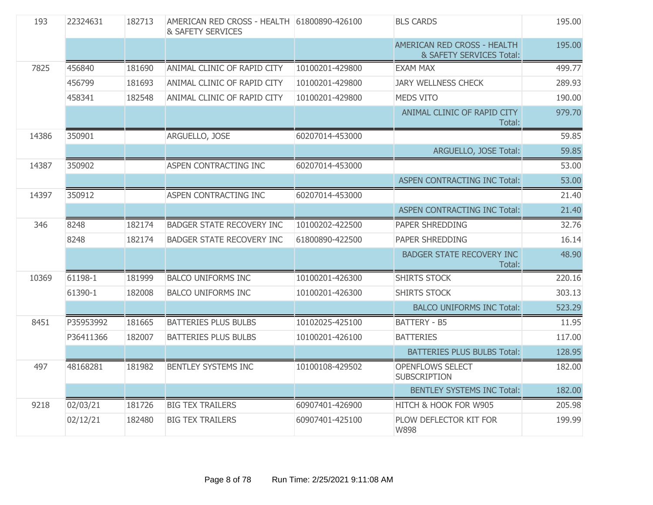| 193   | 22324631  | 182713 | AMERICAN RED CROSS - HEALTH 61800890-426100<br><b>&amp; SAFETY SERVICES</b> |                 | <b>BLS CARDS</b>                                        | 195.00 |
|-------|-----------|--------|-----------------------------------------------------------------------------|-----------------|---------------------------------------------------------|--------|
|       |           |        |                                                                             |                 | AMERICAN RED CROSS - HEALTH<br>& SAFETY SERVICES Total: | 195.00 |
| 7825  | 456840    | 181690 | ANIMAL CLINIC OF RAPID CITY                                                 | 10100201-429800 | <b>EXAM MAX</b>                                         | 499.77 |
|       | 456799    | 181693 | ANIMAL CLINIC OF RAPID CITY                                                 | 10100201-429800 | <b>JARY WELLNESS CHECK</b>                              | 289.93 |
|       | 458341    | 182548 | ANIMAL CLINIC OF RAPID CITY                                                 | 10100201-429800 | <b>MEDS VITO</b>                                        | 190.00 |
|       |           |        |                                                                             |                 | ANIMAL CLINIC OF RAPID CITY<br>Total:                   | 979.70 |
| 14386 | 350901    |        | ARGUELLO, JOSE                                                              | 60207014-453000 |                                                         | 59.85  |
|       |           |        |                                                                             |                 | ARGUELLO, JOSE Total:                                   | 59.85  |
| 14387 | 350902    |        | ASPEN CONTRACTING INC                                                       | 60207014-453000 |                                                         | 53.00  |
|       |           |        |                                                                             |                 | <b>ASPEN CONTRACTING INC Total:</b>                     | 53.00  |
| 14397 | 350912    |        | ASPEN CONTRACTING INC                                                       | 60207014-453000 |                                                         | 21.40  |
|       |           |        |                                                                             |                 | <b>ASPEN CONTRACTING INC Total:</b>                     | 21.40  |
| 346   | 8248      | 182174 | <b>BADGER STATE RECOVERY INC</b>                                            | 10100202-422500 | PAPER SHREDDING                                         | 32.76  |
|       | 8248      | 182174 | <b>BADGER STATE RECOVERY INC</b>                                            | 61800890-422500 | PAPER SHREDDING                                         | 16.14  |
|       |           |        |                                                                             |                 | <b>BADGER STATE RECOVERY INC</b><br>Total:              | 48.90  |
| 10369 | 61198-1   | 181999 | <b>BALCO UNIFORMS INC</b>                                                   | 10100201-426300 | <b>SHIRTS STOCK</b>                                     | 220.16 |
|       | 61390-1   | 182008 | <b>BALCO UNIFORMS INC</b>                                                   | 10100201-426300 | <b>SHIRTS STOCK</b>                                     | 303.13 |
|       |           |        |                                                                             |                 | <b>BALCO UNIFORMS INC Total:</b>                        | 523.29 |
| 8451  | P35953992 | 181665 | <b>BATTERIES PLUS BULBS</b>                                                 | 10102025-425100 | <b>BATTERY - B5</b>                                     | 11.95  |
|       | P36411366 | 182007 | <b>BATTERIES PLUS BULBS</b>                                                 | 10100201-426100 | <b>BATTERIES</b>                                        | 117.00 |
|       |           |        |                                                                             |                 | <b>BATTERIES PLUS BULBS Total:</b>                      | 128.95 |
| 497   | 48168281  | 181982 | <b>BENTLEY SYSTEMS INC</b>                                                  | 10100108-429502 | <b>OPENFLOWS SELECT</b><br><b>SUBSCRIPTION</b>          | 182.00 |
|       |           |        |                                                                             |                 | <b>BENTLEY SYSTEMS INC Total:</b>                       | 182.00 |
| 9218  | 02/03/21  | 181726 | <b>BIG TEX TRAILERS</b>                                                     | 60907401-426900 | HITCH & HOOK FOR W905                                   | 205.98 |
|       | 02/12/21  | 182480 | <b>BIG TEX TRAILERS</b>                                                     | 60907401-425100 | PLOW DEFLECTOR KIT FOR<br><b>W898</b>                   | 199.99 |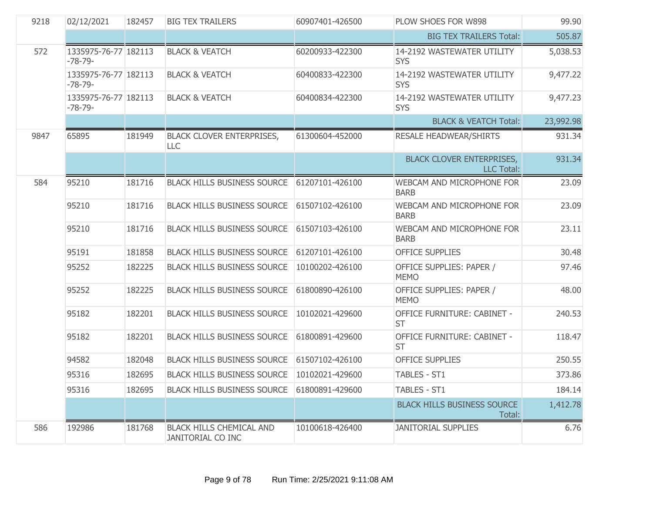| 9218 | 02/12/2021                        | 182457 | <b>BIG TEX TRAILERS</b>                                     | 60907401-426500 | PLOW SHOES FOR W898                                   | 99.90     |
|------|-----------------------------------|--------|-------------------------------------------------------------|-----------------|-------------------------------------------------------|-----------|
|      |                                   |        |                                                             |                 | <b>BIG TEX TRAILERS Total:</b>                        | 505.87    |
| 572  | 1335975-76-77 182113<br>$-78-79-$ |        | <b>BLACK &amp; VEATCH</b>                                   | 60200933-422300 | 14-2192 WASTEWATER UTILITY<br><b>SYS</b>              | 5,038.53  |
|      | 1335975-76-77 182113<br>$-78-79-$ |        | <b>BLACK &amp; VEATCH</b>                                   | 60400833-422300 | 14-2192 WASTEWATER UTILITY<br><b>SYS</b>              | 9,477.22  |
|      | 1335975-76-77 182113<br>$-78-79-$ |        | <b>BLACK &amp; VEATCH</b>                                   | 60400834-422300 | 14-2192 WASTEWATER UTILITY<br><b>SYS</b>              | 9,477.23  |
|      |                                   |        |                                                             |                 | <b>BLACK &amp; VEATCH Total:</b>                      | 23,992.98 |
| 9847 | 65895                             | 181949 | <b>BLACK CLOVER ENTERPRISES,</b><br><b>LLC</b>              | 61300604-452000 | <b>RESALE HEADWEAR/SHIRTS</b>                         | 931.34    |
|      |                                   |        |                                                             |                 | <b>BLACK CLOVER ENTERPRISES,</b><br><b>LLC Total:</b> | 931.34    |
| 584  | 95210                             | 181716 | <b>BLACK HILLS BUSINESS SOURCE</b>                          | 61207101-426100 | WEBCAM AND MICROPHONE FOR<br><b>BARB</b>              | 23.09     |
|      | 95210                             | 181716 | <b>BLACK HILLS BUSINESS SOURCE</b>                          | 61507102-426100 | WEBCAM AND MICROPHONE FOR<br><b>BARB</b>              | 23.09     |
|      | 95210                             | 181716 | <b>BLACK HILLS BUSINESS SOURCE</b>                          | 61507103-426100 | WEBCAM AND MICROPHONE FOR<br><b>BARB</b>              | 23.11     |
|      | 95191                             | 181858 | <b>BLACK HILLS BUSINESS SOURCE</b>                          | 61207101-426100 | <b>OFFICE SUPPLIES</b>                                | 30.48     |
|      | 95252                             | 182225 | <b>BLACK HILLS BUSINESS SOURCE</b>                          | 10100202-426100 | OFFICE SUPPLIES: PAPER /<br><b>MEMO</b>               | 97.46     |
|      | 95252                             | 182225 | <b>BLACK HILLS BUSINESS SOURCE</b>                          | 61800890-426100 | OFFICE SUPPLIES: PAPER /<br><b>MEMO</b>               | 48.00     |
|      | 95182                             | 182201 | <b>BLACK HILLS BUSINESS SOURCE</b>                          | 10102021-429600 | OFFICE FURNITURE: CABINET -<br><b>ST</b>              | 240.53    |
|      | 95182                             | 182201 | <b>BLACK HILLS BUSINESS SOURCE</b>                          | 61800891-429600 | OFFICE FURNITURE: CABINET -<br><b>ST</b>              | 118.47    |
|      | 94582                             | 182048 | <b>BLACK HILLS BUSINESS SOURCE</b>                          | 61507102-426100 | <b>OFFICE SUPPLIES</b>                                | 250.55    |
|      | 95316                             | 182695 | <b>BLACK HILLS BUSINESS SOURCE</b>                          | 10102021-429600 | TABLES - ST1                                          | 373.86    |
|      | 95316                             | 182695 | <b>BLACK HILLS BUSINESS SOURCE</b>                          | 61800891-429600 | TABLES - ST1                                          | 184.14    |
|      |                                   |        |                                                             |                 | <b>BLACK HILLS BUSINESS SOURCE</b><br>Total:          | 1,412.78  |
| 586  | 192986                            | 181768 | <b>BLACK HILLS CHEMICAL AND</b><br><b>JANITORIAL CO INC</b> | 10100618-426400 | <b>JANITORIAL SUPPLIES</b>                            | 6.76      |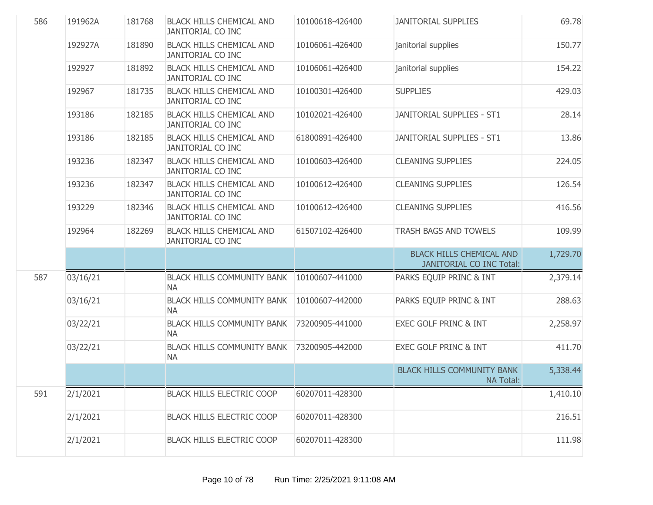| 586 | 191962A  | 181768 | <b>BLACK HILLS CHEMICAL AND</b><br>JANITORIAL CO INC        | 10100618-426400 | <b>JANITORIAL SUPPLIES</b>                                         | 69.78    |
|-----|----------|--------|-------------------------------------------------------------|-----------------|--------------------------------------------------------------------|----------|
|     | 192927A  | 181890 | <b>BLACK HILLS CHEMICAL AND</b><br>JANITORIAL CO INC        | 10106061-426400 | janitorial supplies                                                | 150.77   |
|     | 192927   | 181892 | <b>BLACK HILLS CHEMICAL AND</b><br>JANITORIAL CO INC        | 10106061-426400 | janitorial supplies                                                | 154.22   |
|     | 192967   | 181735 | <b>BLACK HILLS CHEMICAL AND</b><br>JANITORIAL CO INC        | 10100301-426400 | <b>SUPPLIES</b>                                                    | 429.03   |
|     | 193186   | 182185 | <b>BLACK HILLS CHEMICAL AND</b><br>JANITORIAL CO INC        | 10102021-426400 | <b>JANITORIAL SUPPLIES - ST1</b>                                   | 28.14    |
|     | 193186   | 182185 | <b>BLACK HILLS CHEMICAL AND</b><br><b>JANITORIAL CO INC</b> | 61800891-426400 | JANITORIAL SUPPLIES - ST1                                          | 13.86    |
|     | 193236   | 182347 | <b>BLACK HILLS CHEMICAL AND</b><br>JANITORIAL CO INC        | 10100603-426400 | <b>CLEANING SUPPLIES</b>                                           | 224.05   |
|     | 193236   | 182347 | <b>BLACK HILLS CHEMICAL AND</b><br>JANITORIAL CO INC        | 10100612-426400 | <b>CLEANING SUPPLIES</b>                                           | 126.54   |
|     | 193229   | 182346 | <b>BLACK HILLS CHEMICAL AND</b><br><b>JANITORIAL CO INC</b> | 10100612-426400 | <b>CLEANING SUPPLIES</b>                                           | 416.56   |
|     | 192964   | 182269 | <b>BLACK HILLS CHEMICAL AND</b><br>JANITORIAL CO INC        | 61507102-426400 | <b>TRASH BAGS AND TOWELS</b>                                       | 109.99   |
|     |          |        |                                                             |                 | <b>BLACK HILLS CHEMICAL AND</b><br><b>JANITORIAL CO INC Total:</b> | 1,729.70 |
| 587 | 03/16/21 |        | <b>BLACK HILLS COMMUNITY BANK</b><br><b>NA</b>              | 10100607-441000 | PARKS EQUIP PRINC & INT                                            | 2,379.14 |
|     | 03/16/21 |        | <b>BLACK HILLS COMMUNITY BANK</b><br><b>NA</b>              | 10100607-442000 | PARKS EQUIP PRINC & INT                                            | 288.63   |
|     | 03/22/21 |        | <b>BLACK HILLS COMMUNITY BANK</b><br><b>NA</b>              | 73200905-441000 | <b>EXEC GOLF PRINC &amp; INT</b>                                   | 2,258.97 |
|     | 03/22/21 |        | <b>BLACK HILLS COMMUNITY BANK</b><br><b>NA</b>              | 73200905-442000 | <b>EXEC GOLF PRINC &amp; INT</b>                                   | 411.70   |
|     |          |        |                                                             |                 | <b>BLACK HILLS COMMUNITY BANK</b><br>NA Total:                     | 5,338.44 |
| 591 | 2/1/2021 |        | <b>BLACK HILLS ELECTRIC COOP</b>                            | 60207011-428300 |                                                                    | 1,410.10 |
|     | 2/1/2021 |        | <b>BLACK HILLS ELECTRIC COOP</b>                            | 60207011-428300 |                                                                    | 216.51   |
|     | 2/1/2021 |        | <b>BLACK HILLS ELECTRIC COOP</b>                            | 60207011-428300 |                                                                    | 111.98   |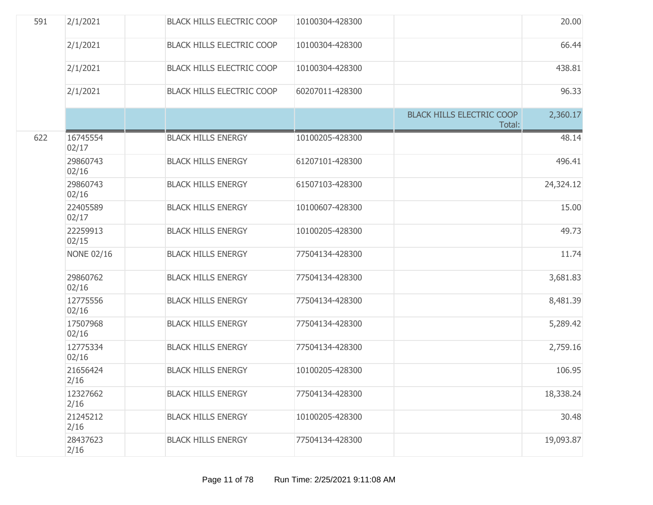| 591 | 2/1/2021          | <b>BLACK HILLS ELECTRIC COOP</b> | 10100304-428300 |                                            | 20.00     |
|-----|-------------------|----------------------------------|-----------------|--------------------------------------------|-----------|
|     | 2/1/2021          | <b>BLACK HILLS ELECTRIC COOP</b> | 10100304-428300 |                                            | 66.44     |
|     | 2/1/2021          | <b>BLACK HILLS ELECTRIC COOP</b> | 10100304-428300 |                                            | 438.81    |
|     | 2/1/2021          | <b>BLACK HILLS ELECTRIC COOP</b> | 60207011-428300 |                                            | 96.33     |
|     |                   |                                  |                 | <b>BLACK HILLS ELECTRIC COOP</b><br>Total: | 2,360.17  |
| 622 | 16745554<br>02/17 | <b>BLACK HILLS ENERGY</b>        | 10100205-428300 |                                            | 48.14     |
|     | 29860743<br>02/16 | <b>BLACK HILLS ENERGY</b>        | 61207101-428300 |                                            | 496.41    |
|     | 29860743<br>02/16 | <b>BLACK HILLS ENERGY</b>        | 61507103-428300 |                                            | 24,324.12 |
|     | 22405589<br>02/17 | <b>BLACK HILLS ENERGY</b>        | 10100607-428300 |                                            | 15.00     |
|     | 22259913<br>02/15 | <b>BLACK HILLS ENERGY</b>        | 10100205-428300 |                                            | 49.73     |
|     | <b>NONE 02/16</b> | <b>BLACK HILLS ENERGY</b>        | 77504134-428300 |                                            | 11.74     |
|     | 29860762<br>02/16 | <b>BLACK HILLS ENERGY</b>        | 77504134-428300 |                                            | 3,681.83  |
|     | 12775556<br>02/16 | <b>BLACK HILLS ENERGY</b>        | 77504134-428300 |                                            | 8,481.39  |
|     | 17507968<br>02/16 | <b>BLACK HILLS ENERGY</b>        | 77504134-428300 |                                            | 5,289.42  |
|     | 12775334<br>02/16 | <b>BLACK HILLS ENERGY</b>        | 77504134-428300 |                                            | 2,759.16  |
|     | 21656424<br>2/16  | <b>BLACK HILLS ENERGY</b>        | 10100205-428300 |                                            | 106.95    |
|     | 12327662<br>2/16  | <b>BLACK HILLS ENERGY</b>        | 77504134-428300 |                                            | 18,338.24 |
|     | 21245212<br>2/16  | <b>BLACK HILLS ENERGY</b>        | 10100205-428300 |                                            | 30.48     |
|     | 28437623<br>2/16  | <b>BLACK HILLS ENERGY</b>        | 77504134-428300 |                                            | 19,093.87 |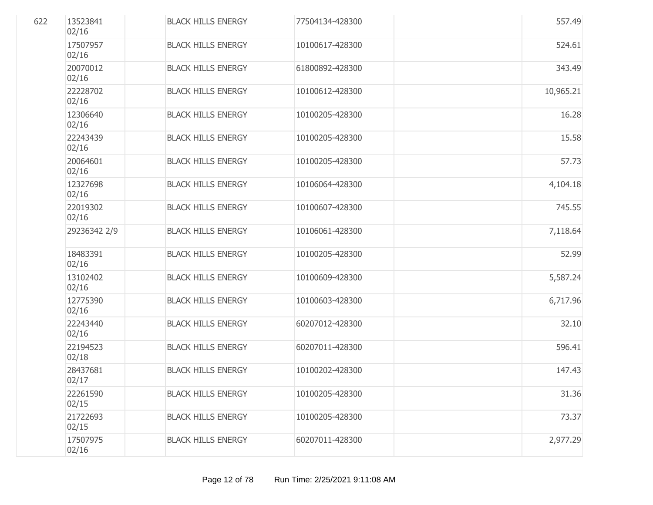| 622 | 13523841<br>02/16 | <b>BLACK HILLS ENERGY</b> | 77504134-428300 | 557.49    |
|-----|-------------------|---------------------------|-----------------|-----------|
|     | 17507957<br>02/16 | <b>BLACK HILLS ENERGY</b> | 10100617-428300 | 524.61    |
|     | 20070012<br>02/16 | <b>BLACK HILLS ENERGY</b> | 61800892-428300 | 343.49    |
|     | 22228702<br>02/16 | <b>BLACK HILLS ENERGY</b> | 10100612-428300 | 10,965.21 |
|     | 12306640<br>02/16 | <b>BLACK HILLS ENERGY</b> | 10100205-428300 | 16.28     |
|     | 22243439<br>02/16 | <b>BLACK HILLS ENERGY</b> | 10100205-428300 | 15.58     |
|     | 20064601<br>02/16 | <b>BLACK HILLS ENERGY</b> | 10100205-428300 | 57.73     |
|     | 12327698<br>02/16 | <b>BLACK HILLS ENERGY</b> | 10106064-428300 | 4,104.18  |
|     | 22019302<br>02/16 | <b>BLACK HILLS ENERGY</b> | 10100607-428300 | 745.55    |
|     | 29236342 2/9      | <b>BLACK HILLS ENERGY</b> | 10106061-428300 | 7,118.64  |
|     | 18483391<br>02/16 | <b>BLACK HILLS ENERGY</b> | 10100205-428300 | 52.99     |
|     | 13102402<br>02/16 | <b>BLACK HILLS ENERGY</b> | 10100609-428300 | 5,587.24  |
|     | 12775390<br>02/16 | <b>BLACK HILLS ENERGY</b> | 10100603-428300 | 6,717.96  |
|     | 22243440<br>02/16 | <b>BLACK HILLS ENERGY</b> | 60207012-428300 | 32.10     |
|     | 22194523<br>02/18 | <b>BLACK HILLS ENERGY</b> | 60207011-428300 | 596.41    |
|     | 28437681<br>02/17 | <b>BLACK HILLS ENERGY</b> | 10100202-428300 | 147.43    |
|     | 22261590<br>02/15 | <b>BLACK HILLS ENERGY</b> | 10100205-428300 | 31.36     |
|     | 21722693<br>02/15 | <b>BLACK HILLS ENERGY</b> | 10100205-428300 | 73.37     |
|     | 17507975<br>02/16 | <b>BLACK HILLS ENERGY</b> | 60207011-428300 | 2,977.29  |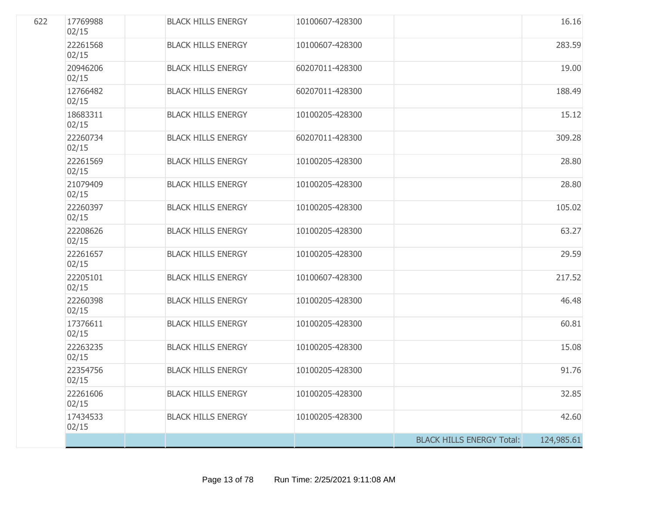| 622 | 17769988<br>02/15 | <b>BLACK HILLS ENERGY</b> | 10100607-428300 |                                  | 16.16      |
|-----|-------------------|---------------------------|-----------------|----------------------------------|------------|
|     | 22261568<br>02/15 | <b>BLACK HILLS ENERGY</b> | 10100607-428300 |                                  | 283.59     |
|     | 20946206<br>02/15 | <b>BLACK HILLS ENERGY</b> | 60207011-428300 |                                  | 19.00      |
|     | 12766482<br>02/15 | <b>BLACK HILLS ENERGY</b> | 60207011-428300 |                                  | 188.49     |
|     | 18683311<br>02/15 | <b>BLACK HILLS ENERGY</b> | 10100205-428300 |                                  | 15.12      |
|     | 22260734<br>02/15 | <b>BLACK HILLS ENERGY</b> | 60207011-428300 |                                  | 309.28     |
|     | 22261569<br>02/15 | <b>BLACK HILLS ENERGY</b> | 10100205-428300 |                                  | 28.80      |
|     | 21079409<br>02/15 | <b>BLACK HILLS ENERGY</b> | 10100205-428300 |                                  | 28.80      |
|     | 22260397<br>02/15 | <b>BLACK HILLS ENERGY</b> | 10100205-428300 |                                  | 105.02     |
|     | 22208626<br>02/15 | <b>BLACK HILLS ENERGY</b> | 10100205-428300 |                                  | 63.27      |
|     | 22261657<br>02/15 | <b>BLACK HILLS ENERGY</b> | 10100205-428300 |                                  | 29.59      |
|     | 22205101<br>02/15 | <b>BLACK HILLS ENERGY</b> | 10100607-428300 |                                  | 217.52     |
|     | 22260398<br>02/15 | <b>BLACK HILLS ENERGY</b> | 10100205-428300 |                                  | 46.48      |
|     | 17376611<br>02/15 | <b>BLACK HILLS ENERGY</b> | 10100205-428300 |                                  | 60.81      |
|     | 22263235<br>02/15 | <b>BLACK HILLS ENERGY</b> | 10100205-428300 |                                  | 15.08      |
|     | 22354756<br>02/15 | <b>BLACK HILLS ENERGY</b> | 10100205-428300 |                                  | 91.76      |
|     | 22261606<br>02/15 | <b>BLACK HILLS ENERGY</b> | 10100205-428300 |                                  | 32.85      |
|     | 17434533<br>02/15 | <b>BLACK HILLS ENERGY</b> | 10100205-428300 |                                  | 42.60      |
|     |                   |                           |                 | <b>BLACK HILLS ENERGY Total:</b> | 124,985.61 |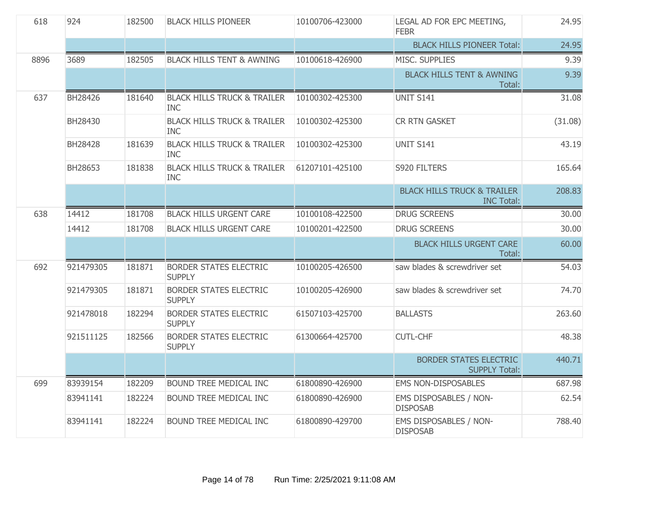| 618  | 924       | 182500 | <b>BLACK HILLS PIONEER</b>                           | 10100706-423000 | LEGAL AD FOR EPC MEETING,<br><b>FEBR</b>                    | 24.95   |
|------|-----------|--------|------------------------------------------------------|-----------------|-------------------------------------------------------------|---------|
|      |           |        |                                                      |                 | <b>BLACK HILLS PIONEER Total:</b>                           | 24.95   |
| 8896 | 3689      | 182505 | <b>BLACK HILLS TENT &amp; AWNING</b>                 | 10100618-426900 | MISC. SUPPLIES                                              | 9.39    |
|      |           |        |                                                      |                 | <b>BLACK HILLS TENT &amp; AWNING</b><br>Total:              | 9.39    |
| 637  | BH28426   | 181640 | <b>BLACK HILLS TRUCK &amp; TRAILER</b><br><b>INC</b> | 10100302-425300 | <b>UNIT S141</b>                                            | 31.08   |
|      | BH28430   |        | <b>BLACK HILLS TRUCK &amp; TRAILER</b><br><b>INC</b> | 10100302-425300 | <b>CR RTN GASKET</b>                                        | (31.08) |
|      | BH28428   | 181639 | <b>BLACK HILLS TRUCK &amp; TRAILER</b><br><b>INC</b> | 10100302-425300 | <b>UNIT S141</b>                                            | 43.19   |
|      | BH28653   | 181838 | <b>BLACK HILLS TRUCK &amp; TRAILER</b><br><b>INC</b> | 61207101-425100 | S920 FILTERS                                                | 165.64  |
|      |           |        |                                                      |                 | <b>BLACK HILLS TRUCK &amp; TRAILER</b><br><b>INC Total:</b> | 208.83  |
| 638  | 14412     | 181708 | <b>BLACK HILLS URGENT CARE</b>                       | 10100108-422500 | <b>DRUG SCREENS</b>                                         | 30.00   |
|      | 14412     | 181708 | <b>BLACK HILLS URGENT CARE</b>                       | 10100201-422500 | <b>DRUG SCREENS</b>                                         | 30.00   |
|      |           |        |                                                      |                 | <b>BLACK HILLS URGENT CARE</b><br>Total:                    | 60.00   |
| 692  | 921479305 | 181871 | <b>BORDER STATES ELECTRIC</b><br><b>SUPPLY</b>       | 10100205-426500 | saw blades & screwdriver set                                | 54.03   |
|      | 921479305 | 181871 | <b>BORDER STATES ELECTRIC</b><br><b>SUPPLY</b>       | 10100205-426900 | saw blades & screwdriver set                                | 74.70   |
|      | 921478018 | 182294 | <b>BORDER STATES ELECTRIC</b><br><b>SUPPLY</b>       | 61507103-425700 | <b>BALLASTS</b>                                             | 263.60  |
|      | 921511125 | 182566 | <b>BORDER STATES ELECTRIC</b><br><b>SUPPLY</b>       | 61300664-425700 | <b>CUTL-CHF</b>                                             | 48.38   |
|      |           |        |                                                      |                 | <b>BORDER STATES ELECTRIC</b><br><b>SUPPLY Total:</b>       | 440.71  |
| 699  | 83939154  | 182209 | BOUND TREE MEDICAL INC                               | 61800890-426900 | <b>EMS NON-DISPOSABLES</b>                                  | 687.98  |
|      | 83941141  | 182224 | BOUND TREE MEDICAL INC                               | 61800890-426900 | EMS DISPOSABLES / NON-<br><b>DISPOSAB</b>                   | 62.54   |
|      | 83941141  | 182224 | BOUND TREE MEDICAL INC                               | 61800890-429700 | EMS DISPOSABLES / NON-<br><b>DISPOSAB</b>                   | 788.40  |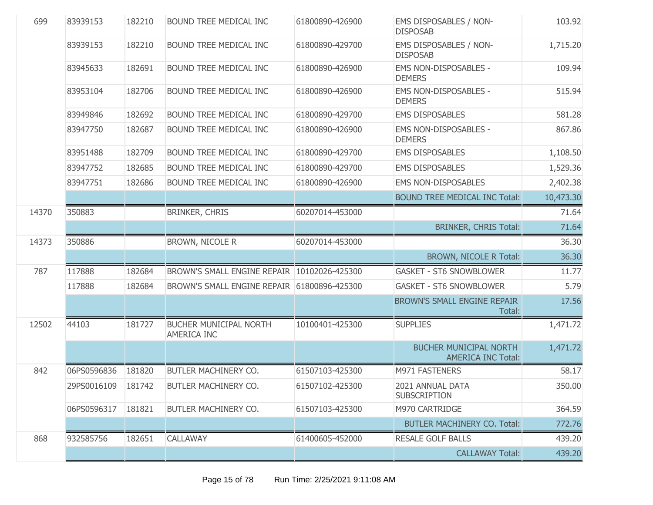| 699   | 83939153    | 182210 | BOUND TREE MEDICAL INC                       | 61800890-426900 | EMS DISPOSABLES / NON-<br><b>DISPOSAB</b>                  | 103.92    |
|-------|-------------|--------|----------------------------------------------|-----------------|------------------------------------------------------------|-----------|
|       | 83939153    | 182210 | BOUND TREE MEDICAL INC                       | 61800890-429700 | EMS DISPOSABLES / NON-<br><b>DISPOSAB</b>                  | 1,715.20  |
|       | 83945633    | 182691 | BOUND TREE MEDICAL INC                       | 61800890-426900 | <b>EMS NON-DISPOSABLES -</b><br><b>DEMERS</b>              | 109.94    |
|       | 83953104    | 182706 | BOUND TREE MEDICAL INC                       | 61800890-426900 | <b>EMS NON-DISPOSABLES -</b><br><b>DEMERS</b>              | 515.94    |
|       | 83949846    | 182692 | BOUND TREE MEDICAL INC                       | 61800890-429700 | <b>EMS DISPOSABLES</b>                                     | 581.28    |
|       | 83947750    | 182687 | BOUND TREE MEDICAL INC                       | 61800890-426900 | <b>EMS NON-DISPOSABLES -</b><br><b>DEMERS</b>              | 867.86    |
|       | 83951488    | 182709 | BOUND TREE MEDICAL INC                       | 61800890-429700 | <b>EMS DISPOSABLES</b>                                     | 1,108.50  |
|       | 83947752    | 182685 | BOUND TREE MEDICAL INC                       | 61800890-429700 | <b>EMS DISPOSABLES</b>                                     | 1,529.36  |
|       | 83947751    | 182686 | BOUND TREE MEDICAL INC                       | 61800890-426900 | <b>EMS NON-DISPOSABLES</b>                                 | 2,402.38  |
|       |             |        |                                              |                 | <b>BOUND TREE MEDICAL INC Total:</b>                       | 10,473.30 |
| 14370 | 350883      |        | <b>BRINKER, CHRIS</b>                        | 60207014-453000 |                                                            | 71.64     |
|       |             |        |                                              |                 | <b>BRINKER, CHRIS Total:</b>                               | 71.64     |
| 14373 | 350886      |        | <b>BROWN, NICOLE R</b>                       | 60207014-453000 |                                                            | 36.30     |
|       |             |        |                                              |                 | <b>BROWN, NICOLE R Total:</b>                              | 36.30     |
| 787   | 117888      | 182684 | BROWN'S SMALL ENGINE REPAIR 10102026-425300  |                 | <b>GASKET - ST6 SNOWBLOWER</b>                             | 11.77     |
|       | 117888      | 182684 | BROWN'S SMALL ENGINE REPAIR 61800896-425300  |                 | <b>GASKET - ST6 SNOWBLOWER</b>                             | 5.79      |
|       |             |        |                                              |                 | <b>BROWN'S SMALL ENGINE REPAIR</b><br>Total:               | 17.56     |
| 12502 | 44103       | 181727 | <b>BUCHER MUNICIPAL NORTH</b><br>AMERICA INC | 10100401-425300 | <b>SUPPLIES</b>                                            | 1,471.72  |
|       |             |        |                                              |                 | <b>BUCHER MUNICIPAL NORTH</b><br><b>AMERICA INC Total:</b> | 1,471.72  |
| 842   | 06PS0596836 | 181820 | BUTLER MACHINERY CO.                         | 61507103-425300 | M971 FASTENERS                                             | 58.17     |
|       | 29PS0016109 | 181742 | BUTLER MACHINERY CO.                         | 61507102-425300 | 2021 ANNUAL DATA<br><b>SUBSCRIPTION</b>                    | 350.00    |
|       | 06PS0596317 | 181821 | <b>BUTLER MACHINERY CO.</b>                  | 61507103-425300 | M970 CARTRIDGE                                             | 364.59    |
|       |             |        |                                              |                 | <b>BUTLER MACHINERY CO. Total:</b>                         | 772.76    |
| 868   | 932585756   | 182651 | CALLAWAY                                     | 61400605-452000 | <b>RESALE GOLF BALLS</b>                                   | 439.20    |
|       |             |        |                                              |                 | <b>CALLAWAY Total:</b>                                     | 439.20    |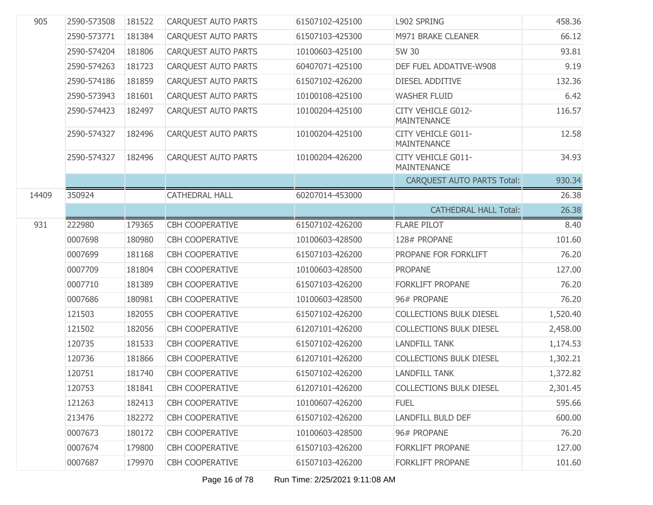| 905   | 2590-573508 | 181522 | <b>CAROUEST AUTO PARTS</b> | 61507102-425100 | L902 SPRING                              | 458.36   |
|-------|-------------|--------|----------------------------|-----------------|------------------------------------------|----------|
|       | 2590-573771 | 181384 | CARQUEST AUTO PARTS        | 61507103-425300 | M971 BRAKE CLEANER                       | 66.12    |
|       | 2590-574204 | 181806 | <b>CARQUEST AUTO PARTS</b> | 10100603-425100 | 5W 30                                    | 93.81    |
|       | 2590-574263 | 181723 | <b>CAROUEST AUTO PARTS</b> | 60407071-425100 | DEF FUEL ADDATIVE-W908                   | 9.19     |
|       | 2590-574186 | 181859 | <b>CARQUEST AUTO PARTS</b> | 61507102-426200 | DIESEL ADDITIVE                          | 132.36   |
|       | 2590-573943 | 181601 | CARQUEST AUTO PARTS        | 10100108-425100 | <b>WASHER FLUID</b>                      | 6.42     |
|       | 2590-574423 | 182497 | <b>CARQUEST AUTO PARTS</b> | 10100204-425100 | CITY VEHICLE G012-<br><b>MAINTENANCE</b> | 116.57   |
|       | 2590-574327 | 182496 | <b>CARQUEST AUTO PARTS</b> | 10100204-425100 | CITY VEHICLE G011-<br><b>MAINTENANCE</b> | 12.58    |
|       | 2590-574327 | 182496 | <b>CARQUEST AUTO PARTS</b> | 10100204-426200 | CITY VEHICLE G011-<br><b>MAINTENANCE</b> | 34.93    |
|       |             |        |                            |                 | <b>CARQUEST AUTO PARTS Total:</b>        | 930.34   |
| 14409 | 350924      |        | <b>CATHEDRAL HALL</b>      | 60207014-453000 |                                          | 26.38    |
|       |             |        |                            |                 | <b>CATHEDRAL HALL Total:</b>             | 26.38    |
| 931   | 222980      | 179365 | <b>CBH COOPERATIVE</b>     | 61507102-426200 | <b>FLARE PILOT</b>                       | 8.40     |
|       | 0007698     | 180980 | <b>CBH COOPERATIVE</b>     | 10100603-428500 | 128# PROPANE                             | 101.60   |
|       | 0007699     | 181168 | <b>CBH COOPERATIVE</b>     | 61507103-426200 | PROPANE FOR FORKLIFT                     | 76.20    |
|       | 0007709     | 181804 | <b>CBH COOPERATIVE</b>     | 10100603-428500 | <b>PROPANE</b>                           | 127.00   |
|       | 0007710     | 181389 | <b>CBH COOPERATIVE</b>     | 61507103-426200 | <b>FORKLIFT PROPANE</b>                  | 76.20    |
|       | 0007686     | 180981 | <b>CBH COOPERATIVE</b>     | 10100603-428500 | 96# PROPANE                              | 76.20    |
|       | 121503      | 182055 | <b>CBH COOPERATIVE</b>     | 61507102-426200 | <b>COLLECTIONS BULK DIESEL</b>           | 1,520.40 |
|       | 121502      | 182056 | <b>CBH COOPERATIVE</b>     | 61207101-426200 | <b>COLLECTIONS BULK DIESEL</b>           | 2,458.00 |
|       | 120735      | 181533 | <b>CBH COOPERATIVE</b>     | 61507102-426200 | <b>LANDFILL TANK</b>                     | 1,174.53 |
|       | 120736      | 181866 | <b>CBH COOPERATIVE</b>     | 61207101-426200 | <b>COLLECTIONS BULK DIESEL</b>           | 1,302.21 |
|       | 120751      | 181740 | <b>CBH COOPERATIVE</b>     | 61507102-426200 | <b>LANDFILL TANK</b>                     | 1,372.82 |
|       | 120753      | 181841 | CBH COOPERATIVE            | 61207101-426200 | <b>COLLECTIONS BULK DIESEL</b>           | 2,301.45 |
|       | 121263      | 182413 | <b>CBH COOPERATIVE</b>     | 10100607-426200 | <b>FUEL</b>                              | 595.66   |
|       | 213476      | 182272 | <b>CBH COOPERATIVE</b>     | 61507102-426200 | <b>LANDFILL BULD DEF</b>                 | 600.00   |
|       | 0007673     | 180172 | <b>CBH COOPERATIVE</b>     | 10100603-428500 | 96# PROPANE                              | 76.20    |
|       | 0007674     | 179800 | <b>CBH COOPERATIVE</b>     | 61507103-426200 | <b>FORKLIFT PROPANE</b>                  | 127.00   |
|       | 0007687     | 179970 | <b>CBH COOPERATIVE</b>     | 61507103-426200 | <b>FORKLIFT PROPANE</b>                  | 101.60   |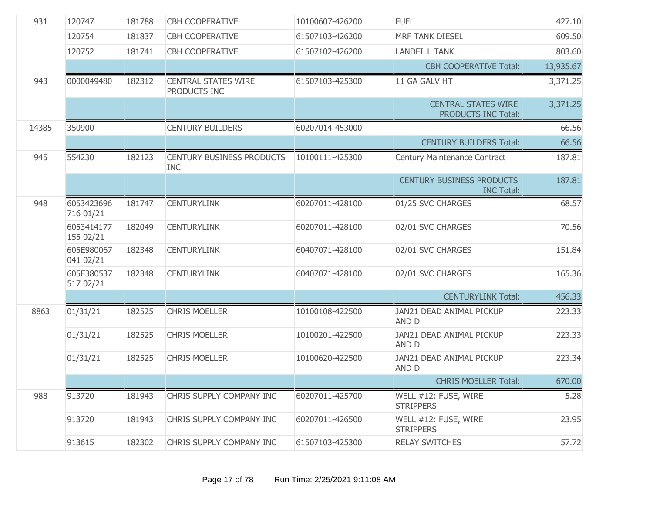| 931   | 120747                  | 181788 | <b>CBH COOPERATIVE</b>                         | 10100607-426200 | <b>FUEL</b>                                           | 427.10    |
|-------|-------------------------|--------|------------------------------------------------|-----------------|-------------------------------------------------------|-----------|
|       | 120754                  | 181837 | <b>CBH COOPERATIVE</b>                         | 61507103-426200 | <b>MRF TANK DIESEL</b>                                | 609.50    |
|       | 120752                  | 181741 | <b>CBH COOPERATIVE</b>                         | 61507102-426200 | <b>LANDFILL TANK</b>                                  | 803.60    |
|       |                         |        |                                                |                 | <b>CBH COOPERATIVE Total:</b>                         | 13,935.67 |
| 943   | 0000049480              | 182312 | <b>CENTRAL STATES WIRE</b><br>PRODUCTS INC     | 61507103-425300 | 11 GA GALV HT                                         | 3,371.25  |
|       |                         |        |                                                |                 | <b>CENTRAL STATES WIRE</b><br>PRODUCTS INC Total:     | 3,371.25  |
| 14385 | 350900                  |        | <b>CENTURY BUILDERS</b>                        | 60207014-453000 |                                                       | 66.56     |
|       |                         |        |                                                |                 | <b>CENTURY BUILDERS Total:</b>                        | 66.56     |
| 945   | 554230                  | 182123 | <b>CENTURY BUSINESS PRODUCTS</b><br><b>INC</b> | 10100111-425300 | Century Maintenance Contract                          | 187.81    |
|       |                         |        |                                                |                 | <b>CENTURY BUSINESS PRODUCTS</b><br><b>INC Total:</b> | 187.81    |
| 948   | 6053423696<br>716 01/21 | 181747 | <b>CENTURYLINK</b>                             | 60207011-428100 | 01/25 SVC CHARGES                                     | 68.57     |
|       | 6053414177<br>155 02/21 | 182049 | <b>CENTURYLINK</b>                             | 60207011-428100 | 02/01 SVC CHARGES                                     | 70.56     |
|       | 605E980067<br>041 02/21 | 182348 | <b>CENTURYLINK</b>                             | 60407071-428100 | 02/01 SVC CHARGES                                     | 151.84    |
|       | 605E380537<br>517 02/21 | 182348 | <b>CENTURYLINK</b>                             | 60407071-428100 | 02/01 SVC CHARGES                                     | 165.36    |
|       |                         |        |                                                |                 | <b>CENTURYLINK Total:</b>                             | 456.33    |
| 8863  | 01/31/21                | 182525 | <b>CHRIS MOELLER</b>                           | 10100108-422500 | JAN21 DEAD ANIMAL PICKUP<br>AND D                     | 223.33    |
|       | 01/31/21                | 182525 | <b>CHRIS MOELLER</b>                           | 10100201-422500 | JAN21 DEAD ANIMAL PICKUP<br>AND D                     | 223.33    |
|       | 01/31/21                | 182525 | <b>CHRIS MOELLER</b>                           | 10100620-422500 | JAN21 DEAD ANIMAL PICKUP<br>AND D                     | 223.34    |
|       |                         |        |                                                |                 | <b>CHRIS MOELLER Total:</b>                           | 670.00    |
| 988   | 913720                  | 181943 | CHRIS SUPPLY COMPANY INC                       | 60207011-425700 | WELL #12: FUSE, WIRE<br><b>STRIPPERS</b>              | 5.28      |
|       | 913720                  | 181943 | CHRIS SUPPLY COMPANY INC                       | 60207011-426500 | WELL #12: FUSE, WIRE<br><b>STRIPPERS</b>              | 23.95     |
|       | 913615                  | 182302 | CHRIS SUPPLY COMPANY INC                       | 61507103-425300 | <b>RELAY SWITCHES</b>                                 | 57.72     |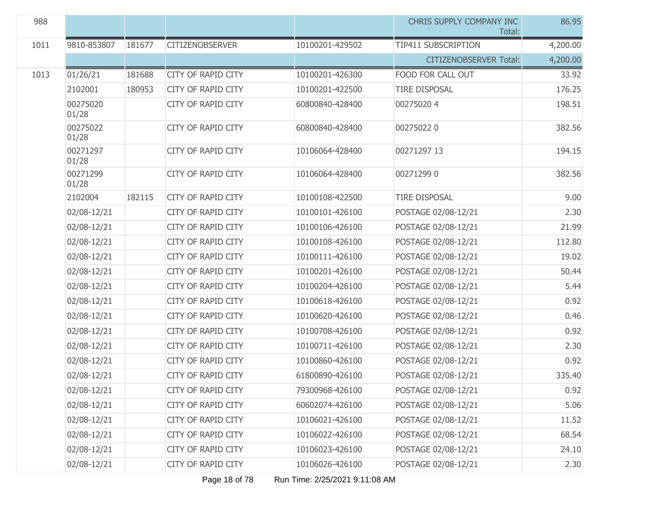| 988  |                   |        |                           |                 | CHRIS SUPPLY COMPANY INC<br>Total: | 86.95    |
|------|-------------------|--------|---------------------------|-----------------|------------------------------------|----------|
| 1011 | 9810-853807       | 181677 | <b>CITIZENOBSERVER</b>    | 10100201-429502 | <b>TIP411 SUBSCRIPTION</b>         | 4,200.00 |
|      |                   |        |                           |                 | <b>CITIZENOBSERVER Total:</b>      | 4,200.00 |
| 1013 | 01/26/21          | 181688 | CITY OF RAPID CITY        | 10100201-426300 | FOOD FOR CALL OUT                  | 33.92    |
|      | 2102001           | 180953 | <b>CITY OF RAPID CITY</b> | 10100201-422500 | <b>TIRE DISPOSAL</b>               | 176.25   |
|      | 00275020<br>01/28 |        | <b>CITY OF RAPID CITY</b> | 60800840-428400 | 00275020 4                         | 198.51   |
|      | 00275022<br>01/28 |        | CITY OF RAPID CITY        | 60800840-428400 | 002750220                          | 382.56   |
|      | 00271297<br>01/28 |        | <b>CITY OF RAPID CITY</b> | 10106064-428400 | 00271297 13                        | 194.15   |
|      | 00271299<br>01/28 |        | <b>CITY OF RAPID CITY</b> | 10106064-428400 | 002712990                          | 382.56   |
|      | 2102004           | 182115 | <b>CITY OF RAPID CITY</b> | 10100108-422500 | <b>TIRE DISPOSAL</b>               | 9.00     |
|      | 02/08-12/21       |        | CITY OF RAPID CITY        | 10100101-426100 | POSTAGE 02/08-12/21                | 2.30     |
|      | 02/08-12/21       |        | CITY OF RAPID CITY        | 10100106-426100 | POSTAGE 02/08-12/21                | 21.99    |
|      | 02/08-12/21       |        | CITY OF RAPID CITY        | 10100108-426100 | POSTAGE 02/08-12/21                | 112.80   |
|      | 02/08-12/21       |        | CITY OF RAPID CITY        | 10100111-426100 | POSTAGE 02/08-12/21                | 19.02    |
|      | 02/08-12/21       |        | CITY OF RAPID CITY        | 10100201-426100 | POSTAGE 02/08-12/21                | 50.44    |
|      | 02/08-12/21       |        | CITY OF RAPID CITY        | 10100204-426100 | POSTAGE 02/08-12/21                | 5.44     |
|      | 02/08-12/21       |        | CITY OF RAPID CITY        | 10100618-426100 | POSTAGE 02/08-12/21                | 0.92     |
|      | 02/08-12/21       |        | CITY OF RAPID CITY        | 10100620-426100 | POSTAGE 02/08-12/21                | 0.46     |
|      | 02/08-12/21       |        | CITY OF RAPID CITY        | 10100708-426100 | POSTAGE 02/08-12/21                | 0.92     |
|      | 02/08-12/21       |        | CITY OF RAPID CITY        | 10100711-426100 | POSTAGE 02/08-12/21                | 2.30     |
|      | 02/08-12/21       |        | CITY OF RAPID CITY        | 10100860-426100 | POSTAGE 02/08-12/21                | 0.92     |
|      | 02/08-12/21       |        | <b>CITY OF RAPID CITY</b> | 61800890-426100 | POSTAGE 02/08-12/21                | 335.40   |
|      | 02/08-12/21       |        | CITY OF RAPID CITY        | 79300968-426100 | POSTAGE 02/08-12/21                | 0.92     |
|      | 02/08-12/21       |        | CITY OF RAPID CITY        | 60602074-426100 | POSTAGE 02/08-12/21                | 5.06     |
|      | 02/08-12/21       |        | CITY OF RAPID CITY        | 10106021-426100 | POSTAGE 02/08-12/21                | 11.52    |
|      | 02/08-12/21       |        | CITY OF RAPID CITY        | 10106022-426100 | POSTAGE 02/08-12/21                | 68.54    |
|      | 02/08-12/21       |        | <b>CITY OF RAPID CITY</b> | 10106023-426100 | POSTAGE 02/08-12/21                | 24.10    |
|      | 02/08-12/21       |        | CITY OF RAPID CITY        | 10106026-426100 | POSTAGE 02/08-12/21                | 2.30     |

Page 18 of 78 Run Time: 2/25/2021 9:11:08 AM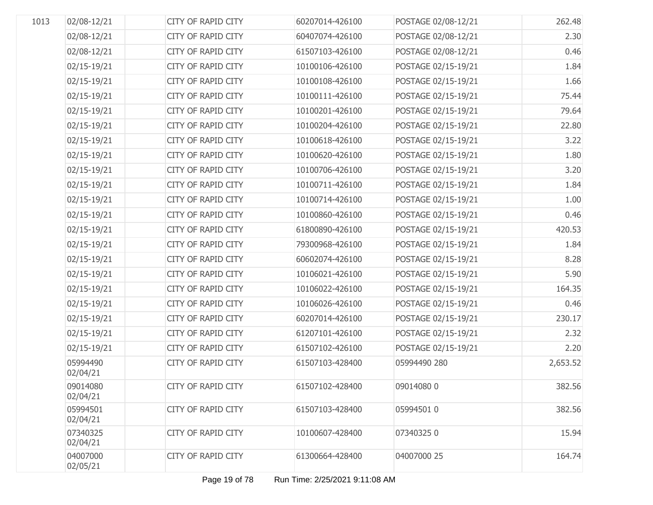| 1013 | 02/08-12/21          | <b>CITY OF RAPID CITY</b> | 60207014-426100 | POSTAGE 02/08-12/21 | 262.48   |
|------|----------------------|---------------------------|-----------------|---------------------|----------|
|      | 02/08-12/21          | <b>CITY OF RAPID CITY</b> | 60407074-426100 | POSTAGE 02/08-12/21 | 2.30     |
|      | 02/08-12/21          | <b>CITY OF RAPID CITY</b> | 61507103-426100 | POSTAGE 02/08-12/21 | 0.46     |
|      | 02/15-19/21          | <b>CITY OF RAPID CITY</b> | 10100106-426100 | POSTAGE 02/15-19/21 | 1.84     |
|      | 02/15-19/21          | <b>CITY OF RAPID CITY</b> | 10100108-426100 | POSTAGE 02/15-19/21 | 1.66     |
|      | 02/15-19/21          | <b>CITY OF RAPID CITY</b> | 10100111-426100 | POSTAGE 02/15-19/21 | 75.44    |
|      | 02/15-19/21          | <b>CITY OF RAPID CITY</b> | 10100201-426100 | POSTAGE 02/15-19/21 | 79.64    |
|      | 02/15-19/21          | <b>CITY OF RAPID CITY</b> | 10100204-426100 | POSTAGE 02/15-19/21 | 22.80    |
|      | 02/15-19/21          | <b>CITY OF RAPID CITY</b> | 10100618-426100 | POSTAGE 02/15-19/21 | 3.22     |
|      | 02/15-19/21          | <b>CITY OF RAPID CITY</b> | 10100620-426100 | POSTAGE 02/15-19/21 | 1.80     |
|      | 02/15-19/21          | <b>CITY OF RAPID CITY</b> | 10100706-426100 | POSTAGE 02/15-19/21 | 3.20     |
|      | 02/15-19/21          | <b>CITY OF RAPID CITY</b> | 10100711-426100 | POSTAGE 02/15-19/21 | 1.84     |
|      | 02/15-19/21          | <b>CITY OF RAPID CITY</b> | 10100714-426100 | POSTAGE 02/15-19/21 | 1.00     |
|      | 02/15-19/21          | <b>CITY OF RAPID CITY</b> | 10100860-426100 | POSTAGE 02/15-19/21 | 0.46     |
|      | 02/15-19/21          | <b>CITY OF RAPID CITY</b> | 61800890-426100 | POSTAGE 02/15-19/21 | 420.53   |
|      | 02/15-19/21          | <b>CITY OF RAPID CITY</b> | 79300968-426100 | POSTAGE 02/15-19/21 | 1.84     |
|      | 02/15-19/21          | <b>CITY OF RAPID CITY</b> | 60602074-426100 | POSTAGE 02/15-19/21 | 8.28     |
|      | 02/15-19/21          | <b>CITY OF RAPID CITY</b> | 10106021-426100 | POSTAGE 02/15-19/21 | 5.90     |
|      | 02/15-19/21          | <b>CITY OF RAPID CITY</b> | 10106022-426100 | POSTAGE 02/15-19/21 | 164.35   |
|      | 02/15-19/21          | <b>CITY OF RAPID CITY</b> | 10106026-426100 | POSTAGE 02/15-19/21 | 0.46     |
|      | 02/15-19/21          | <b>CITY OF RAPID CITY</b> | 60207014-426100 | POSTAGE 02/15-19/21 | 230.17   |
|      | 02/15-19/21          | <b>CITY OF RAPID CITY</b> | 61207101-426100 | POSTAGE 02/15-19/21 | 2.32     |
|      | 02/15-19/21          | <b>CITY OF RAPID CITY</b> | 61507102-426100 | POSTAGE 02/15-19/21 | 2.20     |
|      | 05994490<br>02/04/21 | <b>CITY OF RAPID CITY</b> | 61507103-428400 | 05994490 280        | 2,653.52 |
|      | 09014080<br>02/04/21 | <b>CITY OF RAPID CITY</b> | 61507102-428400 | 09014080 0          | 382.56   |
|      | 05994501<br>02/04/21 | CITY OF RAPID CITY        | 61507103-428400 | 05994501 0          | 382.56   |
|      | 07340325<br>02/04/21 | CITY OF RAPID CITY        | 10100607-428400 | 073403250           | 15.94    |
|      | 04007000<br>02/05/21 | <b>CITY OF RAPID CITY</b> | 61300664-428400 | 04007000 25         | 164.74   |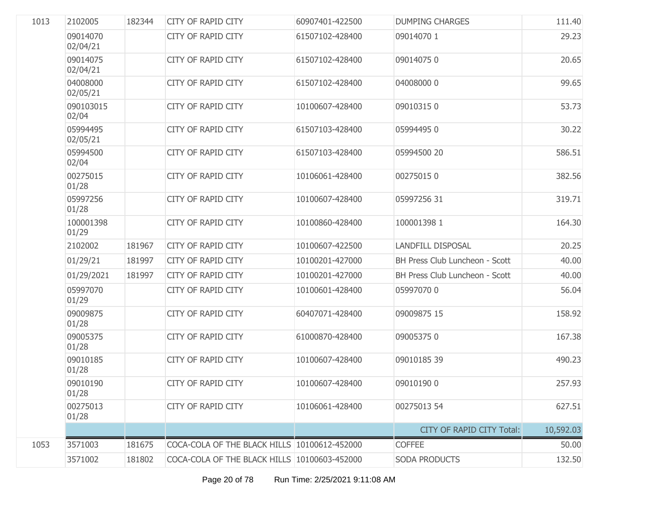|      | 3571002              | 181802 | COCA-COLA OF THE BLACK HILLS 10100603-452000 |                 | SODA PRODUCTS                    | 132.50    |
|------|----------------------|--------|----------------------------------------------|-----------------|----------------------------------|-----------|
| 1053 | 3571003              | 181675 | COCA-COLA OF THE BLACK HILLS 10100612-452000 |                 | <b>COFFEE</b>                    | 50.00     |
|      |                      |        |                                              |                 | <b>CITY OF RAPID CITY Total:</b> | 10,592.03 |
|      | 00275013<br>01/28    |        | <b>CITY OF RAPID CITY</b>                    | 10106061-428400 | 00275013 54                      | 627.51    |
|      | 09010190<br>01/28    |        | CITY OF RAPID CITY                           | 10100607-428400 | 090101900                        | 257.93    |
|      | 09010185<br>01/28    |        | CITY OF RAPID CITY                           | 10100607-428400 | 09010185 39                      | 490.23    |
|      | 09005375<br>01/28    |        | CITY OF RAPID CITY                           | 61000870-428400 | 090053750                        | 167.38    |
|      | 09009875<br>01/28    |        | <b>CITY OF RAPID CITY</b>                    | 60407071-428400 | 09009875 15                      | 158.92    |
|      | 05997070<br>01/29    |        | CITY OF RAPID CITY                           | 10100601-428400 | 05997070 0                       | 56.04     |
|      | 01/29/2021           | 181997 | <b>CITY OF RAPID CITY</b>                    | 10100201-427000 | BH Press Club Luncheon - Scott   | 40.00     |
|      | 01/29/21             | 181997 | <b>CITY OF RAPID CITY</b>                    | 10100201-427000 | BH Press Club Luncheon - Scott   | 40.00     |
|      | 2102002              | 181967 | <b>CITY OF RAPID CITY</b>                    | 10100607-422500 | LANDFILL DISPOSAL                | 20.25     |
|      | 100001398<br>01/29   |        | CITY OF RAPID CITY                           | 10100860-428400 | 100001398 1                      | 164.30    |
|      | 05997256<br>01/28    |        | <b>CITY OF RAPID CITY</b>                    | 10100607-428400 | 05997256 31                      | 319.71    |
|      | 00275015<br>01/28    |        | CITY OF RAPID CITY                           | 10106061-428400 | 002750150                        | 382.56    |
|      | 05994500<br>02/04    |        | CITY OF RAPID CITY                           | 61507103-428400 | 05994500 20                      | 586.51    |
|      | 05994495<br>02/05/21 |        | <b>CITY OF RAPID CITY</b>                    | 61507103-428400 | 059944950                        | 30.22     |
|      | 090103015<br>02/04   |        | <b>CITY OF RAPID CITY</b>                    | 10100607-428400 | 090103150                        | 53.73     |
|      | 04008000<br>02/05/21 |        | <b>CITY OF RAPID CITY</b>                    | 61507102-428400 | 04008000 0                       | 99.65     |
|      | 09014075<br>02/04/21 |        | CITY OF RAPID CITY                           | 61507102-428400 | 090140750                        | 20.65     |
|      | 09014070<br>02/04/21 |        | <b>CITY OF RAPID CITY</b>                    | 61507102-428400 | 09014070 1                       | 29.23     |
| 1013 | 2102005              | 182344 | <b>CITY OF RAPID CITY</b>                    | 60907401-422500 | <b>DUMPING CHARGES</b>           | 111.40    |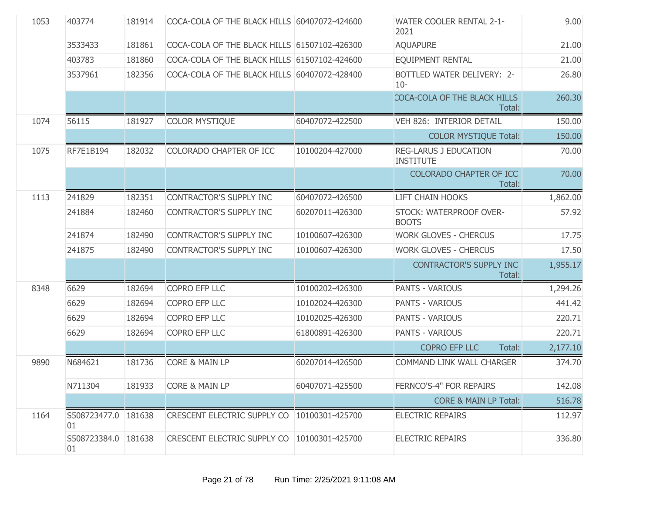| 1053 | 403774             | 181914 | COCA-COLA OF THE BLACK HILLS 60407072-424600  |                 | <b>WATER COOLER RENTAL 2-1-</b><br>2021          | 9.00     |
|------|--------------------|--------|-----------------------------------------------|-----------------|--------------------------------------------------|----------|
|      | 3533433            | 181861 | COCA-COLA OF THE BLACK HILLS 61507102-426300  |                 | <b>AQUAPURE</b>                                  | 21.00    |
|      | 403783             | 181860 | COCA-COLA OF THE BLACK HILLS 61507102-424600  |                 | <b>EQUIPMENT RENTAL</b>                          | 21.00    |
|      | 3537961            | 182356 | COCA-COLA OF THE BLACK HILLS 60407072-428400  |                 | BOTTLED WATER DELIVERY: 2-<br>$10-$              | 26.80    |
|      |                    |        |                                               |                 | COCA-COLA OF THE BLACK HILLS<br>Total:           | 260.30   |
| 1074 | 56115              | 181927 | <b>COLOR MYSTIQUE</b>                         | 60407072-422500 | VEH 826: INTERIOR DETAIL                         | 150.00   |
|      |                    |        |                                               |                 | <b>COLOR MYSTIQUE Total:</b>                     | 150.00   |
| 1075 | <b>RF7E1B194</b>   | 182032 | COLORADO CHAPTER OF ICC                       | 10100204-427000 | <b>REG-LARUS J EDUCATION</b><br><b>INSTITUTE</b> | 70.00    |
|      |                    |        |                                               |                 | <b>COLORADO CHAPTER OF ICC</b><br>Total:         | 70.00    |
| 1113 | 241829             | 182351 | CONTRACTOR'S SUPPLY INC                       | 60407072-426500 | <b>LIFT CHAIN HOOKS</b>                          | 1,862.00 |
|      | 241884             | 182460 | CONTRACTOR'S SUPPLY INC                       | 60207011-426300 | STOCK: WATERPROOF OVER-<br><b>BOOTS</b>          | 57.92    |
|      | 241874             | 182490 | CONTRACTOR'S SUPPLY INC                       | 10100607-426300 | <b>WORK GLOVES - CHERCUS</b>                     | 17.75    |
|      | 241875             | 182490 | CONTRACTOR'S SUPPLY INC                       | 10100607-426300 | <b>WORK GLOVES - CHERCUS</b>                     | 17.50    |
|      |                    |        |                                               |                 | <b>CONTRACTOR'S SUPPLY INC</b><br>Total:         | 1,955.17 |
| 8348 | 6629               | 182694 | COPRO EFP LLC                                 | 10100202-426300 | <b>PANTS - VARIOUS</b>                           | 1,294.26 |
|      | 6629               | 182694 | COPRO EFP LLC                                 | 10102024-426300 | <b>PANTS - VARIOUS</b>                           | 441.42   |
|      | 6629               | 182694 | COPRO EFP LLC                                 | 10102025-426300 | <b>PANTS - VARIOUS</b>                           | 220.71   |
|      | 6629               | 182694 | COPRO EFP LLC                                 | 61800891-426300 | <b>PANTS - VARIOUS</b>                           | 220.71   |
|      |                    |        |                                               |                 | <b>COPRO EFP LLC</b><br>Total:                   | 2,177.10 |
| 9890 | N684621            | 181736 | <b>CORE &amp; MAIN LP</b>                     | 60207014-426500 | COMMAND LINK WALL CHARGER                        | 374.70   |
|      | N711304            | 181933 | <b>CORE &amp; MAIN LP</b>                     | 60407071-425500 | FERNCO'S-4" FOR REPAIRS                          | 142.08   |
|      |                    |        |                                               |                 | <b>CORE &amp; MAIN LP Total:</b>                 | 516.78   |
| 1164 | S508723477.0<br>01 | 181638 | CRESCENT ELECTRIC SUPPLY CO   10100301-425700 |                 | <b>ELECTRIC REPAIRS</b>                          | 112.97   |
|      | S508723384.0<br>01 | 181638 | CRESCENT ELECTRIC SUPPLY CO                   | 10100301-425700 | <b>ELECTRIC REPAIRS</b>                          | 336.80   |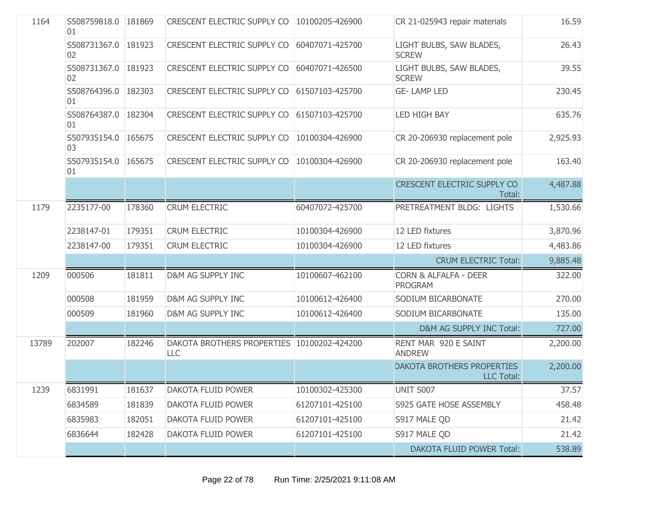| 1164  | S508759818.0   181869<br>01 |        | <b>CRESCENT ELECTRIC SUPPLY CO</b>                | 10100205-426900 | CR 21-025943 repair materials                          | 16.59    |
|-------|-----------------------------|--------|---------------------------------------------------|-----------------|--------------------------------------------------------|----------|
|       | S508731367.0 181923<br>02   |        | <b>CRESCENT ELECTRIC SUPPLY CO</b>                | 60407071-425700 | LIGHT BULBS, SAW BLADES,<br><b>SCREW</b>               | 26.43    |
|       | S508731367.0<br>02          | 181923 | <b>CRESCENT ELECTRIC SUPPLY CO</b>                | 60407071-426500 | LIGHT BULBS, SAW BLADES,<br><b>SCREW</b>               | 39.55    |
|       | S508764396.0 182303<br>01   |        | CRESCENT ELECTRIC SUPPLY CO                       | 61507103-425700 | <b>GE-LAMP LED</b>                                     | 230.45   |
|       | S508764387.0<br>01          | 182304 | <b>CRESCENT ELECTRIC SUPPLY CO</b>                | 61507103-425700 | <b>LED HIGH BAY</b>                                    | 635.76   |
|       | S507935154.0<br>03          | 165675 | <b>CRESCENT ELECTRIC SUPPLY CO</b>                | 10100304-426900 | CR 20-206930 replacement pole                          | 2,925.93 |
|       | S507935154.0 165675<br>01   |        | CRESCENT ELECTRIC SUPPLY CO                       | 10100304-426900 | CR 20-206930 replacement pole                          | 163.40   |
|       |                             |        |                                                   |                 | <b>CRESCENT ELECTRIC SUPPLY CO</b><br>Total:           | 4,487.88 |
| 1179  | 2235177-00                  | 178360 | <b>CRUM ELECTRIC</b>                              | 60407072-425700 | PRETREATMENT BLDG: LIGHTS                              | 1,530.66 |
|       | 2238147-01                  | 179351 | <b>CRUM ELECTRIC</b>                              | 10100304-426900 | 12 LED fixtures                                        | 3,870.96 |
|       | 2238147-00                  | 179351 | <b>CRUM ELECTRIC</b>                              | 10100304-426900 | 12 LED fixtures                                        | 4,483.86 |
|       |                             |        |                                                   |                 | <b>CRUM ELECTRIC Total:</b>                            | 9,885.48 |
| 1209  | 000506                      | 181811 | D&M AG SUPPLY INC                                 | 10100607-462100 | CORN & ALFALFA - DEER<br><b>PROGRAM</b>                | 322.00   |
|       | 000508                      | 181959 | D&M AG SUPPLY INC                                 | 10100612-426400 | SODIUM BICARBONATE                                     | 270.00   |
|       | 000509                      | 181960 | D&M AG SUPPLY INC                                 | 10100612-426400 | SODIUM BICARBONATE                                     | 135.00   |
|       |                             |        |                                                   |                 | D&M AG SUPPLY INC Total:                               | 727.00   |
| 13789 | 202007                      | 182246 | DAKOTA BROTHERS PROPERTIES 10100202-424200<br>LLC |                 | RENT MAR 920 E SAINT<br><b>ANDREW</b>                  | 2,200.00 |
|       |                             |        |                                                   |                 | <b>DAKOTA BROTHERS PROPERTIES</b><br><b>LLC Total:</b> | 2,200.00 |
| 1239  | 6831991                     | 181637 | <b>DAKOTA FLUID POWER</b>                         | 10100302-425300 | UNIT S007                                              | 37.57    |
|       | 6834589                     | 181839 | DAKOTA FLUID POWER                                | 61207101-425100 | S925 GATE HOSE ASSEMBLY                                | 458.48   |
|       | 6835983                     | 182051 | DAKOTA FLUID POWER                                | 61207101-425100 | S917 MALE QD                                           | 21.42    |
|       | 6836644                     | 182428 | DAKOTA FLUID POWER                                | 61207101-425100 | S917 MALE QD                                           | 21.42    |
|       |                             |        |                                                   |                 | <b>DAKOTA FLUID POWER Total:</b>                       | 538.89   |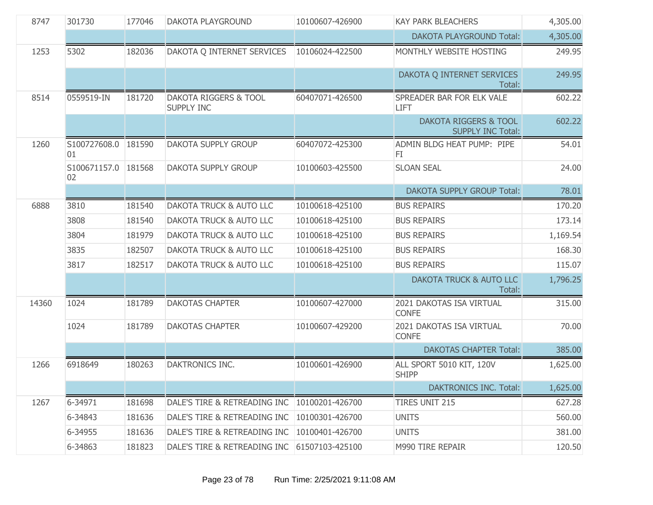| 8747  | 301730             | 177046 | DAKOTA PLAYGROUND                   | 10100607-426900 | <b>KAY PARK BLEACHERS</b>                         | 4,305.00 |
|-------|--------------------|--------|-------------------------------------|-----------------|---------------------------------------------------|----------|
|       |                    |        |                                     |                 | <b>DAKOTA PLAYGROUND Total:</b>                   | 4,305.00 |
| 1253  | 5302               | 182036 | DAKOTA Q INTERNET SERVICES          | 10106024-422500 | MONTHLY WEBSITE HOSTING                           | 249.95   |
|       |                    |        |                                     |                 | DAKOTA Q INTERNET SERVICES<br>Total:              | 249.95   |
| 8514  | 0559519-IN         | 181720 | DAKOTA RIGGERS & TOOL<br>SUPPLY INC | 60407071-426500 | SPREADER BAR FOR ELK VALE<br><b>LIFT</b>          | 602.22   |
|       |                    |        |                                     |                 | DAKOTA RIGGERS & TOOL<br><b>SUPPLY INC Total:</b> | 602.22   |
| 1260  | S100727608.0<br>01 | 181590 | DAKOTA SUPPLY GROUP                 | 60407072-425300 | ADMIN BLDG HEAT PUMP: PIPE<br>FI.                 | 54.01    |
|       | S100671157.0<br>02 | 181568 | DAKOTA SUPPLY GROUP                 | 10100603-425500 | <b>SLOAN SEAL</b>                                 | 24.00    |
|       |                    |        |                                     |                 | <b>DAKOTA SUPPLY GROUP Total:</b>                 | 78.01    |
| 6888  | 3810               | 181540 | <b>DAKOTA TRUCK &amp; AUTO LLC</b>  | 10100618-425100 | <b>BUS REPAIRS</b>                                | 170.20   |
|       | 3808               | 181540 | DAKOTA TRUCK & AUTO LLC             | 10100618-425100 | <b>BUS REPAIRS</b>                                | 173.14   |
|       | 3804               | 181979 | DAKOTA TRUCK & AUTO LLC             | 10100618-425100 | <b>BUS REPAIRS</b>                                | 1,169.54 |
|       | 3835               | 182507 | DAKOTA TRUCK & AUTO LLC             | 10100618-425100 | <b>BUS REPAIRS</b>                                | 168.30   |
|       | 3817               | 182517 | DAKOTA TRUCK & AUTO LLC             | 10100618-425100 | <b>BUS REPAIRS</b>                                | 115.07   |
|       |                    |        |                                     |                 | <b>DAKOTA TRUCK &amp; AUTO LLC</b><br>Total:      | 1,796.25 |
| 14360 | 1024               | 181789 | <b>DAKOTAS CHAPTER</b>              | 10100607-427000 | 2021 DAKOTAS ISA VIRTUAL<br><b>CONFE</b>          | 315.00   |
|       | 1024               | 181789 | <b>DAKOTAS CHAPTER</b>              | 10100607-429200 | 2021 DAKOTAS ISA VIRTUAL<br><b>CONFE</b>          | 70.00    |
|       |                    |        |                                     |                 | <b>DAKOTAS CHAPTER Total:</b>                     | 385.00   |
| 1266  | 6918649            | 180263 | DAKTRONICS INC.                     | 10100601-426900 | ALL SPORT 5010 KIT, 120V<br><b>SHIPP</b>          | 1,625.00 |
|       |                    |        |                                     |                 | <b>DAKTRONICS INC. Total:</b>                     | 1,625.00 |
| 1267  | 6-34971            | 181698 | DALE'S TIRE & RETREADING INC        | 10100201-426700 | <b>TIRES UNIT 215</b>                             | 627.28   |
|       | 6-34843            | 181636 | DALE'S TIRE & RETREADING INC        | 10100301-426700 | <b>UNITS</b>                                      | 560.00   |
|       | 6-34955            | 181636 | DALE'S TIRE & RETREADING INC        | 10100401-426700 | <b>UNITS</b>                                      | 381.00   |
|       | 6-34863            | 181823 | DALE'S TIRE & RETREADING INC        | 61507103-425100 | M990 TIRE REPAIR                                  | 120.50   |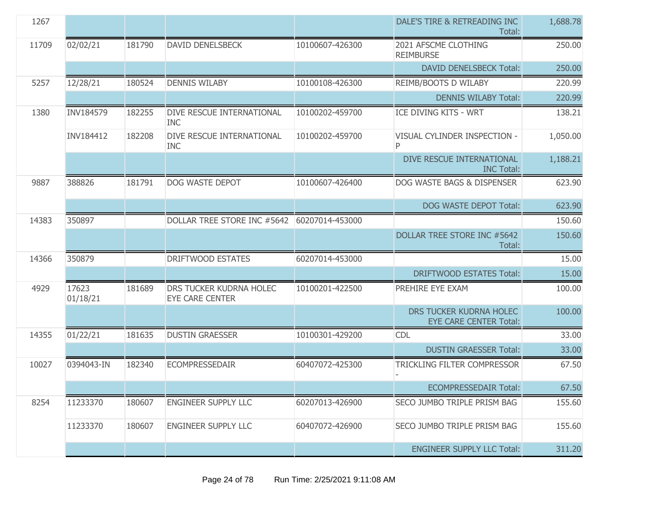| 1267  |                   |        |                                                   |                 | DALE'S TIRE & RETREADING INC<br>Total:                   | 1,688.78 |
|-------|-------------------|--------|---------------------------------------------------|-----------------|----------------------------------------------------------|----------|
| 11709 | 02/02/21          | 181790 | <b>DAVID DENELSBECK</b>                           | 10100607-426300 | 2021 AFSCME CLOTHING<br><b>REIMBURSE</b>                 | 250.00   |
|       |                   |        |                                                   |                 | <b>DAVID DENELSBECK Total:</b>                           | 250.00   |
| 5257  | 12/28/21          | 180524 | <b>DENNIS WILABY</b>                              | 10100108-426300 | REIMB/BOOTS D WILABY                                     | 220.99   |
|       |                   |        |                                                   |                 | <b>DENNIS WILABY Total:</b>                              | 220.99   |
| 1380  | INV184579         | 182255 | DIVE RESCUE INTERNATIONAL<br><b>INC</b>           | 10100202-459700 | ICE DIVING KITS - WRT                                    | 138.21   |
|       | INV184412         | 182208 | DIVE RESCUE INTERNATIONAL<br><b>INC</b>           | 10100202-459700 | VISUAL CYLINDER INSPECTION -<br>P                        | 1,050.00 |
|       |                   |        |                                                   |                 | DIVE RESCUE INTERNATIONAL<br><b>INC Total:</b>           | 1,188.21 |
| 9887  | 388826            | 181791 | <b>DOG WASTE DEPOT</b>                            | 10100607-426400 | DOG WASTE BAGS & DISPENSER                               | 623.90   |
|       |                   |        |                                                   |                 | <b>DOG WASTE DEPOT Total:</b>                            | 623.90   |
| 14383 | 350897            |        | DOLLAR TREE STORE INC #5642                       | 60207014-453000 |                                                          | 150.60   |
|       |                   |        |                                                   |                 | DOLLAR TREE STORE INC #5642<br>Total:                    | 150.60   |
| 14366 | 350879            |        | <b>DRIFTWOOD ESTATES</b>                          | 60207014-453000 |                                                          | 15.00    |
|       |                   |        |                                                   |                 | <b>DRIFTWOOD ESTATES Total:</b>                          | 15.00    |
| 4929  | 17623<br>01/18/21 | 181689 | DRS TUCKER KUDRNA HOLEC<br><b>EYE CARE CENTER</b> | 10100201-422500 | PREHIRE EYE EXAM                                         | 100.00   |
|       |                   |        |                                                   |                 | DRS TUCKER KUDRNA HOLEC<br><b>EYE CARE CENTER Total:</b> | 100.00   |
| 14355 | 01/22/21          | 181635 | <b>DUSTIN GRAESSER</b>                            | 10100301-429200 | <b>CDL</b>                                               | 33.00    |
|       |                   |        |                                                   |                 | <b>DUSTIN GRAESSER Total:</b>                            | 33.00    |
| 10027 | 0394043-IN        | 182340 | <b>ECOMPRESSEDAIR</b>                             | 60407072-425300 | TRICKLING FILTER COMPRESSOR                              | 67.50    |
|       |                   |        |                                                   |                 | <b>ECOMPRESSEDAIR Total:</b>                             | 67.50    |
| 8254  | 11233370          | 180607 | <b>ENGINEER SUPPLY LLC</b>                        | 60207013-426900 | SECO JUMBO TRIPLE PRISM BAG                              | 155.60   |
|       | 11233370          | 180607 | <b>ENGINEER SUPPLY LLC</b>                        | 60407072-426900 | SECO JUMBO TRIPLE PRISM BAG                              | 155.60   |
|       |                   |        |                                                   |                 | <b>ENGINEER SUPPLY LLC Total:</b>                        | 311.20   |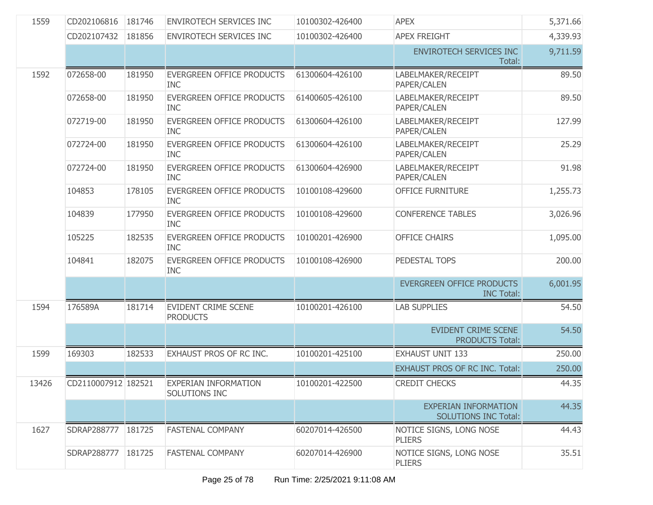| 1559  | CD202106816          | 181746 | <b>ENVIROTECH SERVICES INC</b>                 | 10100302-426400 | <b>APEX</b>                                                | 5,371.66 |
|-------|----------------------|--------|------------------------------------------------|-----------------|------------------------------------------------------------|----------|
|       | CD202107432          | 181856 | <b>ENVIROTECH SERVICES INC</b>                 | 10100302-426400 | <b>APEX FREIGHT</b>                                        | 4,339.93 |
|       |                      |        |                                                |                 | <b>ENVIROTECH SERVICES INC</b><br>Total:                   | 9,711.59 |
| 1592  | 072658-00            | 181950 | EVERGREEN OFFICE PRODUCTS<br><b>INC</b>        | 61300604-426100 | LABELMAKER/RECEIPT<br>PAPER/CALEN                          | 89.50    |
|       | 072658-00            | 181950 | EVERGREEN OFFICE PRODUCTS<br><b>INC</b>        | 61400605-426100 | LABELMAKER/RECEIPT<br>PAPER/CALEN                          | 89.50    |
|       | 072719-00            | 181950 | <b>EVERGREEN OFFICE PRODUCTS</b><br><b>INC</b> | 61300604-426100 | LABELMAKER/RECEIPT<br>PAPER/CALEN                          | 127.99   |
|       | 072724-00            | 181950 | <b>EVERGREEN OFFICE PRODUCTS</b><br><b>INC</b> | 61300604-426100 | LABELMAKER/RECEIPT<br>PAPER/CALEN                          | 25.29    |
|       | 072724-00            | 181950 | EVERGREEN OFFICE PRODUCTS<br><b>INC</b>        | 61300604-426900 | LABELMAKER/RECEIPT<br>PAPER/CALEN                          | 91.98    |
|       | 104853               | 178105 | <b>EVERGREEN OFFICE PRODUCTS</b><br><b>INC</b> | 10100108-429600 | <b>OFFICE FURNITURE</b>                                    | 1,255.73 |
|       | 104839               | 177950 | EVERGREEN OFFICE PRODUCTS<br><b>INC</b>        | 10100108-429600 | <b>CONFERENCE TABLES</b>                                   | 3,026.96 |
|       | 105225               | 182535 | EVERGREEN OFFICE PRODUCTS<br><b>INC</b>        | 10100201-426900 | <b>OFFICE CHAIRS</b>                                       | 1,095.00 |
|       | 104841               | 182075 | EVERGREEN OFFICE PRODUCTS<br><b>INC</b>        | 10100108-426900 | PEDESTAL TOPS                                              | 200.00   |
|       |                      |        |                                                |                 | <b>EVERGREEN OFFICE PRODUCTS</b><br><b>INC Total:</b>      | 6,001.95 |
| 1594  | 176589A              | 181714 | EVIDENT CRIME SCENE<br><b>PRODUCTS</b>         | 10100201-426100 | <b>LAB SUPPLIES</b>                                        | 54.50    |
|       |                      |        |                                                |                 | <b>EVIDENT CRIME SCENE</b><br><b>PRODUCTS Total:</b>       | 54.50    |
| 1599  | 169303               | 182533 | <b>EXHAUST PROS OF RC INC.</b>                 | 10100201-425100 | <b>EXHAUST UNIT 133</b>                                    | 250.00   |
|       |                      |        |                                                |                 | <b>EXHAUST PROS OF RC INC. Total:</b>                      | 250.00   |
| 13426 | CD2110007912 182521  |        | <b>EXPERIAN INFORMATION</b><br>SOLUTIONS INC   | 10100201-422500 | <b>CREDIT CHECKS</b>                                       | 44.35    |
|       |                      |        |                                                |                 | <b>EXPERIAN INFORMATION</b><br><b>SOLUTIONS INC Total:</b> | 44.35    |
| 1627  | SDRAP288777 181725   |        | <b>FASTENAL COMPANY</b>                        | 60207014-426500 | NOTICE SIGNS, LONG NOSE<br><b>PLIERS</b>                   | 44.43    |
|       | SDRAP288777   181725 |        | <b>FASTENAL COMPANY</b>                        | 60207014-426900 | NOTICE SIGNS, LONG NOSE<br><b>PLIERS</b>                   | 35.51    |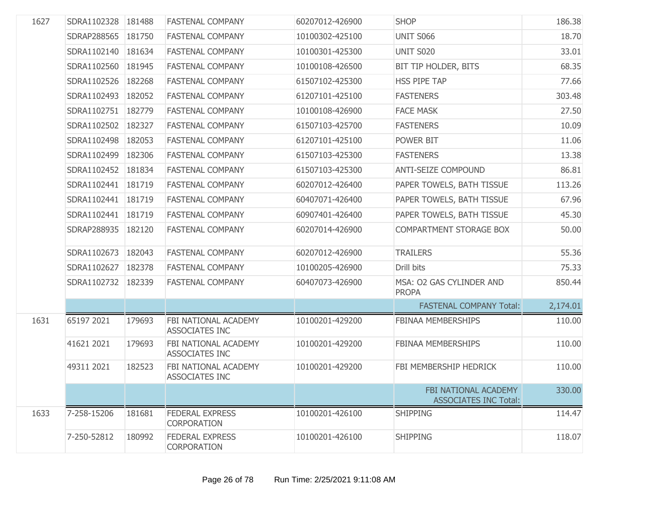| 1627 | SDRA1102328 181488   |        | <b>FASTENAL COMPANY</b>                       | 60207012-426900 | <b>SHOP</b>                                          | 186.38   |
|------|----------------------|--------|-----------------------------------------------|-----------------|------------------------------------------------------|----------|
|      | SDRAP288565          | 181750 | <b>FASTENAL COMPANY</b>                       | 10100302-425100 | <b>UNIT S066</b>                                     | 18.70    |
|      | SDRA1102140 181634   |        | <b>FASTENAL COMPANY</b>                       | 10100301-425300 | <b>UNIT S020</b>                                     | 33.01    |
|      | SDRA1102560 181945   |        | <b>FASTENAL COMPANY</b>                       | 10100108-426500 | BIT TIP HOLDER, BITS                                 | 68.35    |
|      | SDRA1102526 182268   |        | <b>FASTENAL COMPANY</b>                       | 61507102-425300 | HSS PIPE TAP                                         | 77.66    |
|      | SDRA1102493          | 182052 | FASTENAL COMPANY                              | 61207101-425100 | <b>FASTENERS</b>                                     | 303.48   |
|      | SDRA1102751 182779   |        | <b>FASTENAL COMPANY</b>                       | 10100108-426900 | <b>FACE MASK</b>                                     | 27.50    |
|      | SDRA1102502          | 182327 | <b>FASTENAL COMPANY</b>                       | 61507103-425700 | <b>FASTENERS</b>                                     | 10.09    |
|      | SDRA1102498 182053   |        | <b>FASTENAL COMPANY</b>                       | 61207101-425100 | POWER BIT                                            | 11.06    |
|      | SDRA1102499          | 182306 | <b>FASTENAL COMPANY</b>                       | 61507103-425300 | <b>FASTENERS</b>                                     | 13.38    |
|      | SDRA1102452 181834   |        | <b>FASTENAL COMPANY</b>                       | 61507103-425300 | <b>ANTI-SEIZE COMPOUND</b>                           | 86.81    |
|      | SDRA1102441 181719   |        | <b>FASTENAL COMPANY</b>                       | 60207012-426400 | PAPER TOWELS, BATH TISSUE                            | 113.26   |
|      | SDRA1102441   181719 |        | <b>FASTENAL COMPANY</b>                       | 60407071-426400 | PAPER TOWELS, BATH TISSUE                            | 67.96    |
|      | SDRA1102441          | 181719 | <b>FASTENAL COMPANY</b>                       | 60907401-426400 | PAPER TOWELS, BATH TISSUE                            | 45.30    |
|      | SDRAP288935   182120 |        | <b>FASTENAL COMPANY</b>                       | 60207014-426900 | <b>COMPARTMENT STORAGE BOX</b>                       | 50.00    |
|      | SDRA1102673          | 182043 | <b>FASTENAL COMPANY</b>                       | 60207012-426900 | <b>TRAILERS</b>                                      | 55.36    |
|      | SDRA1102627 182378   |        | <b>FASTENAL COMPANY</b>                       | 10100205-426900 | Drill bits                                           | 75.33    |
|      | SDRA1102732 182339   |        | <b>FASTENAL COMPANY</b>                       | 60407073-426900 | MSA: O2 GAS CYLINDER AND<br><b>PROPA</b>             | 850.44   |
|      |                      |        |                                               |                 | <b>FASTENAL COMPANY Total:</b>                       | 2,174.01 |
| 1631 | 65197 2021           | 179693 | FBI NATIONAL ACADEMY<br><b>ASSOCIATES INC</b> | 10100201-429200 | FBINAA MEMBERSHIPS                                   | 110.00   |
|      | 41621 2021           | 179693 | FBI NATIONAL ACADEMY<br>ASSOCIATES INC        | 10100201-429200 | FBINAA MEMBERSHIPS                                   | 110.00   |
|      | 49311 2021           | 182523 | FBI NATIONAL ACADEMY<br><b>ASSOCIATES INC</b> | 10100201-429200 | FBI MEMBERSHIP HEDRICK                               | 110.00   |
|      |                      |        |                                               |                 | FBI NATIONAL ACADEMY<br><b>ASSOCIATES INC Total:</b> | 330.00   |
| 1633 | 7-258-15206          | 181681 | <b>FEDERAL EXPRESS</b><br><b>CORPORATION</b>  | 10100201-426100 | <b>SHIPPING</b>                                      | 114.47   |
|      | 7-250-52812          | 180992 | <b>FEDERAL EXPRESS</b><br><b>CORPORATION</b>  | 10100201-426100 | <b>SHIPPING</b>                                      | 118.07   |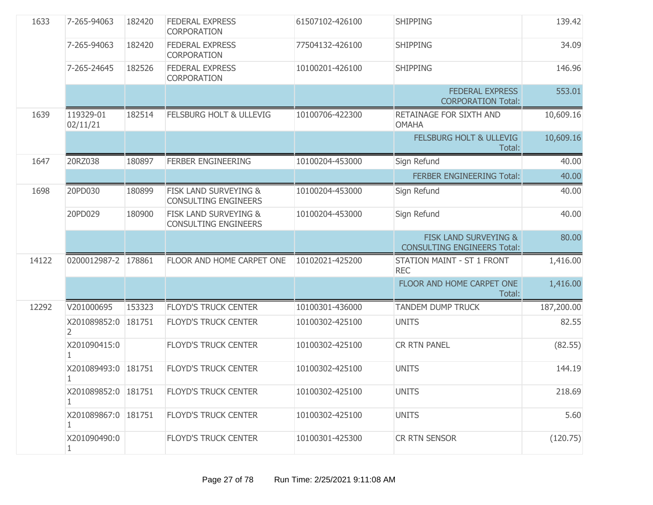| 1633  | 7-265-94063           | 182420 | <b>FEDERAL EXPRESS</b><br>CORPORATION                | 61507102-426100 | <b>SHIPPING</b>                                                        | 139.42     |
|-------|-----------------------|--------|------------------------------------------------------|-----------------|------------------------------------------------------------------------|------------|
|       | 7-265-94063           | 182420 | <b>FEDERAL EXPRESS</b><br><b>CORPORATION</b>         | 77504132-426100 | <b>SHIPPING</b>                                                        | 34.09      |
|       | 7-265-24645           | 182526 | <b>FEDERAL EXPRESS</b><br>CORPORATION                | 10100201-426100 | <b>SHIPPING</b>                                                        | 146.96     |
|       |                       |        |                                                      |                 | <b>FEDERAL EXPRESS</b><br><b>CORPORATION Total:</b>                    | 553.01     |
| 1639  | 119329-01<br>02/11/21 | 182514 | FELSBURG HOLT & ULLEVIG                              | 10100706-422300 | <b>RETAINAGE FOR SIXTH AND</b><br><b>OMAHA</b>                         | 10,609.16  |
|       |                       |        |                                                      |                 | <b>FELSBURG HOLT &amp; ULLEVIG</b><br>Total:                           | 10,609.16  |
| 1647  | 20RZ038               | 180897 | <b>FERBER ENGINEERING</b>                            | 10100204-453000 | Sign Refund                                                            | 40.00      |
|       |                       |        |                                                      |                 | <b>FERBER ENGINEERING Total:</b>                                       | 40.00      |
| 1698  | 20PD030               | 180899 | FISK LAND SURVEYING &<br><b>CONSULTING ENGINEERS</b> | 10100204-453000 | Sign Refund                                                            | 40.00      |
|       | 20PD029               | 180900 | FISK LAND SURVEYING &<br><b>CONSULTING ENGINEERS</b> | 10100204-453000 | Sign Refund                                                            | 40.00      |
|       |                       |        |                                                      |                 | <b>FISK LAND SURVEYING &amp;</b><br><b>CONSULTING ENGINEERS Total:</b> | 80.00      |
| 14122 | 0200012987-2          | 178861 | FLOOR AND HOME CARPET ONE                            | 10102021-425200 | STATION MAINT - ST 1 FRONT<br><b>REC</b>                               | 1,416.00   |
|       |                       |        |                                                      |                 | FLOOR AND HOME CARPET ONE<br>Total:                                    | 1,416.00   |
| 12292 | V201000695            | 153323 | <b>FLOYD'S TRUCK CENTER</b>                          | 10100301-436000 | <b>TANDEM DUMP TRUCK</b>                                               | 187,200.00 |
|       | X201089852:0<br>2     | 181751 | <b>FLOYD'S TRUCK CENTER</b>                          | 10100302-425100 | <b>UNITS</b>                                                           | 82.55      |
|       | X201090415:0<br>1     |        | <b>FLOYD'S TRUCK CENTER</b>                          | 10100302-425100 | <b>CR RTN PANEL</b>                                                    | (82.55)    |
|       | X201089493:0<br>1     | 181751 | <b>FLOYD'S TRUCK CENTER</b>                          | 10100302-425100 | <b>UNITS</b>                                                           | 144.19     |
|       | X201089852:0 181751   |        | <b>FLOYD'S TRUCK CENTER</b>                          | 10100302-425100 | <b>UNITS</b>                                                           | 218.69     |
|       | X201089867:0 181751   |        | <b>FLOYD'S TRUCK CENTER</b>                          | 10100302-425100 | <b>UNITS</b>                                                           | 5.60       |
|       | X201090490:0<br>1     |        | <b>FLOYD'S TRUCK CENTER</b>                          | 10100301-425300 | CR RTN SENSOR                                                          | (120.75)   |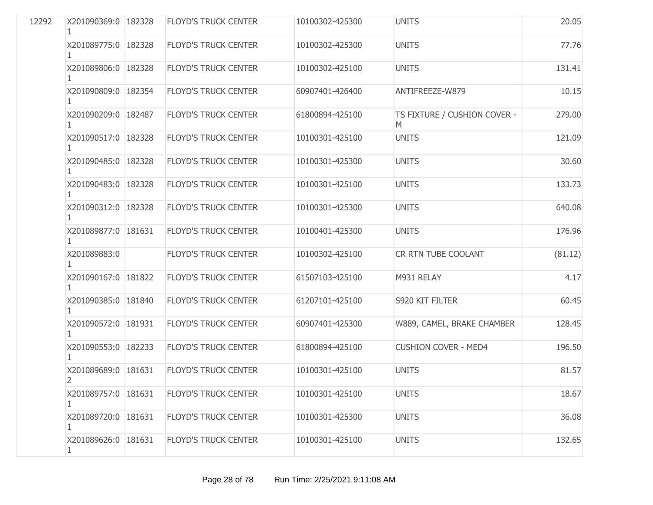| 12292 | X201090369:0 182328        | <b>FLOYD'S TRUCK CENTER</b> | 10100302-425300 | <b>UNITS</b>                      | 20.05   |
|-------|----------------------------|-----------------------------|-----------------|-----------------------------------|---------|
|       | X201089775:0 182328        | <b>FLOYD'S TRUCK CENTER</b> | 10100302-425300 | <b>UNITS</b>                      | 77.76   |
|       | X201089806:0 182328<br>1   | <b>FLOYD'S TRUCK CENTER</b> | 10100302-425100 | <b>UNITS</b>                      | 131.41  |
|       | X201090809:0 182354        | <b>FLOYD'S TRUCK CENTER</b> | 60907401-426400 | ANTIFREEZE-W879                   | 10.15   |
|       | X201090209:0 182487        | <b>FLOYD'S TRUCK CENTER</b> | 61800894-425100 | TS FIXTURE / CUSHION COVER -<br>M | 279.00  |
|       | X201090517:0   182328<br>1 | <b>FLOYD'S TRUCK CENTER</b> | 10100301-425100 | <b>UNITS</b>                      | 121.09  |
|       | X201090485:0 182328        | <b>FLOYD'S TRUCK CENTER</b> | 10100301-425300 | <b>UNITS</b>                      | 30.60   |
|       | X201090483:0 182328        | <b>FLOYD'S TRUCK CENTER</b> | 10100301-425100 | <b>UNITS</b>                      | 133.73  |
|       | X201090312:0 182328        | <b>FLOYD'S TRUCK CENTER</b> | 10100301-425300 | <b>UNITS</b>                      | 640.08  |
|       | X201089877:0 181631        | <b>FLOYD'S TRUCK CENTER</b> | 10100401-425300 | <b>UNITS</b>                      | 176.96  |
|       | X201089883:0<br>1.         | <b>FLOYD'S TRUCK CENTER</b> | 10100302-425100 | CR RTN TUBE COOLANT               | (81.12) |
|       | X201090167:0   181822      | <b>FLOYD'S TRUCK CENTER</b> | 61507103-425100 | M931 RELAY                        | 4.17    |
|       | X201090385:0 181840<br>1   | <b>FLOYD'S TRUCK CENTER</b> | 61207101-425100 | S920 KIT FILTER                   | 60.45   |
|       | X201090572:0 181931        | <b>FLOYD'S TRUCK CENTER</b> | 60907401-425300 | W889, CAMEL, BRAKE CHAMBER        | 128.45  |
|       | X201090553:0 182233        | <b>FLOYD'S TRUCK CENTER</b> | 61800894-425100 | <b>CUSHION COVER - MED4</b>       | 196.50  |
|       | X201089689:0 181631<br>2   | <b>FLOYD'S TRUCK CENTER</b> | 10100301-425100 | <b>UNITS</b>                      | 81.57   |
|       | X201089757:0   181631      | <b>FLOYD'S TRUCK CENTER</b> | 10100301-425100 | <b>UNITS</b>                      | 18.67   |
|       | X201089720:0   181631      | <b>FLOYD'S TRUCK CENTER</b> | 10100301-425300 | <b>UNITS</b>                      | 36.08   |
|       | X201089626:0   181631<br>1 | <b>FLOYD'S TRUCK CENTER</b> | 10100301-425100 | <b>UNITS</b>                      | 132.65  |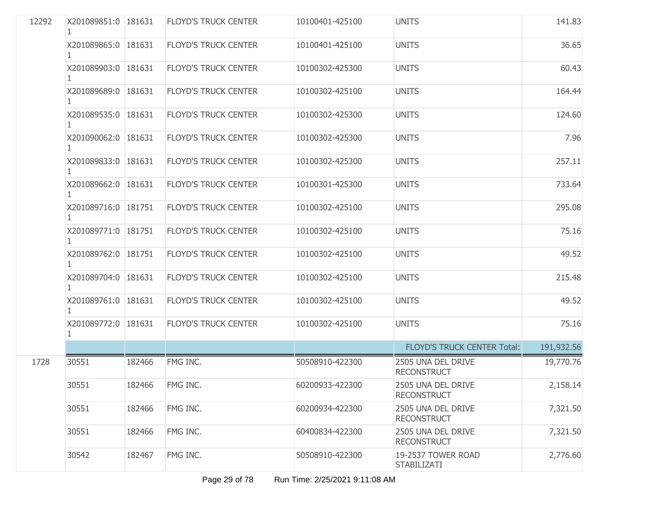| 12292 | X201089851:0 181631   |        | <b>FLOYD'S TRUCK CENTER</b> | 10100401-425100 | <b>UNITS</b>                             | 141.83     |
|-------|-----------------------|--------|-----------------------------|-----------------|------------------------------------------|------------|
|       | X201089865:0 181631   |        | <b>FLOYD'S TRUCK CENTER</b> | 10100401-425100 | <b>UNITS</b>                             | 36.65      |
|       | X201089903:0 181631   |        | <b>FLOYD'S TRUCK CENTER</b> | 10100302-425300 | <b>UNITS</b>                             | 60.43      |
|       | X201089689:0   181631 |        | <b>FLOYD'S TRUCK CENTER</b> | 10100302-425100 | <b>UNITS</b>                             | 164.44     |
|       | X201089535:0 181631   |        | <b>FLOYD'S TRUCK CENTER</b> | 10100302-425300 | <b>UNITS</b>                             | 124.60     |
|       | X201090062:0   181631 |        | <b>FLOYD'S TRUCK CENTER</b> | 10100302-425300 | <b>UNITS</b>                             | 7.96       |
|       | X201089833:0 181631   |        | <b>FLOYD'S TRUCK CENTER</b> | 10100302-425300 | <b>UNITS</b>                             | 257.11     |
|       | X201089662:0 181631   |        | <b>FLOYD'S TRUCK CENTER</b> | 10100301-425300 | <b>UNITS</b>                             | 733.64     |
|       | X201089716:0 181751   |        | <b>FLOYD'S TRUCK CENTER</b> | 10100302-425100 | <b>UNITS</b>                             | 295.08     |
|       | X201089771:0 181751   |        | <b>FLOYD'S TRUCK CENTER</b> | 10100302-425100 | <b>UNITS</b>                             | 75.16      |
|       | X201089762:0 181751   |        | <b>FLOYD'S TRUCK CENTER</b> | 10100302-425100 | <b>UNITS</b>                             | 49.52      |
|       | X201089704:0   181631 |        | <b>FLOYD'S TRUCK CENTER</b> | 10100302-425100 | <b>UNITS</b>                             | 215.48     |
|       | X201089761:0 181631   |        | <b>FLOYD'S TRUCK CENTER</b> | 10100302-425100 | <b>UNITS</b>                             | 49.52      |
|       | X201089772:0 181631   |        | <b>FLOYD'S TRUCK CENTER</b> | 10100302-425100 | <b>UNITS</b>                             | 75.16      |
|       |                       |        |                             |                 | <b>FLOYD'S TRUCK CENTER Total:</b>       | 191,932.56 |
| 1728  | 30551                 | 182466 | FMG INC.                    | 50508910-422300 | 2505 UNA DEL DRIVE<br><b>RECONSTRUCT</b> | 19,770.76  |
|       | 30551                 | 182466 | FMG INC.                    | 60200933-422300 | 2505 UNA DEL DRIVE<br><b>RECONSTRUCT</b> | 2,158.14   |
|       | 30551                 | 182466 | FMG INC.                    | 60200934-422300 | 2505 UNA DEL DRIVE<br><b>RECONSTRUCT</b> | 7,321.50   |
|       | 30551                 | 182466 | FMG INC.                    | 60400834-422300 | 2505 UNA DEL DRIVE<br><b>RECONSTRUCT</b> | 7,321.50   |
|       | 30542                 | 182467 | FMG INC.                    | 50508910-422300 | 19-2537 TOWER ROAD<br><b>STABILIZATI</b> | 2,776.60   |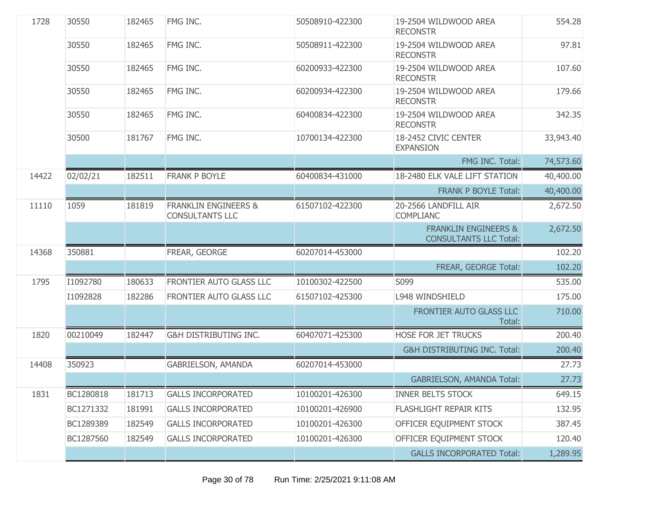| 1728  | 30550     | 182465 | FMG INC.                                                  | 50508910-422300 | 19-2504 WILDWOOD AREA<br><b>RECONSTR</b>                         | 554.28    |
|-------|-----------|--------|-----------------------------------------------------------|-----------------|------------------------------------------------------------------|-----------|
|       | 30550     | 182465 | FMG INC.                                                  | 50508911-422300 | 19-2504 WILDWOOD AREA<br><b>RECONSTR</b>                         | 97.81     |
|       | 30550     | 182465 | FMG INC.                                                  | 60200933-422300 | 19-2504 WILDWOOD AREA<br><b>RECONSTR</b>                         | 107.60    |
|       | 30550     | 182465 | FMG INC.                                                  | 60200934-422300 | 19-2504 WILDWOOD AREA<br><b>RECONSTR</b>                         | 179.66    |
|       | 30550     | 182465 | FMG INC.                                                  | 60400834-422300 | 19-2504 WILDWOOD AREA<br><b>RECONSTR</b>                         | 342.35    |
|       | 30500     | 181767 | FMG INC.                                                  | 10700134-422300 | 18-2452 CIVIC CENTER<br><b>EXPANSION</b>                         | 33,943.40 |
|       |           |        |                                                           |                 | FMG INC. Total:                                                  | 74,573.60 |
| 14422 | 02/02/21  | 182511 | <b>FRANK P BOYLE</b>                                      | 60400834-431000 | 18-2480 ELK VALE LIFT STATION                                    | 40,400.00 |
|       |           |        |                                                           |                 | <b>FRANK P BOYLE Total:</b>                                      | 40,400.00 |
| 11110 | 1059      | 181819 | <b>FRANKLIN ENGINEERS &amp;</b><br><b>CONSULTANTS LLC</b> | 61507102-422300 | 20-2566 LANDFILL AIR<br><b>COMPLIANC</b>                         | 2,672.50  |
|       |           |        |                                                           |                 | <b>FRANKLIN ENGINEERS &amp;</b><br><b>CONSULTANTS LLC Total:</b> | 2,672.50  |
| 14368 | 350881    |        | FREAR, GEORGE                                             | 60207014-453000 |                                                                  | 102.20    |
|       |           |        |                                                           |                 | FREAR, GEORGE Total:                                             | 102.20    |
| 1795  | I1092780  | 180633 | FRONTIER AUTO GLASS LLC                                   | 10100302-422500 | S099                                                             | 535.00    |
|       | I1092828  | 182286 | FRONTIER AUTO GLASS LLC                                   | 61507102-425300 | L948 WINDSHIELD                                                  | 175.00    |
|       |           |        |                                                           |                 | FRONTIER AUTO GLASS LLC<br>Total:                                | 710.00    |
| 1820  | 00210049  | 182447 | G&H DISTRIBUTING INC.                                     | 60407071-425300 | HOSE FOR JET TRUCKS                                              | 200.40    |
|       |           |        |                                                           |                 | <b>G&amp;H DISTRIBUTING INC. Total:</b>                          | 200.40    |
| 14408 | 350923    |        | <b>GABRIELSON, AMANDA</b>                                 | 60207014-453000 |                                                                  | 27.73     |
|       |           |        |                                                           |                 | <b>GABRIELSON, AMANDA Total:</b>                                 | 27.73     |
| 1831  | BC1280818 | 181713 | <b>GALLS INCORPORATED</b>                                 | 10100201-426300 | <b>INNER BELTS STOCK</b>                                         | 649.15    |
|       | BC1271332 | 181991 | <b>GALLS INCORPORATED</b>                                 | 10100201-426900 | FLASHLIGHT REPAIR KITS                                           | 132.95    |
|       | BC1289389 | 182549 | <b>GALLS INCORPORATED</b>                                 | 10100201-426300 | OFFICER EQUIPMENT STOCK                                          | 387.45    |
|       | BC1287560 | 182549 | <b>GALLS INCORPORATED</b>                                 | 10100201-426300 | OFFICER EQUIPMENT STOCK                                          | 120.40    |
|       |           |        |                                                           |                 | <b>GALLS INCORPORATED Total:</b>                                 | 1,289.95  |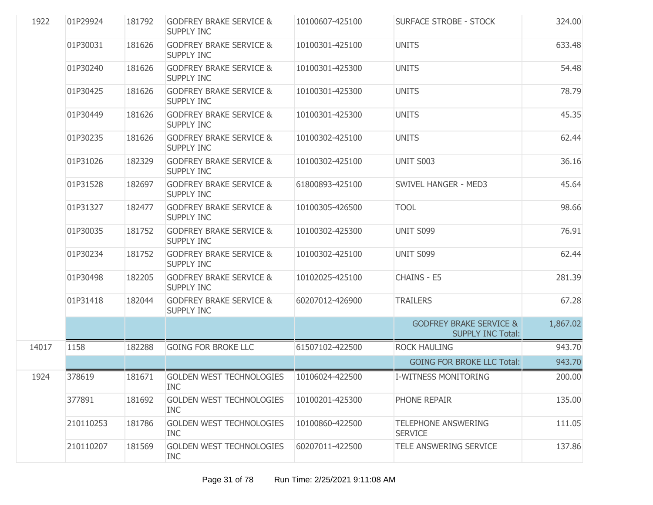| 1922  | 01P29924  | 181792 | <b>GODFREY BRAKE SERVICE &amp;</b><br><b>SUPPLY INC</b> | 10100607-425100 | <b>SURFACE STROBE - STOCK</b>                                  | 324.00   |
|-------|-----------|--------|---------------------------------------------------------|-----------------|----------------------------------------------------------------|----------|
|       | 01P30031  | 181626 | <b>GODFREY BRAKE SERVICE &amp;</b><br><b>SUPPLY INC</b> | 10100301-425100 | <b>UNITS</b>                                                   | 633.48   |
|       | 01P30240  | 181626 | <b>GODFREY BRAKE SERVICE &amp;</b><br><b>SUPPLY INC</b> | 10100301-425300 | <b>UNITS</b>                                                   | 54.48    |
|       | 01P30425  | 181626 | <b>GODFREY BRAKE SERVICE &amp;</b><br><b>SUPPLY INC</b> | 10100301-425300 | <b>UNITS</b>                                                   | 78.79    |
|       | 01P30449  | 181626 | <b>GODFREY BRAKE SERVICE &amp;</b><br><b>SUPPLY INC</b> | 10100301-425300 | <b>UNITS</b>                                                   | 45.35    |
|       | 01P30235  | 181626 | <b>GODFREY BRAKE SERVICE &amp;</b><br><b>SUPPLY INC</b> | 10100302-425100 | <b>UNITS</b>                                                   | 62.44    |
|       | 01P31026  | 182329 | <b>GODFREY BRAKE SERVICE &amp;</b><br><b>SUPPLY INC</b> | 10100302-425100 | <b>UNIT S003</b>                                               | 36.16    |
|       | 01P31528  | 182697 | <b>GODFREY BRAKE SERVICE &amp;</b><br><b>SUPPLY INC</b> | 61800893-425100 | <b>SWIVEL HANGER - MED3</b>                                    | 45.64    |
|       | 01P31327  | 182477 | <b>GODFREY BRAKE SERVICE &amp;</b><br><b>SUPPLY INC</b> | 10100305-426500 | <b>TOOL</b>                                                    | 98.66    |
|       | 01P30035  | 181752 | <b>GODFREY BRAKE SERVICE &amp;</b><br><b>SUPPLY INC</b> | 10100302-425300 | <b>UNIT S099</b>                                               | 76.91    |
|       | 01P30234  | 181752 | <b>GODFREY BRAKE SERVICE &amp;</b><br><b>SUPPLY INC</b> | 10100302-425100 | UNIT S099                                                      | 62.44    |
|       | 01P30498  | 182205 | <b>GODFREY BRAKE SERVICE &amp;</b><br><b>SUPPLY INC</b> | 10102025-425100 | CHAINS - E5                                                    | 281.39   |
|       | 01P31418  | 182044 | <b>GODFREY BRAKE SERVICE &amp;</b><br><b>SUPPLY INC</b> | 60207012-426900 | <b>TRAILERS</b>                                                | 67.28    |
|       |           |        |                                                         |                 | <b>GODFREY BRAKE SERVICE &amp;</b><br><b>SUPPLY INC Total:</b> | 1,867.02 |
| 14017 | 1158      | 182288 | <b>GOING FOR BROKE LLC</b>                              | 61507102-422500 | <b>ROCK HAULING</b>                                            | 943.70   |
|       |           |        |                                                         |                 | <b>GOING FOR BROKE LLC Total:</b>                              | 943.70   |
| 1924  | 378619    | 181671 | <b>GOLDEN WEST TECHNOLOGIES</b><br>INC                  | 10106024-422500 | <b>I-WITNESS MONITORING</b>                                    | 200.00   |
|       | 377891    | 181692 | <b>GOLDEN WEST TECHNOLOGIES</b><br><b>INC</b>           | 10100201-425300 | PHONE REPAIR                                                   | 135.00   |
|       | 210110253 | 181786 | <b>GOLDEN WEST TECHNOLOGIES</b><br><b>INC</b>           | 10100860-422500 | <b>TELEPHONE ANSWERING</b><br><b>SERVICE</b>                   | 111.05   |
|       | 210110207 | 181569 | <b>GOLDEN WEST TECHNOLOGIES</b><br><b>INC</b>           | 60207011-422500 | TELE ANSWERING SERVICE                                         | 137.86   |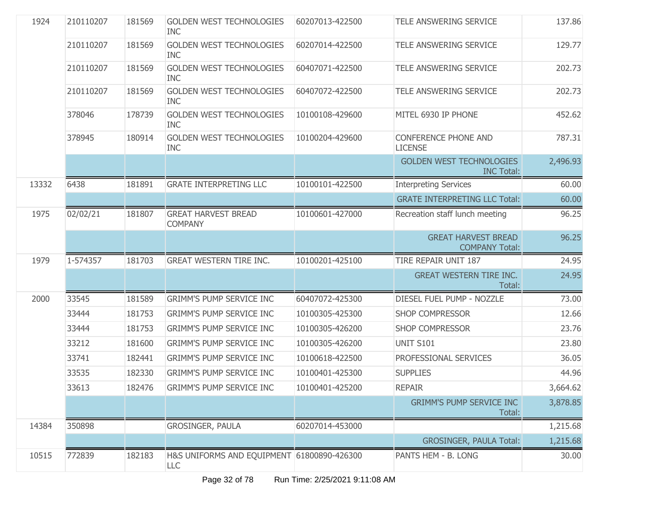| 1924  | 210110207 | 181569 | <b>GOLDEN WEST TECHNOLOGIES</b><br><b>INC</b>     | 60207013-422500 | TELE ANSWERING SERVICE                               | 137.86   |
|-------|-----------|--------|---------------------------------------------------|-----------------|------------------------------------------------------|----------|
|       | 210110207 | 181569 | <b>GOLDEN WEST TECHNOLOGIES</b><br><b>INC</b>     | 60207014-422500 | TELE ANSWERING SERVICE                               | 129.77   |
|       | 210110207 | 181569 | <b>GOLDEN WEST TECHNOLOGIES</b><br><b>INC</b>     | 60407071-422500 | TELE ANSWERING SERVICE                               | 202.73   |
|       | 210110207 | 181569 | <b>GOLDEN WEST TECHNOLOGIES</b><br><b>INC</b>     | 60407072-422500 | TELE ANSWERING SERVICE                               | 202.73   |
|       | 378046    | 178739 | <b>GOLDEN WEST TECHNOLOGIES</b><br><b>INC</b>     | 10100108-429600 | MITEL 6930 IP PHONE                                  | 452.62   |
|       | 378945    | 180914 | <b>GOLDEN WEST TECHNOLOGIES</b><br><b>INC</b>     | 10100204-429600 | <b>CONFERENCE PHONE AND</b><br><b>LICENSE</b>        | 787.31   |
|       |           |        |                                                   |                 | <b>GOLDEN WEST TECHNOLOGIES</b><br><b>INC Total:</b> | 2,496.93 |
| 13332 | 6438      | 181891 | <b>GRATE INTERPRETING LLC</b>                     | 10100101-422500 | <b>Interpreting Services</b>                         | 60.00    |
|       |           |        |                                                   |                 | <b>GRATE INTERPRETING LLC Total:</b>                 | 60.00    |
| 1975  | 02/02/21  | 181807 | <b>GREAT HARVEST BREAD</b><br><b>COMPANY</b>      | 10100601-427000 | Recreation staff lunch meeting                       | 96.25    |
|       |           |        |                                                   |                 | <b>GREAT HARVEST BREAD</b><br><b>COMPANY Total:</b>  | 96.25    |
| 1979  | 1-574357  | 181703 | <b>GREAT WESTERN TIRE INC.</b>                    | 10100201-425100 | TIRE REPAIR UNIT 187                                 | 24.95    |
|       |           |        |                                                   |                 | <b>GREAT WESTERN TIRE INC.</b><br>Total:             | 24.95    |
| 2000  | 33545     | 181589 | <b>GRIMM'S PUMP SERVICE INC</b>                   | 60407072-425300 | DIESEL FUEL PUMP - NOZZLE                            | 73.00    |
|       | 33444     | 181753 | <b>GRIMM'S PUMP SERVICE INC</b>                   | 10100305-425300 | <b>SHOP COMPRESSOR</b>                               | 12.66    |
|       | 33444     | 181753 | <b>GRIMM'S PUMP SERVICE INC</b>                   | 10100305-426200 | <b>SHOP COMPRESSOR</b>                               | 23.76    |
|       | 33212     | 181600 | <b>GRIMM'S PUMP SERVICE INC</b>                   | 10100305-426200 | <b>UNIT S101</b>                                     | 23.80    |
|       | 33741     | 182441 | <b>GRIMM'S PUMP SERVICE INC</b>                   | 10100618-422500 | PROFESSIONAL SERVICES                                | 36.05    |
|       | 33535     | 182330 | <b>GRIMM'S PUMP SERVICE INC</b>                   | 10100401-425300 | <b>SUPPLIES</b>                                      | 44.96    |
|       | 33613     | 182476 | <b>GRIMM'S PUMP SERVICE INC</b>                   | 10100401-425200 | <b>REPAIR</b>                                        | 3,664.62 |
|       |           |        |                                                   |                 | <b>GRIMM'S PUMP SERVICE INC</b><br>Total:            | 3,878.85 |
| 14384 | 350898    |        | <b>GROSINGER, PAULA</b>                           | 60207014-453000 |                                                      | 1,215.68 |
|       |           |        |                                                   |                 | <b>GROSINGER, PAULA Total:</b>                       | 1,215.68 |
| 10515 | 772839    | 182183 | H&S UNIFORMS AND EQUIPMENT 61800890-426300<br>LLC |                 | PANTS HEM - B. LONG                                  | 30.00    |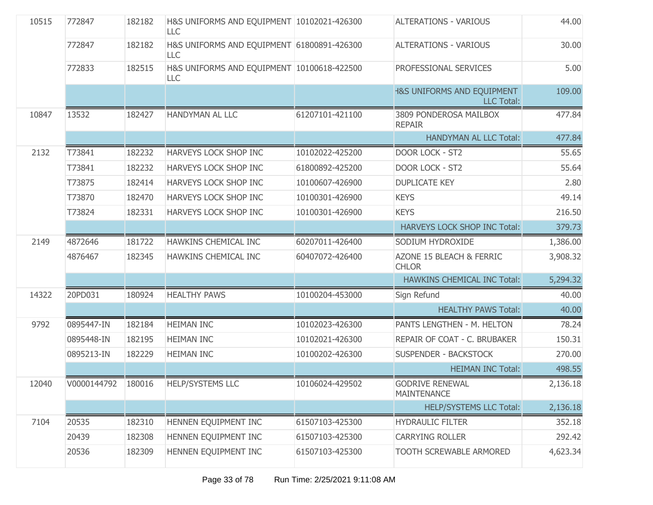| 10515 | 772847             | 182182 | H&S UNIFORMS AND EQUIPMENT 10102021-426300<br>LLC |                 | <b>ALTERATIONS - VARIOUS</b>                               | 44.00    |
|-------|--------------------|--------|---------------------------------------------------|-----------------|------------------------------------------------------------|----------|
|       | 772847             | 182182 | H&S UNIFORMS AND EQUIPMENT 61800891-426300<br>LLC |                 | <b>ALTERATIONS - VARIOUS</b>                               | 30.00    |
|       | 772833             | 182515 | H&S UNIFORMS AND EQUIPMENT 10100618-422500<br>LLC |                 | PROFESSIONAL SERVICES                                      | 5.00     |
|       |                    |        |                                                   |                 | <b>1&amp;S UNIFORMS AND EQUIPMENT</b><br><b>LLC Total:</b> | 109.00   |
| 10847 | 13532              | 182427 | <b>HANDYMAN AL LLC</b>                            | 61207101-421100 | 3809 PONDEROSA MAILBOX<br><b>REPAIR</b>                    | 477.84   |
|       |                    |        |                                                   |                 | <b>HANDYMAN AL LLC Total:</b>                              | 477.84   |
| 2132  | T73841             | 182232 | <b>HARVEYS LOCK SHOP INC</b>                      | 10102022-425200 | <b>DOOR LOCK - ST2</b>                                     | 55.65    |
|       | T73841             | 182232 | HARVEYS LOCK SHOP INC                             | 61800892-425200 | DOOR LOCK - ST2                                            | 55.64    |
|       | T73875             | 182414 | <b>HARVEYS LOCK SHOP INC</b>                      | 10100607-426900 | <b>DUPLICATE KEY</b>                                       | 2.80     |
|       | T73870             | 182470 | HARVEYS LOCK SHOP INC                             | 10100301-426900 | <b>KEYS</b>                                                | 49.14    |
|       | T73824             | 182331 | HARVEYS LOCK SHOP INC                             | 10100301-426900 | <b>KEYS</b>                                                | 216.50   |
|       |                    |        |                                                   |                 | HARVEYS LOCK SHOP INC Total:                               | 379.73   |
| 2149  | 4872646            | 181722 | HAWKINS CHEMICAL INC                              | 60207011-426400 | SODIUM HYDROXIDE                                           | 1,386.00 |
|       | 4876467            | 182345 | HAWKINS CHEMICAL INC                              | 60407072-426400 | AZONE 15 BLEACH & FERRIC<br><b>CHLOR</b>                   | 3,908.32 |
|       |                    |        |                                                   |                 | <b>HAWKINS CHEMICAL INC Total:</b>                         | 5,294.32 |
| 14322 | 20PD031            | 180924 | <b>HEALTHY PAWS</b>                               | 10100204-453000 | Sign Refund                                                | 40.00    |
|       |                    |        |                                                   |                 | <b>HEALTHY PAWS Total:</b>                                 | 40.00    |
| 9792  | 0895447-IN         | 182184 | <b>HEIMAN INC</b>                                 | 10102023-426300 | PANTS LENGTHEN - M. HELTON                                 | 78.24    |
|       | 0895448-IN         | 182195 | <b>HEIMAN INC</b>                                 | 10102021-426300 | REPAIR OF COAT - C. BRUBAKER                               | 150.31   |
|       | 0895213-IN         | 182229 | <b>HEIMAN INC</b>                                 | 10100202-426300 | <b>SUSPENDER - BACKSTOCK</b>                               | 270.00   |
|       |                    |        |                                                   |                 | <b>HEIMAN INC Total:</b>                                   | 498.55   |
| 12040 | V0000144792 180016 |        | <b>HELP/SYSTEMS LLC</b>                           | 10106024-429502 | <b>GODRIVE RENEWAL</b><br><b>MAINTENANCE</b>               | 2,136.18 |
|       |                    |        |                                                   |                 | <b>HELP/SYSTEMS LLC Total:</b>                             | 2,136.18 |
| 7104  | 20535              | 182310 | HENNEN EQUIPMENT INC                              | 61507103-425300 | <b>HYDRAULIC FILTER</b>                                    | 352.18   |
|       | 20439              | 182308 | HENNEN EQUIPMENT INC                              | 61507103-425300 | <b>CARRYING ROLLER</b>                                     | 292.42   |
|       | 20536              | 182309 | HENNEN EQUIPMENT INC                              | 61507103-425300 | TOOTH SCREWABLE ARMORED                                    | 4,623.34 |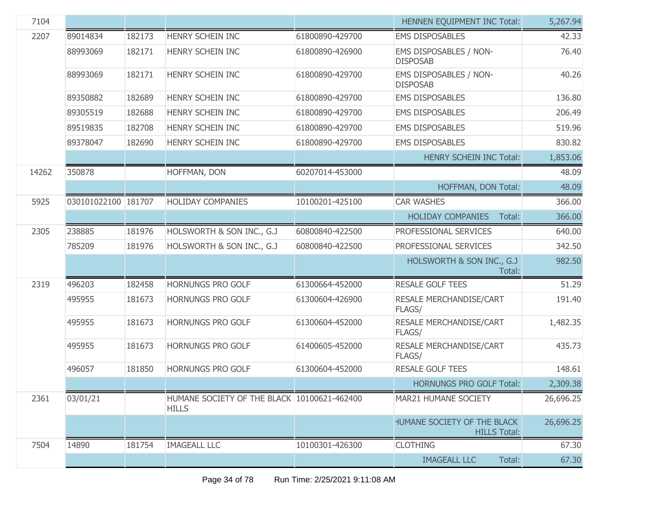| 7104  |                     |        |                                                             |                 | HENNEN EQUIPMENT INC Total:                        | 5,267.94  |
|-------|---------------------|--------|-------------------------------------------------------------|-----------------|----------------------------------------------------|-----------|
| 2207  | 89014834            | 182173 | HENRY SCHEIN INC                                            | 61800890-429700 | <b>EMS DISPOSABLES</b>                             | 42.33     |
|       | 88993069            | 182171 | HENRY SCHEIN INC                                            | 61800890-426900 | EMS DISPOSABLES / NON-<br><b>DISPOSAB</b>          | 76.40     |
|       | 88993069            | 182171 | HENRY SCHEIN INC                                            | 61800890-429700 | EMS DISPOSABLES / NON-<br><b>DISPOSAB</b>          | 40.26     |
|       | 89350882            | 182689 | HENRY SCHEIN INC                                            | 61800890-429700 | <b>EMS DISPOSABLES</b>                             | 136.80    |
|       | 89305519            | 182688 | HENRY SCHEIN INC                                            | 61800890-429700 | <b>EMS DISPOSABLES</b>                             | 206.49    |
|       | 89519835            | 182708 | HENRY SCHEIN INC                                            | 61800890-429700 | <b>EMS DISPOSABLES</b>                             | 519.96    |
|       | 89378047            | 182690 | HENRY SCHEIN INC                                            | 61800890-429700 | <b>EMS DISPOSABLES</b>                             | 830.82    |
|       |                     |        |                                                             |                 | <b>HENRY SCHEIN INC Total:</b>                     | 1,853.06  |
| 14262 | 350878              |        | HOFFMAN, DON                                                | 60207014-453000 |                                                    | 48.09     |
|       |                     |        |                                                             |                 | HOFFMAN, DON Total:                                | 48.09     |
| 5925  | 030101022100 181707 |        | <b>HOLIDAY COMPANIES</b>                                    | 10100201-425100 | <b>CAR WASHES</b>                                  | 366.00    |
|       |                     |        |                                                             |                 | <b>HOLIDAY COMPANIES</b><br>Total:                 | 366.00    |
| 2305  | 238885              | 181976 | HOLSWORTH & SON INC., G.J                                   | 60800840-422500 | PROFESSIONAL SERVICES                              | 640.00    |
|       | 785209              | 181976 | HOLSWORTH & SON INC., G.J                                   | 60800840-422500 | PROFESSIONAL SERVICES                              | 342.50    |
|       |                     |        |                                                             |                 | HOLSWORTH & SON INC., G.J<br>Total:                | 982.50    |
| 2319  | 496203              | 182458 | HORNUNGS PRO GOLF                                           | 61300664-452000 | <b>RESALE GOLF TEES</b>                            | 51.29     |
|       | 495955              | 181673 | HORNUNGS PRO GOLF                                           | 61300604-426900 | RESALE MERCHANDISE/CART<br>FLAGS/                  | 191.40    |
|       | 495955              | 181673 | <b>HORNUNGS PRO GOLF</b>                                    | 61300604-452000 | RESALE MERCHANDISE/CART<br>FLAGS/                  | 1,482.35  |
|       | 495955              | 181673 | HORNUNGS PRO GOLF                                           | 61400605-452000 | RESALE MERCHANDISE/CART<br>FLAGS/                  | 435.73    |
|       | 496057              | 181850 | <b>HORNUNGS PRO GOLF</b>                                    | 61300604-452000 | <b>RESALE GOLF TEES</b>                            | 148.61    |
|       |                     |        |                                                             |                 | HORNUNGS PRO GOLF Total:                           | 2,309.38  |
| 2361  | 03/01/21            |        | HUMANE SOCIETY OF THE BLACK 10100621-462400<br><b>HILLS</b> |                 | MAR21 HUMANE SOCIETY                               | 26,696.25 |
|       |                     |        |                                                             |                 | HUMANE SOCIETY OF THE BLACK<br><b>HILLS Total:</b> | 26,696.25 |
| 7504  | 14890               | 181754 | <b>IMAGEALL LLC</b>                                         | 10100301-426300 | <b>CLOTHING</b>                                    | 67.30     |
|       |                     |        |                                                             |                 | <b>IMAGEALL LLC</b><br>Total:                      | 67.30     |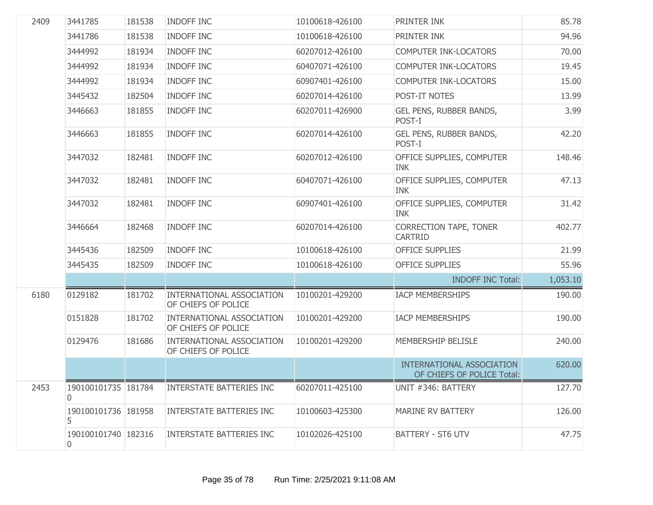| 2409 | 3441785                               | 181538 | <b>INDOFF INC</b>                                | 10100618-426100 | PRINTER INK                                             | 85.78    |
|------|---------------------------------------|--------|--------------------------------------------------|-----------------|---------------------------------------------------------|----------|
|      | 3441786                               | 181538 | <b>INDOFF INC</b>                                | 10100618-426100 | PRINTER INK                                             | 94.96    |
|      | 3444992                               | 181934 | <b>INDOFF INC</b>                                | 60207012-426100 | <b>COMPUTER INK-LOCATORS</b>                            | 70.00    |
|      | 3444992                               | 181934 | <b>INDOFF INC</b>                                | 60407071-426100 | <b>COMPUTER INK-LOCATORS</b>                            | 19.45    |
|      | 3444992                               | 181934 | <b>INDOFF INC</b>                                | 60907401-426100 | <b>COMPUTER INK-LOCATORS</b>                            | 15.00    |
|      | 3445432                               | 182504 | <b>INDOFF INC</b>                                | 60207014-426100 | POST-IT NOTES                                           | 13.99    |
|      | 3446663                               | 181855 | <b>INDOFF INC</b>                                | 60207011-426900 | GEL PENS, RUBBER BANDS,<br>POST-I                       | 3.99     |
|      | 3446663                               | 181855 | <b>INDOFF INC</b>                                | 60207014-426100 | GEL PENS, RUBBER BANDS,<br>POST-I                       | 42.20    |
|      | 3447032                               | 182481 | <b>INDOFF INC</b>                                | 60207012-426100 | OFFICE SUPPLIES, COMPUTER<br>INK                        | 148.46   |
|      | 3447032                               | 182481 | <b>INDOFF INC</b>                                | 60407071-426100 | OFFICE SUPPLIES, COMPUTER<br><b>INK</b>                 | 47.13    |
|      | 3447032                               | 182481 | <b>INDOFF INC</b>                                | 60907401-426100 | OFFICE SUPPLIES, COMPUTER<br><b>INK</b>                 | 31.42    |
|      | 3446664                               | 182468 | <b>INDOFF INC</b>                                | 60207014-426100 | <b>CORRECTION TAPE, TONER</b><br><b>CARTRID</b>         | 402.77   |
|      | 3445436                               | 182509 | <b>INDOFF INC</b>                                | 10100618-426100 | <b>OFFICE SUPPLIES</b>                                  | 21.99    |
|      | 3445435                               | 182509 | <b>INDOFF INC</b>                                | 10100618-426100 | <b>OFFICE SUPPLIES</b>                                  | 55.96    |
|      |                                       |        |                                                  |                 | <b>INDOFF INC Total:</b>                                | 1,053.10 |
| 6180 | 0129182                               | 181702 | INTERNATIONAL ASSOCIATION<br>OF CHIEFS OF POLICE | 10100201-429200 | <b>IACP MEMBERSHIPS</b>                                 | 190.00   |
|      | 0151828                               | 181702 | INTERNATIONAL ASSOCIATION<br>OF CHIEFS OF POLICE | 10100201-429200 | <b>IACP MEMBERSHIPS</b>                                 | 190.00   |
|      | 0129476                               | 181686 | INTERNATIONAL ASSOCIATION<br>OF CHIEFS OF POLICE | 10100201-429200 | MEMBERSHIP BELISLE                                      | 240.00   |
|      |                                       |        |                                                  |                 | INTERNATIONAL ASSOCIATION<br>OF CHIEFS OF POLICE Total: | 620.00   |
| 2453 | 190100101735 181784<br>$\overline{0}$ |        | <b>INTERSTATE BATTERIES INC</b>                  | 60207011-425100 | UNIT #346: BATTERY                                      | 127.70   |
|      | 190100101736 181958<br>5              |        | <b>INTERSTATE BATTERIES INC</b>                  | 10100603-425300 | MARINE RV BATTERY                                       | 126.00   |
|      | 190100101740 182316<br>0              |        | <b>INTERSTATE BATTERIES INC</b>                  | 10102026-425100 | <b>BATTERY - ST6 UTV</b>                                | 47.75    |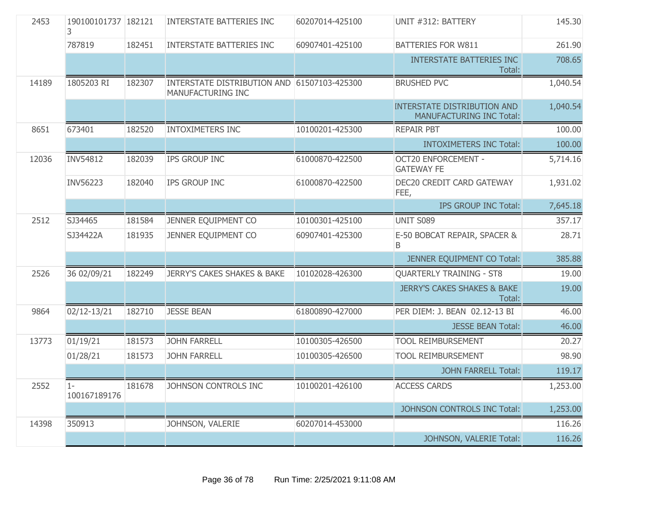| 2453  | 190100101737 182121<br>3 |        | <b>INTERSTATE BATTERIES INC</b>                                  | 60207014-425100 | UNIT #312: BATTERY                                                    | 145.30   |
|-------|--------------------------|--------|------------------------------------------------------------------|-----------------|-----------------------------------------------------------------------|----------|
|       | 787819                   | 182451 | <b>INTERSTATE BATTERIES INC</b>                                  | 60907401-425100 | <b>BATTERIES FOR W811</b>                                             | 261.90   |
|       |                          |        |                                                                  |                 | <b>INTERSTATE BATTERIES INC</b><br>Total:                             | 708.65   |
| 14189 | 1805203 RI               | 182307 | INTERSTATE DISTRIBUTION AND 61507103-425300<br>MANUFACTURING INC |                 | <b>BRUSHED PVC</b>                                                    | 1,040.54 |
|       |                          |        |                                                                  |                 | <b>INTERSTATE DISTRIBUTION AND</b><br><b>MANUFACTURING INC Total:</b> | 1,040.54 |
| 8651  | 673401                   | 182520 | <b>INTOXIMETERS INC</b>                                          | 10100201-425300 | <b>REPAIR PBT</b>                                                     | 100.00   |
|       |                          |        |                                                                  |                 | <b>INTOXIMETERS INC Total:</b>                                        | 100.00   |
| 12036 | INV54812                 | 182039 | IPS GROUP INC                                                    | 61000870-422500 | OCT20 ENFORCEMENT -<br><b>GATEWAY FE</b>                              | 5,714.16 |
|       | <b>INV56223</b>          | 182040 | <b>IPS GROUP INC</b>                                             | 61000870-422500 | <b>DEC20 CREDIT CARD GATEWAY</b><br>FEE,                              | 1,931.02 |
|       |                          |        |                                                                  |                 | IPS GROUP INC Total:                                                  | 7,645.18 |
| 2512  | SJ34465                  | 181584 | JENNER EQUIPMENT CO                                              | 10100301-425100 | UNIT S089                                                             | 357.17   |
|       | SJ34422A                 | 181935 | JENNER EQUIPMENT CO                                              | 60907401-425300 | E-50 BOBCAT REPAIR, SPACER &<br>B                                     | 28.71    |
|       |                          |        |                                                                  |                 | JENNER EQUIPMENT CO Total:                                            | 385.88   |
| 2526  | 36 02/09/21              | 182249 | <b>JERRY'S CAKES SHAKES &amp; BAKE</b>                           | 10102028-426300 | <b>QUARTERLY TRAINING - ST8</b>                                       | 19.00    |
|       |                          |        |                                                                  |                 | <b>JERRY'S CAKES SHAKES &amp; BAKE</b><br>Total:                      | 19.00    |
| 9864  | 02/12-13/21              | 182710 | <b>JESSE BEAN</b>                                                | 61800890-427000 | PER DIEM: J. BEAN 02.12-13 BI                                         | 46.00    |
|       |                          |        |                                                                  |                 | <b>JESSE BEAN Total:</b>                                              | 46.00    |
| 13773 | 01/19/21                 | 181573 | <b>JOHN FARRELL</b>                                              | 10100305-426500 | <b>TOOL REIMBURSEMENT</b>                                             | 20.27    |
|       | 01/28/21                 | 181573 | <b>JOHN FARRELL</b>                                              | 10100305-426500 | <b>TOOL REIMBURSEMENT</b>                                             | 98.90    |
|       |                          |        |                                                                  |                 | <b>JOHN FARRELL Total:</b>                                            | 119.17   |
| 2552  | 100167189176             | 181678 | JOHNSON CONTROLS INC                                             | 10100201-426100 | <b>ACCESS CARDS</b>                                                   | 1,253.00 |
|       |                          |        |                                                                  |                 | JOHNSON CONTROLS INC Total:                                           | 1,253.00 |
| 14398 | 350913                   |        | JOHNSON, VALERIE                                                 | 60207014-453000 |                                                                       | 116.26   |
|       |                          |        |                                                                  |                 | JOHNSON, VALERIE Total:                                               | 116.26   |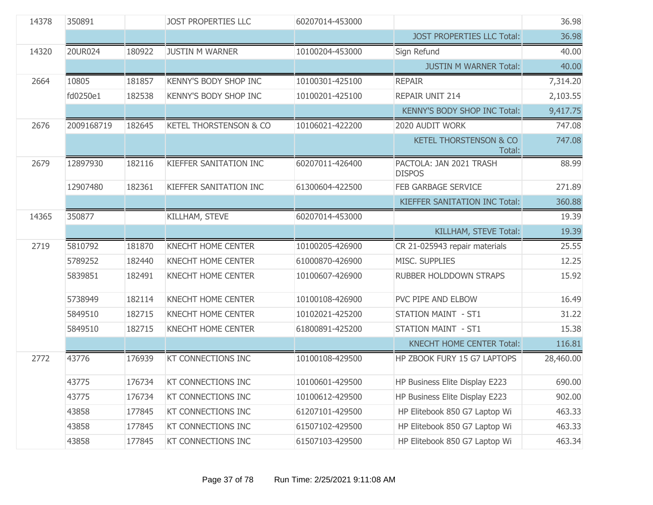| 14378 | 350891     |        | <b>JOST PROPERTIES LLC</b>        | 60207014-453000 |                                             | 36.98     |
|-------|------------|--------|-----------------------------------|-----------------|---------------------------------------------|-----------|
|       |            |        |                                   |                 | <b>JOST PROPERTIES LLC Total:</b>           | 36.98     |
| 14320 | 20UR024    | 180922 | <b>JUSTIN M WARNER</b>            | 10100204-453000 | Sign Refund                                 | 40.00     |
|       |            |        |                                   |                 | <b>JUSTIN M WARNER Total:</b>               | 40.00     |
| 2664  | 10805      | 181857 | KENNY'S BODY SHOP INC             | 10100301-425100 | <b>REPAIR</b>                               | 7,314.20  |
|       | fd0250e1   | 182538 | <b>KENNY'S BODY SHOP INC</b>      | 10100201-425100 | <b>REPAIR UNIT 214</b>                      | 2,103.55  |
|       |            |        |                                   |                 | KENNY'S BODY SHOP INC Total:                | 9,417.75  |
| 2676  | 2009168719 | 182645 | <b>KETEL THORSTENSON &amp; CO</b> | 10106021-422200 | 2020 AUDIT WORK                             | 747.08    |
|       |            |        |                                   |                 | <b>KETEL THORSTENSON &amp; CO</b><br>Total: | 747.08    |
| 2679  | 12897930   | 182116 | KIEFFER SANITATION INC            | 60207011-426400 | PACTOLA: JAN 2021 TRASH<br><b>DISPOS</b>    | 88.99     |
|       | 12907480   | 182361 | KIEFFER SANITATION INC            | 61300604-422500 | FEB GARBAGE SERVICE                         | 271.89    |
|       |            |        |                                   |                 | KIEFFER SANITATION INC Total:               | 360.88    |
| 14365 | 350877     |        | KILLHAM, STEVE                    | 60207014-453000 |                                             | 19.39     |
|       |            |        |                                   |                 | KILLHAM, STEVE Total:                       | 19.39     |
| 2719  | 5810792    | 181870 | KNECHT HOME CENTER                | 10100205-426900 | CR 21-025943 repair materials               | 25.55     |
|       | 5789252    | 182440 | KNECHT HOME CENTER                | 61000870-426900 | MISC. SUPPLIES                              | 12.25     |
|       | 5839851    | 182491 | KNECHT HOME CENTER                | 10100607-426900 | RUBBER HOLDDOWN STRAPS                      | 15.92     |
|       | 5738949    | 182114 | KNECHT HOME CENTER                | 10100108-426900 | PVC PIPE AND ELBOW                          | 16.49     |
|       | 5849510    | 182715 | <b>KNECHT HOME CENTER</b>         | 10102021-425200 | <b>STATION MAINT - ST1</b>                  | 31.22     |
|       | 5849510    | 182715 | <b>KNECHT HOME CENTER</b>         | 61800891-425200 | <b>STATION MAINT - ST1</b>                  | 15.38     |
|       |            |        |                                   |                 | <b>KNECHT HOME CENTER Total:</b>            | 116.81    |
| 2772  | 43776      | 176939 | <b>KT CONNECTIONS INC</b>         | 10100108-429500 | HP ZBOOK FURY 15 G7 LAPTOPS                 | 28,460.00 |
|       | 43775      | 176734 | KT CONNECTIONS INC                | 10100601-429500 | HP Business Elite Display E223              | 690.00    |
|       | 43775      | 176734 | KT CONNECTIONS INC                | 10100612-429500 | HP Business Elite Display E223              | 902.00    |
|       | 43858      | 177845 | <b>KT CONNECTIONS INC</b>         | 61207101-429500 | HP Elitebook 850 G7 Laptop Wi               | 463.33    |
|       | 43858      | 177845 | KT CONNECTIONS INC                | 61507102-429500 | HP Elitebook 850 G7 Laptop Wi               | 463.33    |
|       | 43858      | 177845 | KT CONNECTIONS INC                | 61507103-429500 | HP Elitebook 850 G7 Laptop Wi               | 463.34    |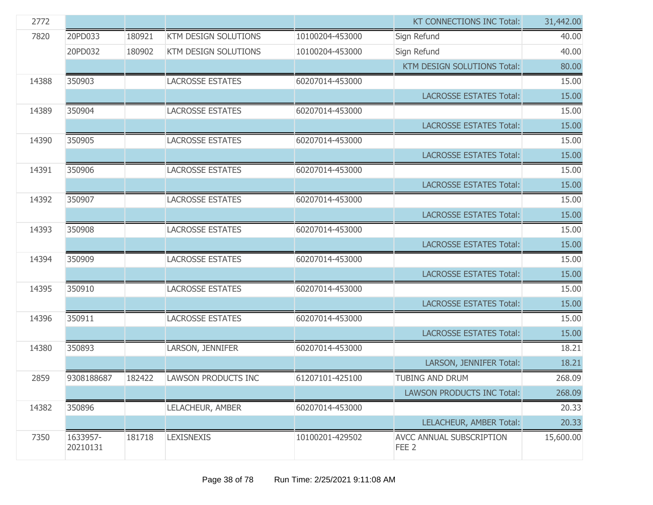| 2772  |                      |        |                             |                 | KT CONNECTIONS INC Total:                    | 31,442.00 |
|-------|----------------------|--------|-----------------------------|-----------------|----------------------------------------------|-----------|
| 7820  | 20PD033              | 180921 | KTM DESIGN SOLUTIONS        | 10100204-453000 | Sign Refund                                  | 40.00     |
|       | 20PD032              | 180902 | <b>KTM DESIGN SOLUTIONS</b> | 10100204-453000 | Sign Refund                                  | 40.00     |
|       |                      |        |                             |                 | KTM DESIGN SOLUTIONS Total:                  | 80.00     |
| 14388 | 350903               |        | <b>LACROSSE ESTATES</b>     | 60207014-453000 |                                              | 15.00     |
|       |                      |        |                             |                 | <b>LACROSSE ESTATES Total:</b>               | 15.00     |
| 14389 | 350904               |        | <b>LACROSSE ESTATES</b>     | 60207014-453000 |                                              | 15.00     |
|       |                      |        |                             |                 | <b>LACROSSE ESTATES Total:</b>               | 15.00     |
| 14390 | 350905               |        | <b>LACROSSE ESTATES</b>     | 60207014-453000 |                                              | 15.00     |
|       |                      |        |                             |                 | <b>LACROSSE ESTATES Total:</b>               | 15.00     |
| 14391 | 350906               |        | <b>LACROSSE ESTATES</b>     | 60207014-453000 |                                              | 15.00     |
|       |                      |        |                             |                 | <b>LACROSSE ESTATES Total:</b>               | 15.00     |
| 14392 | 350907               |        | <b>LACROSSE ESTATES</b>     | 60207014-453000 |                                              | 15.00     |
|       |                      |        |                             |                 | <b>LACROSSE ESTATES Total:</b>               | 15.00     |
| 14393 | 350908               |        | <b>LACROSSE ESTATES</b>     | 60207014-453000 |                                              | 15.00     |
|       |                      |        |                             |                 | <b>LACROSSE ESTATES Total:</b>               | 15.00     |
| 14394 | 350909               |        | <b>LACROSSE ESTATES</b>     | 60207014-453000 |                                              | 15.00     |
|       |                      |        |                             |                 | <b>LACROSSE ESTATES Total:</b>               | 15.00     |
| 14395 | 350910               |        | <b>LACROSSE ESTATES</b>     | 60207014-453000 |                                              | 15.00     |
|       |                      |        |                             |                 | <b>LACROSSE ESTATES Total:</b>               | 15.00     |
| 14396 | 350911               |        | <b>LACROSSE ESTATES</b>     | 60207014-453000 |                                              | 15.00     |
|       |                      |        |                             |                 | <b>LACROSSE ESTATES Total:</b>               | 15.00     |
| 14380 | 350893               |        | LARSON, JENNIFER            | 60207014-453000 |                                              | 18.21     |
|       |                      |        |                             |                 | LARSON, JENNIFER Total:                      | 18.21     |
| 2859  | 9308188687           | 182422 | <b>LAWSON PRODUCTS INC</b>  | 61207101-425100 | TUBING AND DRUM                              | 268.09    |
|       |                      |        |                             |                 | <b>LAWSON PRODUCTS INC Total:</b>            | 268.09    |
| 14382 | 350896               |        | LELACHEUR, AMBER            | 60207014-453000 |                                              | 20.33     |
|       |                      |        |                             |                 | LELACHEUR, AMBER Total:                      | 20.33     |
| 7350  | 1633957-<br>20210131 | 181718 | <b>LEXISNEXIS</b>           | 10100201-429502 | AVCC ANNUAL SUBSCRIPTION<br>FEE <sub>2</sub> | 15,600.00 |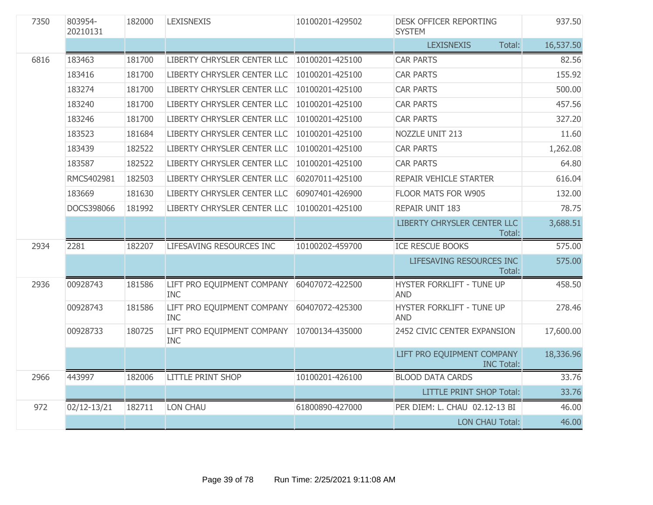| 7350 | 803954-<br>20210131 | 182000 | <b>LEXISNEXIS</b>                           | 10100201-429502 | <b>DESK OFFICER REPORTING</b><br><b>SYSTEM</b>  | 937.50    |
|------|---------------------|--------|---------------------------------------------|-----------------|-------------------------------------------------|-----------|
|      |                     |        |                                             |                 | <b>LEXISNEXIS</b><br>Total:                     | 16,537.50 |
| 6816 | 183463              | 181700 | LIBERTY CHRYSLER CENTER LLC 10100201-425100 |                 | <b>CAR PARTS</b>                                | 82.56     |
|      | 183416              | 181700 | LIBERTY CHRYSLER CENTER LLC                 | 10100201-425100 | <b>CAR PARTS</b>                                | 155.92    |
|      | 183274              | 181700 | LIBERTY CHRYSLER CENTER LLC                 | 10100201-425100 | <b>CAR PARTS</b>                                | 500.00    |
|      | 183240              | 181700 | LIBERTY CHRYSLER CENTER LLC                 | 10100201-425100 | <b>CAR PARTS</b>                                | 457.56    |
|      | 183246              | 181700 | LIBERTY CHRYSLER CENTER LLC                 | 10100201-425100 | <b>CAR PARTS</b>                                | 327.20    |
|      | 183523              | 181684 | LIBERTY CHRYSLER CENTER LLC                 | 10100201-425100 | NOZZLE UNIT 213                                 | 11.60     |
|      | 183439              | 182522 | LIBERTY CHRYSLER CENTER LLC                 | 10100201-425100 | <b>CAR PARTS</b>                                | 1,262.08  |
|      | 183587              | 182522 | LIBERTY CHRYSLER CENTER LLC                 | 10100201-425100 | <b>CAR PARTS</b>                                | 64.80     |
|      | RMCS402981          | 182503 | LIBERTY CHRYSLER CENTER LLC                 | 60207011-425100 | REPAIR VEHICLE STARTER                          | 616.04    |
|      | 183669              | 181630 | LIBERTY CHRYSLER CENTER LLC                 | 60907401-426900 | FLOOR MATS FOR W905                             | 132.00    |
|      | DOCS398066          | 181992 | LIBERTY CHRYSLER CENTER LLC                 | 10100201-425100 | REPAIR UNIT 183                                 | 78.75     |
|      |                     |        |                                             |                 | LIBERTY CHRYSLER CENTER LLC<br>Total:           | 3,688.51  |
| 2934 | 2281                | 182207 | LIFESAVING RESOURCES INC                    | 10100202-459700 | <b>ICE RESCUE BOOKS</b>                         | 575.00    |
|      |                     |        |                                             |                 | LIFESAVING RESOURCES INC<br>Total:              | 575.00    |
| 2936 | 00928743            | 181586 | LIFT PRO EQUIPMENT COMPANY<br><b>INC</b>    | 60407072-422500 | HYSTER FORKLIFT - TUNE UP<br><b>AND</b>         | 458.50    |
|      | 00928743            | 181586 | LIFT PRO EQUIPMENT COMPANY<br><b>INC</b>    | 60407072-425300 | HYSTER FORKLIFT - TUNE UP<br><b>AND</b>         | 278.46    |
|      | 00928733            | 180725 | LIFT PRO EQUIPMENT COMPANY<br><b>INC</b>    | 10700134-435000 | 2452 CIVIC CENTER EXPANSION                     | 17,600.00 |
|      |                     |        |                                             |                 | LIFT PRO EQUIPMENT COMPANY<br><b>INC Total:</b> | 18,336.96 |
| 2966 | 443997              | 182006 | <b>LITTLE PRINT SHOP</b>                    | 10100201-426100 | <b>BLOOD DATA CARDS</b>                         | 33.76     |
|      |                     |        |                                             |                 | <b>LITTLE PRINT SHOP Total:</b>                 | 33.76     |
| 972  | 02/12-13/21         | 182711 | LON CHAU                                    | 61800890-427000 | PER DIEM: L. CHAU 02.12-13 BI                   | 46.00     |
|      |                     |        |                                             |                 | <b>LON CHAU Total:</b>                          | 46.00     |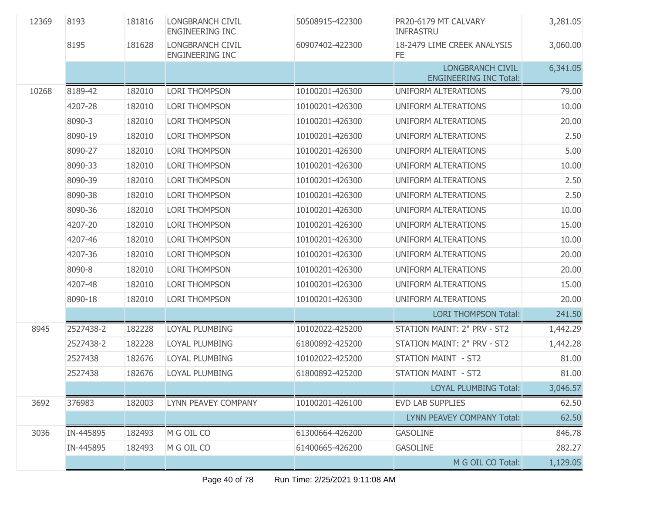| 12369 | 8193      | 181816 | LONGBRANCH CIVIL<br><b>ENGINEERING INC</b> | 50508915-422300 | PR20-6179 MT CALVARY<br><b>INFRASTRU</b>                 | 3,281.05 |
|-------|-----------|--------|--------------------------------------------|-----------------|----------------------------------------------------------|----------|
|       | 8195      | 181628 | LONGBRANCH CIVIL<br>ENGINEERING INC        | 60907402-422300 | 18-2479 LIME CREEK ANALYSIS<br>FE                        | 3,060.00 |
|       |           |        |                                            |                 | <b>LONGBRANCH CIVIL</b><br><b>ENGINEERING INC Total:</b> | 6,341.05 |
| 10268 | 8189-42   | 182010 | <b>LORI THOMPSON</b>                       | 10100201-426300 | UNIFORM ALTERATIONS                                      | 79.00    |
|       | 4207-28   | 182010 | <b>LORI THOMPSON</b>                       | 10100201-426300 | UNIFORM ALTERATIONS                                      | 10.00    |
|       | 8090-3    | 182010 | <b>LORI THOMPSON</b>                       | 10100201-426300 | UNIFORM ALTERATIONS                                      | 20.00    |
|       | 8090-19   | 182010 | <b>LORI THOMPSON</b>                       | 10100201-426300 | UNIFORM ALTERATIONS                                      | 2.50     |
|       | 8090-27   | 182010 | <b>LORI THOMPSON</b>                       | 10100201-426300 | UNIFORM ALTERATIONS                                      | 5.00     |
|       | 8090-33   | 182010 | <b>LORI THOMPSON</b>                       | 10100201-426300 | UNIFORM ALTERATIONS                                      | 10.00    |
|       | 8090-39   | 182010 | <b>LORI THOMPSON</b>                       | 10100201-426300 | UNIFORM ALTERATIONS                                      | 2.50     |
|       | 8090-38   | 182010 | <b>LORI THOMPSON</b>                       | 10100201-426300 | UNIFORM ALTERATIONS                                      | 2.50     |
|       | 8090-36   | 182010 | <b>LORI THOMPSON</b>                       | 10100201-426300 | UNIFORM ALTERATIONS                                      | 10.00    |
|       | 4207-20   | 182010 | <b>LORI THOMPSON</b>                       | 10100201-426300 | UNIFORM ALTERATIONS                                      | 15.00    |
|       | 4207-46   | 182010 | <b>LORI THOMPSON</b>                       | 10100201-426300 | UNIFORM ALTERATIONS                                      | 10.00    |
|       | 4207-36   | 182010 | <b>LORI THOMPSON</b>                       | 10100201-426300 | UNIFORM ALTERATIONS                                      | 20.00    |
|       | 8090-8    | 182010 | <b>LORI THOMPSON</b>                       | 10100201-426300 | UNIFORM ALTERATIONS                                      | 20.00    |
|       | 4207-48   | 182010 | <b>LORI THOMPSON</b>                       | 10100201-426300 | UNIFORM ALTERATIONS                                      | 15.00    |
|       | 8090-18   | 182010 | <b>LORI THOMPSON</b>                       | 10100201-426300 | UNIFORM ALTERATIONS                                      | 20.00    |
|       |           |        |                                            |                 | <b>LORI THOMPSON Total:</b>                              | 241.50   |
| 8945  | 2527438-2 | 182228 | LOYAL PLUMBING                             | 10102022-425200 | STATION MAINT: 2" PRV - ST2                              | 1,442.29 |
|       | 2527438-2 | 182228 | LOYAL PLUMBING                             | 61800892-425200 | STATION MAINT: 2" PRV - ST2                              | 1,442.28 |
|       | 2527438   | 182676 | LOYAL PLUMBING                             | 10102022-425200 | STATION MAINT - ST2                                      | 81.00    |
|       | 2527438   | 182676 | LOYAL PLUMBING                             | 61800892-425200 | STATION MAINT - ST2                                      | 81.00    |
|       |           |        |                                            |                 | <b>LOYAL PLUMBING Total:</b>                             | 3,046.57 |
| 3692  | 376983    | 182003 | LYNN PEAVEY COMPANY                        | 10100201-426100 | <b>EVD LAB SUPPLIES</b>                                  | 62.50    |
|       |           |        |                                            |                 | LYNN PEAVEY COMPANY Total:                               | 62.50    |
| 3036  | IN-445895 | 182493 | M G OIL CO                                 | 61300664-426200 | <b>GASOLINE</b>                                          | 846.78   |
|       | IN-445895 | 182493 | M G OIL CO                                 | 61400665-426200 | <b>GASOLINE</b>                                          | 282.27   |
|       |           |        |                                            |                 | M G OIL CO Total:                                        | 1,129.05 |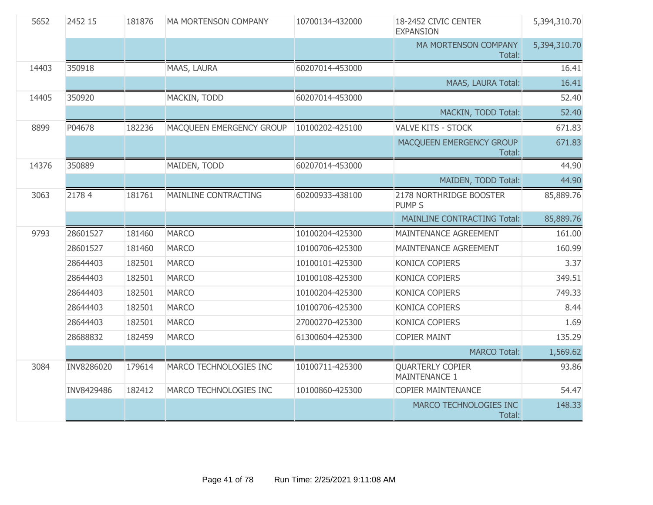| 5652  | 2452 15    | 181876 | <b>MA MORTENSON COMPANY</b> | 10700134-432000 | 18-2452 CIVIC CENTER<br><b>EXPANSION</b> | 5,394,310.70 |
|-------|------------|--------|-----------------------------|-----------------|------------------------------------------|--------------|
|       |            |        |                             |                 | <b>MA MORTENSON COMPANY</b><br>Total:    | 5,394,310.70 |
| 14403 | 350918     |        | MAAS, LAURA                 | 60207014-453000 |                                          | 16.41        |
|       |            |        |                             |                 | MAAS, LAURA Total:                       | 16.41        |
| 14405 | 350920     |        | MACKIN, TODD                | 60207014-453000 |                                          | 52.40        |
|       |            |        |                             |                 | MACKIN, TODD Total:                      | 52.40        |
| 8899  | P04678     | 182236 | MACQUEEN EMERGENCY GROUP    | 10100202-425100 | <b>VALVE KITS - STOCK</b>                | 671.83       |
|       |            |        |                             |                 | MACQUEEN EMERGENCY GROUP<br>Total:       | 671.83       |
| 14376 | 350889     |        | MAIDEN, TODD                | 60207014-453000 |                                          | 44.90        |
|       |            |        |                             |                 | MAIDEN, TODD Total:                      | 44.90        |
| 3063  | 21784      | 181761 | MAINLINE CONTRACTING        | 60200933-438100 | 2178 NORTHRIDGE BOOSTER<br><b>PUMP S</b> | 85,889.76    |
|       |            |        |                             |                 | <b>MAINLINE CONTRACTING Total:</b>       | 85,889.76    |
| 9793  | 28601527   | 181460 | <b>MARCO</b>                | 10100204-425300 | MAINTENANCE AGREEMENT                    | 161.00       |
|       | 28601527   | 181460 | <b>MARCO</b>                | 10100706-425300 | MAINTENANCE AGREEMENT                    | 160.99       |
|       | 28644403   | 182501 | <b>MARCO</b>                | 10100101-425300 | KONICA COPIERS                           | 3.37         |
|       | 28644403   | 182501 | <b>MARCO</b>                | 10100108-425300 | <b>KONICA COPIERS</b>                    | 349.51       |
|       | 28644403   | 182501 | <b>MARCO</b>                | 10100204-425300 | KONICA COPIERS                           | 749.33       |
|       | 28644403   | 182501 | <b>MARCO</b>                | 10100706-425300 | KONICA COPIERS                           | 8.44         |
|       | 28644403   | 182501 | <b>MARCO</b>                | 27000270-425300 | KONICA COPIERS                           | 1.69         |
|       | 28688832   | 182459 | <b>MARCO</b>                | 61300604-425300 | <b>COPIER MAINT</b>                      | 135.29       |
|       |            |        |                             |                 | <b>MARCO Total:</b>                      | 1,569.62     |
| 3084  | INV8286020 | 179614 | MARCO TECHNOLOGIES INC      | 10100711-425300 | <b>QUARTERLY COPIER</b><br>MAINTENANCE 1 | 93.86        |
|       | INV8429486 | 182412 | MARCO TECHNOLOGIES INC      | 10100860-425300 | <b>COPIER MAINTENANCE</b>                | 54.47        |
|       |            |        |                             |                 | MARCO TECHNOLOGIES INC<br>Total:         | 148.33       |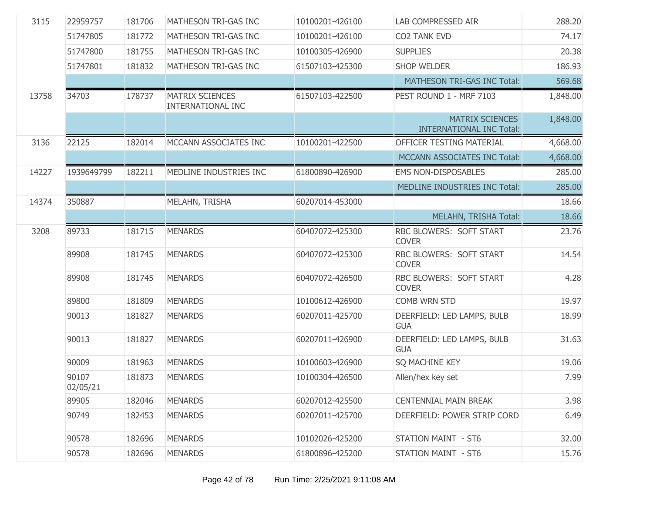| 3115  | 22959757          | 181706 | MATHESON TRI-GAS INC                               | 10100201-426100 | LAB COMPRESSED AIR                                        | 288.20   |
|-------|-------------------|--------|----------------------------------------------------|-----------------|-----------------------------------------------------------|----------|
|       | 51747805          | 181772 | MATHESON TRI-GAS INC                               | 10100201-426100 | <b>CO2 TANK EVD</b>                                       | 74.17    |
|       | 51747800          | 181755 | MATHESON TRI-GAS INC                               | 10100305-426900 | <b>SUPPLIES</b>                                           | 20.38    |
|       | 51747801          | 181832 | MATHESON TRI-GAS INC                               | 61507103-425300 | <b>SHOP WELDER</b>                                        | 186.93   |
|       |                   |        |                                                    |                 | MATHESON TRI-GAS INC Total:                               | 569.68   |
| 13758 | 34703             | 178737 | <b>MATRIX SCIENCES</b><br><b>INTERNATIONAL INC</b> | 61507103-422500 | PEST ROUND 1 - MRF 7103                                   | 1,848.00 |
|       |                   |        |                                                    |                 | <b>MATRIX SCIENCES</b><br><b>INTERNATIONAL INC Total:</b> | 1,848.00 |
| 3136  | 22125             | 182014 | MCCANN ASSOCIATES INC                              | 10100201-422500 | OFFICER TESTING MATERIAL                                  | 4,668.00 |
|       |                   |        |                                                    |                 | MCCANN ASSOCIATES INC Total:                              | 4,668.00 |
| 14227 | 1939649799        | 182211 | MEDLINE INDUSTRIES INC                             | 61800890-426900 | <b>EMS NON-DISPOSABLES</b>                                | 285.00   |
|       |                   |        |                                                    |                 | MEDLINE INDUSTRIES INC Total:                             | 285.00   |
| 14374 | 350887            |        | MELAHN, TRISHA                                     | 60207014-453000 |                                                           | 18.66    |
|       |                   |        |                                                    |                 | MELAHN, TRISHA Total:                                     | 18.66    |
| 3208  | 89733             | 181715 | <b>MENARDS</b>                                     | 60407072-425300 | RBC BLOWERS: SOFT START<br><b>COVER</b>                   | 23.76    |
|       | 89908             | 181745 | <b>MENARDS</b>                                     | 60407072-425300 | RBC BLOWERS: SOFT START<br><b>COVER</b>                   | 14.54    |
|       | 89908             | 181745 | <b>MENARDS</b>                                     | 60407072-426500 | RBC BLOWERS: SOFT START<br><b>COVER</b>                   | 4.28     |
|       | 89800             | 181809 | <b>MENARDS</b>                                     | 10100612-426900 | COMB WRN STD                                              | 19.97    |
|       | 90013             | 181827 | <b>MENARDS</b>                                     | 60207011-425700 | DEERFIELD: LED LAMPS, BULB<br><b>GUA</b>                  | 18.99    |
|       | 90013             | 181827 | <b>MENARDS</b>                                     | 60207011-426900 | DEERFIELD: LED LAMPS, BULB<br><b>GUA</b>                  | 31.63    |
|       | 90009             | 181963 | <b>MENARDS</b>                                     | 10100603-426900 | SQ MACHINE KEY                                            | 19.06    |
|       | 90107<br>02/05/21 | 181873 | <b>MENARDS</b>                                     | 10100304-426500 | Allen/hex key set                                         | 7.99     |
|       | 89905             | 182046 | <b>MENARDS</b>                                     | 60207012-425500 | <b>CENTENNIAL MAIN BREAK</b>                              | 3.98     |
|       | 90749             | 182453 | <b>MENARDS</b>                                     | 60207011-425700 | DEERFIELD: POWER STRIP CORD                               | 6.49     |
|       | 90578             | 182696 | <b>MENARDS</b>                                     | 10102026-425200 | STATION MAINT - ST6                                       | 32.00    |
|       | 90578             | 182696 | <b>MENARDS</b>                                     | 61800896-425200 | <b>STATION MAINT - ST6</b>                                | 15.76    |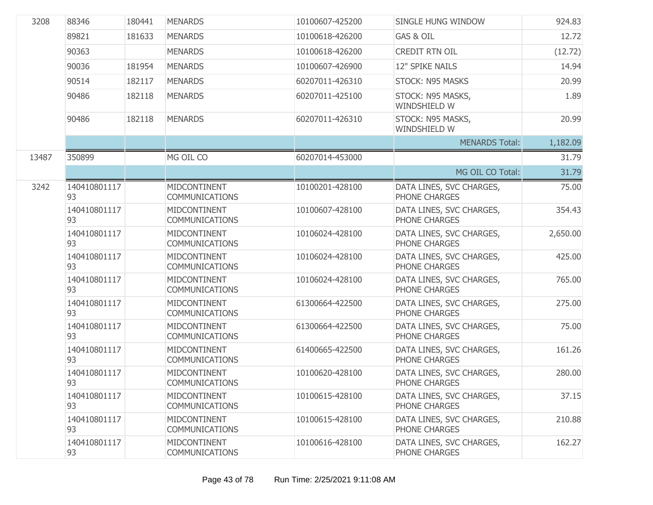| 3208  | 88346              | 180441 | <b>MENARDS</b>                               | 10100607-425200 | SINGLE HUNG WINDOW                        | 924.83   |
|-------|--------------------|--------|----------------------------------------------|-----------------|-------------------------------------------|----------|
|       | 89821              | 181633 | <b>MENARDS</b>                               | 10100618-426200 | GAS & OIL                                 | 12.72    |
|       | 90363              |        | <b>MENARDS</b>                               | 10100618-426200 | <b>CREDIT RTN OIL</b>                     | (12.72)  |
|       | 90036              | 181954 | <b>MENARDS</b>                               | 10100607-426900 | 12" SPIKE NAILS                           | 14.94    |
|       | 90514              | 182117 | <b>MENARDS</b>                               | 60207011-426310 | STOCK: N95 MASKS                          | 20.99    |
|       | 90486              | 182118 | <b>MENARDS</b>                               | 60207011-425100 | STOCK: N95 MASKS,<br><b>WINDSHIELD W</b>  | 1.89     |
|       | 90486              | 182118 | <b>MENARDS</b>                               | 60207011-426310 | STOCK: N95 MASKS,<br>WINDSHIELD W         | 20.99    |
|       |                    |        |                                              |                 | <b>MENARDS Total:</b>                     | 1,182.09 |
| 13487 | 350899             |        | MG OIL CO                                    | 60207014-453000 |                                           | 31.79    |
|       |                    |        |                                              |                 | MG OIL CO Total:                          | 31.79    |
| 3242  | 140410801117<br>93 |        | MIDCONTINENT<br><b>COMMUNICATIONS</b>        | 10100201-428100 | DATA LINES, SVC CHARGES,<br>PHONE CHARGES | 75.00    |
|       | 140410801117<br>93 |        | <b>MIDCONTINENT</b><br><b>COMMUNICATIONS</b> | 10100607-428100 | DATA LINES, SVC CHARGES,<br>PHONE CHARGES | 354.43   |
|       | 140410801117<br>93 |        | MIDCONTINENT<br><b>COMMUNICATIONS</b>        | 10106024-428100 | DATA LINES, SVC CHARGES,<br>PHONE CHARGES | 2,650.00 |
|       | 140410801117<br>93 |        | MIDCONTINENT<br><b>COMMUNICATIONS</b>        | 10106024-428100 | DATA LINES, SVC CHARGES,<br>PHONE CHARGES | 425.00   |
|       | 140410801117<br>93 |        | <b>MIDCONTINENT</b><br><b>COMMUNICATIONS</b> | 10106024-428100 | DATA LINES, SVC CHARGES,<br>PHONE CHARGES | 765.00   |
|       | 140410801117<br>93 |        | MIDCONTINENT<br><b>COMMUNICATIONS</b>        | 61300664-422500 | DATA LINES, SVC CHARGES,<br>PHONE CHARGES | 275.00   |
|       | 140410801117<br>93 |        | MIDCONTINENT<br><b>COMMUNICATIONS</b>        | 61300664-422500 | DATA LINES, SVC CHARGES,<br>PHONE CHARGES | 75.00    |
|       | 140410801117<br>93 |        | MIDCONTINENT<br><b>COMMUNICATIONS</b>        | 61400665-422500 | DATA LINES, SVC CHARGES,<br>PHONE CHARGES | 161.26   |
|       | 140410801117<br>93 |        | MIDCONTINENT<br><b>COMMUNICATIONS</b>        | 10100620-428100 | DATA LINES, SVC CHARGES,<br>PHONE CHARGES | 280.00   |
|       | 140410801117<br>93 |        | MIDCONTINENT<br><b>COMMUNICATIONS</b>        | 10100615-428100 | DATA LINES, SVC CHARGES,<br>PHONE CHARGES | 37.15    |
|       | 140410801117<br>93 |        | MIDCONTINENT<br><b>COMMUNICATIONS</b>        | 10100615-428100 | DATA LINES, SVC CHARGES,<br>PHONE CHARGES | 210.88   |
|       | 140410801117<br>93 |        | MIDCONTINENT<br><b>COMMUNICATIONS</b>        | 10100616-428100 | DATA LINES, SVC CHARGES,<br>PHONE CHARGES | 162.27   |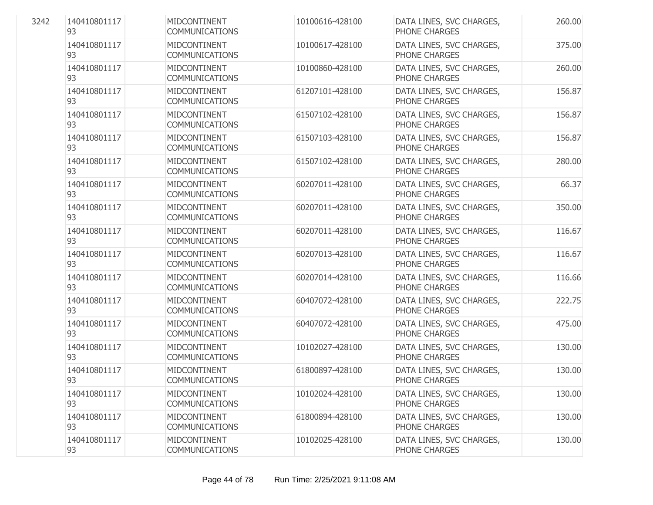| 3242 | 140410801117<br>93 | MIDCONTINENT<br><b>COMMUNICATIONS</b> | 10100616-428100 | DATA LINES, SVC CHARGES,<br>PHONE CHARGES | 260.00 |
|------|--------------------|---------------------------------------|-----------------|-------------------------------------------|--------|
|      | 140410801117<br>93 | MIDCONTINENT<br><b>COMMUNICATIONS</b> | 10100617-428100 | DATA LINES, SVC CHARGES,<br>PHONE CHARGES | 375.00 |
|      | 140410801117<br>93 | MIDCONTINENT<br><b>COMMUNICATIONS</b> | 10100860-428100 | DATA LINES, SVC CHARGES,<br>PHONE CHARGES | 260.00 |
|      | 140410801117<br>93 | MIDCONTINENT<br><b>COMMUNICATIONS</b> | 61207101-428100 | DATA LINES, SVC CHARGES,<br>PHONE CHARGES | 156.87 |
|      | 140410801117<br>93 | MIDCONTINENT<br><b>COMMUNICATIONS</b> | 61507102-428100 | DATA LINES, SVC CHARGES,<br>PHONE CHARGES | 156.87 |
|      | 140410801117<br>93 | MIDCONTINENT<br><b>COMMUNICATIONS</b> | 61507103-428100 | DATA LINES, SVC CHARGES,<br>PHONE CHARGES | 156.87 |
|      | 140410801117<br>93 | MIDCONTINENT<br><b>COMMUNICATIONS</b> | 61507102-428100 | DATA LINES, SVC CHARGES,<br>PHONE CHARGES | 280.00 |
|      | 140410801117<br>93 | MIDCONTINENT<br><b>COMMUNICATIONS</b> | 60207011-428100 | DATA LINES, SVC CHARGES,<br>PHONE CHARGES | 66.37  |
|      | 140410801117<br>93 | MIDCONTINENT<br><b>COMMUNICATIONS</b> | 60207011-428100 | DATA LINES, SVC CHARGES,<br>PHONE CHARGES | 350.00 |
|      | 140410801117<br>93 | MIDCONTINENT<br><b>COMMUNICATIONS</b> | 60207011-428100 | DATA LINES, SVC CHARGES,<br>PHONE CHARGES | 116.67 |
|      | 140410801117<br>93 | MIDCONTINENT<br><b>COMMUNICATIONS</b> | 60207013-428100 | DATA LINES, SVC CHARGES,<br>PHONE CHARGES | 116.67 |
|      | 140410801117<br>93 | MIDCONTINENT<br><b>COMMUNICATIONS</b> | 60207014-428100 | DATA LINES, SVC CHARGES,<br>PHONE CHARGES | 116.66 |
|      | 140410801117<br>93 | MIDCONTINENT<br><b>COMMUNICATIONS</b> | 60407072-428100 | DATA LINES, SVC CHARGES,<br>PHONE CHARGES | 222.75 |
|      | 140410801117<br>93 | MIDCONTINENT<br><b>COMMUNICATIONS</b> | 60407072-428100 | DATA LINES, SVC CHARGES,<br>PHONE CHARGES | 475.00 |
|      | 140410801117<br>93 | MIDCONTINENT<br><b>COMMUNICATIONS</b> | 10102027-428100 | DATA LINES, SVC CHARGES,<br>PHONE CHARGES | 130.00 |
|      | 140410801117<br>93 | MIDCONTINENT<br><b>COMMUNICATIONS</b> | 61800897-428100 | DATA LINES, SVC CHARGES,<br>PHONE CHARGES | 130.00 |
|      | 140410801117<br>93 | MIDCONTINENT<br><b>COMMUNICATIONS</b> | 10102024-428100 | DATA LINES, SVC CHARGES,<br>PHONE CHARGES | 130.00 |
|      | 140410801117<br>93 | MIDCONTINENT<br><b>COMMUNICATIONS</b> | 61800894-428100 | DATA LINES, SVC CHARGES,<br>PHONE CHARGES | 130.00 |
|      | 140410801117<br>93 | MIDCONTINENT<br><b>COMMUNICATIONS</b> | 10102025-428100 | DATA LINES, SVC CHARGES,<br>PHONE CHARGES | 130.00 |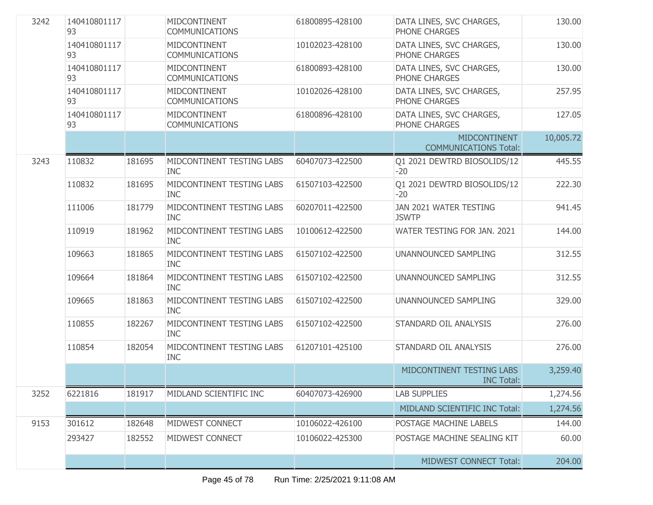| 3242 | 140410801117<br>93 |        | MIDCONTINENT<br><b>COMMUNICATIONS</b>   | 61800895-428100 | DATA LINES, SVC CHARGES,<br>PHONE CHARGES           | 130.00    |
|------|--------------------|--------|-----------------------------------------|-----------------|-----------------------------------------------------|-----------|
|      | 140410801117<br>93 |        | MIDCONTINENT<br><b>COMMUNICATIONS</b>   | 10102023-428100 | DATA LINES, SVC CHARGES,<br>PHONE CHARGES           | 130.00    |
|      | 140410801117<br>93 |        | MIDCONTINENT<br><b>COMMUNICATIONS</b>   | 61800893-428100 | DATA LINES, SVC CHARGES,<br>PHONE CHARGES           | 130.00    |
|      | 140410801117<br>93 |        | MIDCONTINENT<br><b>COMMUNICATIONS</b>   | 10102026-428100 | DATA LINES, SVC CHARGES,<br>PHONE CHARGES           | 257.95    |
|      | 140410801117<br>93 |        | MIDCONTINENT<br><b>COMMUNICATIONS</b>   | 61800896-428100 | DATA LINES, SVC CHARGES,<br>PHONE CHARGES           | 127.05    |
|      |                    |        |                                         |                 | <b>MIDCONTINENT</b><br><b>COMMUNICATIONS Total:</b> | 10,005.72 |
| 3243 | 110832             | 181695 | MIDCONTINENT TESTING LABS<br><b>INC</b> | 60407073-422500 | Q1 2021 DEWTRD BIOSOLIDS/12<br>$-20$                | 445.55    |
|      | 110832             | 181695 | MIDCONTINENT TESTING LABS<br><b>INC</b> | 61507103-422500 | Q1 2021 DEWTRD BIOSOLIDS/12<br>$-20$                | 222.30    |
|      | 111006             | 181779 | MIDCONTINENT TESTING LABS<br><b>INC</b> | 60207011-422500 | JAN 2021 WATER TESTING<br><b>JSWTP</b>              | 941.45    |
|      | 110919             | 181962 | MIDCONTINENT TESTING LABS<br><b>INC</b> | 10100612-422500 | WATER TESTING FOR JAN. 2021                         | 144.00    |
|      | 109663             | 181865 | MIDCONTINENT TESTING LABS<br><b>INC</b> | 61507102-422500 | UNANNOUNCED SAMPLING                                | 312.55    |
|      | 109664             | 181864 | MIDCONTINENT TESTING LABS<br><b>INC</b> | 61507102-422500 | UNANNOUNCED SAMPLING                                | 312.55    |
|      | 109665             | 181863 | MIDCONTINENT TESTING LABS<br><b>INC</b> | 61507102-422500 | UNANNOUNCED SAMPLING                                | 329.00    |
|      | 110855             | 182267 | MIDCONTINENT TESTING LABS<br><b>INC</b> | 61507102-422500 | STANDARD OIL ANALYSIS                               | 276.00    |
|      | 110854             | 182054 | MIDCONTINENT TESTING LABS<br><b>INC</b> | 61207101-425100 | STANDARD OIL ANALYSIS                               | 276.00    |
|      |                    |        |                                         |                 | MIDCONTINENT TESTING LABS<br><b>INC Total:</b>      | 3,259.40  |
| 3252 | 6221816            | 181917 | MIDLAND SCIENTIFIC INC                  | 60407073-426900 | <b>LAB SUPPLIES</b>                                 | 1,274.56  |
|      |                    |        |                                         |                 | MIDLAND SCIENTIFIC INC Total:                       | 1,274.56  |
| 9153 | 301612             | 182648 | MIDWEST CONNECT                         | 10106022-426100 | POSTAGE MACHINE LABELS                              | 144.00    |
|      | 293427             | 182552 | MIDWEST CONNECT                         | 10106022-425300 | POSTAGE MACHINE SEALING KIT                         | 60.00     |
|      |                    |        |                                         |                 | <b>MIDWEST CONNECT Total:</b>                       | 204.00    |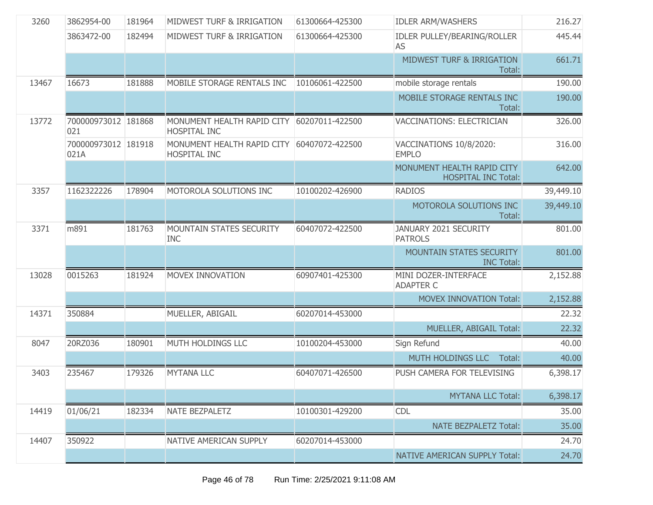| 3260  | 3862954-00                  | 181964 | MIDWEST TURF & IRRIGATION                         | 61300664-425300 | <b>IDLER ARM/WASHERS</b>                                 | 216.27    |
|-------|-----------------------------|--------|---------------------------------------------------|-----------------|----------------------------------------------------------|-----------|
|       | 3863472-00                  | 182494 | MIDWEST TURF & IRRIGATION                         | 61300664-425300 | <b>IDLER PULLEY/BEARING/ROLLER</b><br><b>AS</b>          | 445.44    |
|       |                             |        |                                                   |                 | <b>MIDWEST TURF &amp; IRRIGATION</b><br>Total:           | 661.71    |
| 13467 | 16673                       | 181888 | MOBILE STORAGE RENTALS INC                        | 10106061-422500 | mobile storage rentals                                   | 190.00    |
|       |                             |        |                                                   |                 | MOBILE STORAGE RENTALS INC<br>Total:                     | 190.00    |
| 13772 | 700000973012 181868<br>021  |        | MONUMENT HEALTH RAPID CITY<br><b>HOSPITAL INC</b> | 60207011-422500 | <b>VACCINATIONS: ELECTRICIAN</b>                         | 326.00    |
|       | 700000973012 181918<br>021A |        | MONUMENT HEALTH RAPID CITY<br>HOSPITAL INC        | 60407072-422500 | VACCINATIONS 10/8/2020:<br><b>EMPLO</b>                  | 316.00    |
|       |                             |        |                                                   |                 | MONUMENT HEALTH RAPID CITY<br><b>HOSPITAL INC Total:</b> | 642.00    |
| 3357  | 1162322226                  | 178904 | MOTOROLA SOLUTIONS INC                            | 10100202-426900 | <b>RADIOS</b>                                            | 39,449.10 |
|       |                             |        |                                                   |                 | MOTOROLA SOLUTIONS INC<br>Total:                         | 39,449.10 |
| 3371  | m891                        | 181763 | MOUNTAIN STATES SECURITY<br><b>INC</b>            | 60407072-422500 | JANUARY 2021 SECURITY<br><b>PATROLS</b>                  | 801.00    |
|       |                             |        |                                                   |                 | <b>MOUNTAIN STATES SECURITY</b><br><b>INC Total:</b>     | 801.00    |
| 13028 | 0015263                     | 181924 | MOVEX INNOVATION                                  | 60907401-425300 | MINI DOZER-INTERFACE<br><b>ADAPTER C</b>                 | 2,152.88  |
|       |                             |        |                                                   |                 | <b>MOVEX INNOVATION Total:</b>                           | 2,152.88  |
| 14371 | 350884                      |        | MUELLER, ABIGAIL                                  | 60207014-453000 |                                                          | 22.32     |
|       |                             |        |                                                   |                 | MUELLER, ABIGAIL Total:                                  | 22.32     |
| 8047  | 20RZ036                     | 180901 | MUTH HOLDINGS LLC                                 | 10100204-453000 | Sign Refund                                              | 40.00     |
|       |                             |        |                                                   |                 | MUTH HOLDINGS LLC<br>Total:                              | 40.00     |
| 3403  | 235467                      | 179326 | <b>MYTANA LLC</b>                                 | 60407071-426500 | PUSH CAMERA FOR TELEVISING                               | 6,398.17  |
|       |                             |        |                                                   |                 | <b>MYTANA LLC Total:</b>                                 | 6,398.17  |
| 14419 | 01/06/21                    | 182334 | <b>NATE BEZPALETZ</b>                             | 10100301-429200 | <b>CDL</b>                                               | 35.00     |
|       |                             |        |                                                   |                 | <b>NATE BEZPALETZ Total:</b>                             | 35.00     |
| 14407 | 350922                      |        | NATIVE AMERICAN SUPPLY                            | 60207014-453000 |                                                          | 24.70     |
|       |                             |        |                                                   |                 | NATIVE AMERICAN SUPPLY Total:                            | 24.70     |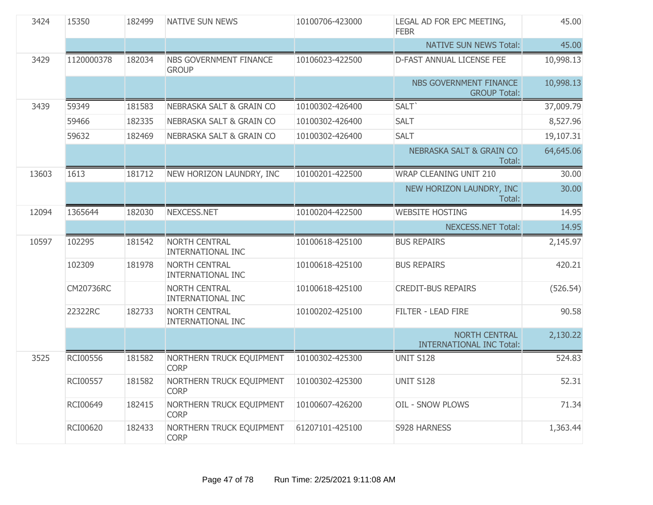| 3424  | 15350      | 182499 | <b>NATIVE SUN NEWS</b>                           | 10100706-423000 | LEGAL AD FOR EPC MEETING,<br><b>FEBR</b>         | 45.00     |
|-------|------------|--------|--------------------------------------------------|-----------------|--------------------------------------------------|-----------|
|       |            |        |                                                  |                 | NATIVE SUN NEWS Total:                           | 45.00     |
| 3429  | 1120000378 | 182034 | <b>NBS GOVERNMENT FINANCE</b><br><b>GROUP</b>    | 10106023-422500 | D-FAST ANNUAL LICENSE FEE                        | 10,998.13 |
|       |            |        |                                                  |                 | NBS GOVERNMENT FINANCE<br><b>GROUP Total:</b>    | 10,998.13 |
| 3439  | 59349      | 181583 | <b>NEBRASKA SALT &amp; GRAIN CO</b>              | 10100302-426400 | SALT <sup>'</sup>                                | 37,009.79 |
|       | 59466      | 182335 | NEBRASKA SALT & GRAIN CO                         | 10100302-426400 | <b>SALT</b>                                      | 8,527.96  |
|       | 59632      | 182469 | NEBRASKA SALT & GRAIN CO                         | 10100302-426400 | <b>SALT</b>                                      | 19,107.31 |
|       |            |        |                                                  |                 | <b>NEBRASKA SALT &amp; GRAIN CO</b><br>Total:    | 64,645.06 |
| 13603 | 1613       | 181712 | NEW HORIZON LAUNDRY, INC                         | 10100201-422500 | <b>WRAP CLEANING UNIT 210</b>                    | 30.00     |
|       |            |        |                                                  |                 | NEW HORIZON LAUNDRY, INC<br>Total:               | 30.00     |
| 12094 | 1365644    | 182030 | NEXCESS.NET                                      | 10100204-422500 | <b>WEBSITE HOSTING</b>                           | 14.95     |
|       |            |        |                                                  |                 | NEXCESS.NET Total:                               | 14.95     |
| 10597 | 102295     | 181542 | NORTH CENTRAL<br><b>INTERNATIONAL INC</b>        | 10100618-425100 | <b>BUS REPAIRS</b>                               | 2,145.97  |
|       | 102309     | 181978 | NORTH CENTRAL<br><b>INTERNATIONAL INC</b>        | 10100618-425100 | <b>BUS REPAIRS</b>                               | 420.21    |
|       | CM20736RC  |        | <b>NORTH CENTRAL</b><br>INTERNATIONAL INC        | 10100618-425100 | <b>CREDIT-BUS REPAIRS</b>                        | (526.54)  |
|       | 22322RC    | 182733 | <b>NORTH CENTRAL</b><br><b>INTERNATIONAL INC</b> | 10100202-425100 | FILTER - LEAD FIRE                               | 90.58     |
|       |            |        |                                                  |                 | NORTH CENTRAL<br><b>INTERNATIONAL INC Total:</b> | 2,130.22  |
| 3525  | RCI00556   | 181582 | NORTHERN TRUCK EQUIPMENT<br><b>CORP</b>          | 10100302-425300 | <b>UNIT S128</b>                                 | 524.83    |
|       | RCI00557   | 181582 | NORTHERN TRUCK EQUIPMENT<br><b>CORP</b>          | 10100302-425300 | <b>UNIT S128</b>                                 | 52.31     |
|       | RCI00649   | 182415 | NORTHERN TRUCK EQUIPMENT<br><b>CORP</b>          | 10100607-426200 | OIL - SNOW PLOWS                                 | 71.34     |
|       | RCI00620   | 182433 | NORTHERN TRUCK EQUIPMENT<br><b>CORP</b>          | 61207101-425100 | S928 HARNESS                                     | 1,363.44  |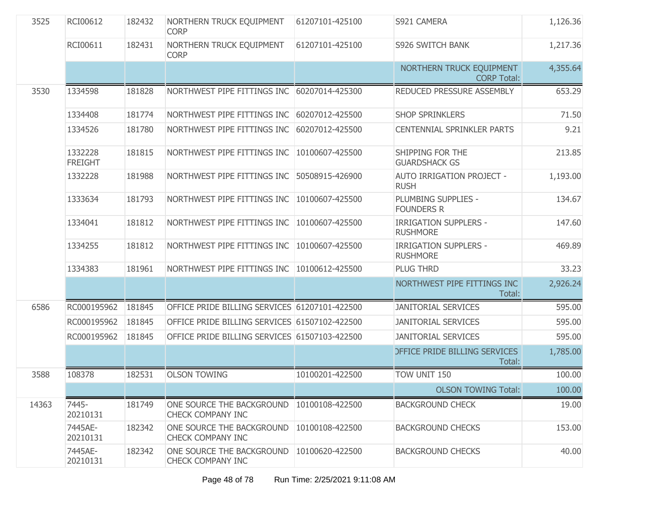| 3525  | RCI00612                  | 182432 | NORTHERN TRUCK EQUIPMENT<br><b>CORP</b>        | 61207101-425100 | S921 CAMERA                                     | 1,126.36 |
|-------|---------------------------|--------|------------------------------------------------|-----------------|-------------------------------------------------|----------|
|       | RCI00611                  | 182431 | NORTHERN TRUCK EQUIPMENT<br><b>CORP</b>        | 61207101-425100 | <b>S926 SWITCH BANK</b>                         | 1,217.36 |
|       |                           |        |                                                |                 | NORTHERN TRUCK EQUIPMENT<br><b>CORP Total:</b>  | 4,355.64 |
| 3530  | 1334598                   | 181828 | NORTHWEST PIPE FITTINGS INC 60207014-425300    |                 | REDUCED PRESSURE ASSEMBLY                       | 653.29   |
|       | 1334408                   | 181774 | NORTHWEST PIPE FITTINGS INC                    | 60207012-425500 | <b>SHOP SPRINKLERS</b>                          | 71.50    |
|       | 1334526                   | 181780 | NORTHWEST PIPE FITTINGS INC                    | 60207012-425500 | <b>CENTENNIAL SPRINKLER PARTS</b>               | 9.21     |
|       | 1332228<br><b>FREIGHT</b> | 181815 | NORTHWEST PIPE FITTINGS INC                    | 10100607-425500 | SHIPPING FOR THE<br><b>GUARDSHACK GS</b>        | 213.85   |
|       | 1332228                   | 181988 | NORTHWEST PIPE FITTINGS INC                    | 50508915-426900 | AUTO IRRIGATION PROJECT -<br><b>RUSH</b>        | 1,193.00 |
|       | 1333634                   | 181793 | NORTHWEST PIPE FITTINGS INC                    | 10100607-425500 | PLUMBING SUPPLIES -<br><b>FOUNDERS R</b>        | 134.67   |
|       | 1334041                   | 181812 | NORTHWEST PIPE FITTINGS INC                    | 10100607-425500 | <b>IRRIGATION SUPPLERS -</b><br><b>RUSHMORE</b> | 147.60   |
|       | 1334255                   | 181812 | NORTHWEST PIPE FITTINGS INC                    | 10100607-425500 | <b>IRRIGATION SUPPLERS -</b><br><b>RUSHMORE</b> | 469.89   |
|       | 1334383                   | 181961 | NORTHWEST PIPE FITTINGS INC                    | 10100612-425500 | <b>PLUG THRD</b>                                | 33.23    |
|       |                           |        |                                                |                 | NORTHWEST PIPE FITTINGS INC<br>Total:           | 2,926.24 |
| 6586  | RC000195962               | 181845 | OFFICE PRIDE BILLING SERVICES 61207101-422500  |                 | <b>JANITORIAL SERVICES</b>                      | 595.00   |
|       | RC000195962               | 181845 | OFFICE PRIDE BILLING SERVICES 61507102-422500  |                 | <b>JANITORIAL SERVICES</b>                      | 595.00   |
|       | RC000195962               | 181845 | OFFICE PRIDE BILLING SERVICES 61507103-422500  |                 | <b>JANITORIAL SERVICES</b>                      | 595.00   |
|       |                           |        |                                                |                 | <b>DEFICE PRIDE BILLING SERVICES</b><br>Total:  | 1,785.00 |
| 3588  | 108378                    | 182531 | <b>OLSON TOWING</b>                            | 10100201-422500 | TOW UNIT 150                                    | 100.00   |
|       |                           |        |                                                |                 | <b>OLSON TOWING Total:</b>                      | 100.00   |
| 14363 | 7445-<br>20210131         | 181749 | ONE SOURCE THE BACKGROUND<br>CHECK COMPANY INC | 10100108-422500 | <b>BACKGROUND CHECK</b>                         | 19.00    |
|       | 7445AE-<br>20210131       | 182342 | ONE SOURCE THE BACKGROUND<br>CHECK COMPANY INC | 10100108-422500 | <b>BACKGROUND CHECKS</b>                        | 153.00   |
|       | 7445AE-<br>20210131       | 182342 | ONE SOURCE THE BACKGROUND<br>CHECK COMPANY INC | 10100620-422500 | <b>BACKGROUND CHECKS</b>                        | 40.00    |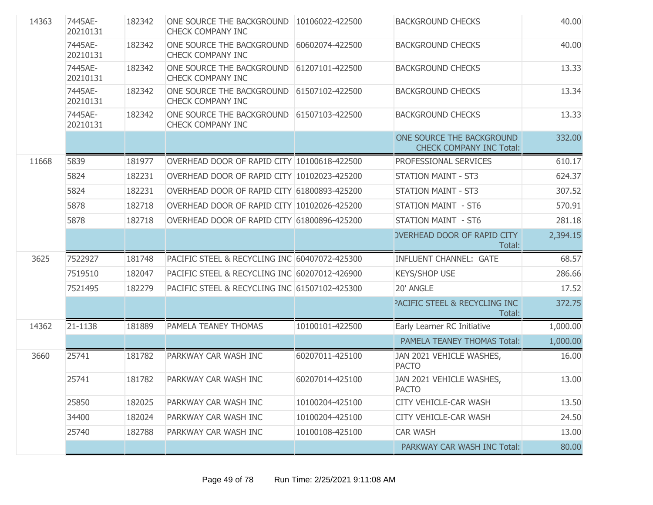| 14363 | 7445AF-<br>20210131 | 182342 | ONE SOURCE THE BACKGROUND<br><b>CHECK COMPANY INC</b> | 10106022-422500 | <b>BACKGROUND CHECKS</b>                                     | 40.00    |
|-------|---------------------|--------|-------------------------------------------------------|-----------------|--------------------------------------------------------------|----------|
|       | 7445AE-<br>20210131 | 182342 | ONE SOURCE THE BACKGROUND<br><b>CHECK COMPANY INC</b> | 60602074-422500 | <b>BACKGROUND CHECKS</b>                                     | 40.00    |
|       | 7445AE-<br>20210131 | 182342 | ONE SOURCE THE BACKGROUND<br><b>CHECK COMPANY INC</b> | 61207101-422500 | <b>BACKGROUND CHECKS</b>                                     | 13.33    |
|       | 7445AE-<br>20210131 | 182342 | ONE SOURCE THE BACKGROUND<br>CHECK COMPANY INC        | 61507102-422500 | <b>BACKGROUND CHECKS</b>                                     | 13.34    |
|       | 7445AE-<br>20210131 | 182342 | ONE SOURCE THE BACKGROUND<br><b>CHECK COMPANY INC</b> | 61507103-422500 | <b>BACKGROUND CHECKS</b>                                     | 13.33    |
|       |                     |        |                                                       |                 | ONE SOURCE THE BACKGROUND<br><b>CHECK COMPANY INC Total:</b> | 332.00   |
| 11668 | 5839                | 181977 | OVERHEAD DOOR OF RAPID CITY 10100618-422500           |                 | PROFESSIONAL SERVICES                                        | 610.17   |
|       | 5824                | 182231 | OVERHEAD DOOR OF RAPID CITY 10102023-425200           |                 | <b>STATION MAINT - ST3</b>                                   | 624.37   |
|       | 5824                | 182231 | OVERHEAD DOOR OF RAPID CITY 61800893-425200           |                 | <b>STATION MAINT - ST3</b>                                   | 307.52   |
|       | 5878                | 182718 | OVERHEAD DOOR OF RAPID CITY 10102026-425200           |                 | <b>STATION MAINT - ST6</b>                                   | 570.91   |
|       | 5878                | 182718 | OVERHEAD DOOR OF RAPID CITY 61800896-425200           |                 | <b>STATION MAINT - ST6</b>                                   | 281.18   |
|       |                     |        |                                                       |                 | <b>OVERHEAD DOOR OF RAPID CITY</b><br>Total:                 | 2,394.15 |
| 3625  | 7522927             | 181748 | PACIFIC STEEL & RECYCLING INC 60407072-425300         |                 | INFLUENT CHANNEL: GATE                                       | 68.57    |
|       | 7519510             | 182047 | PACIFIC STEEL & RECYCLING INC 60207012-426900         |                 | <b>KEYS/SHOP USE</b>                                         | 286.66   |
|       | 7521495             | 182279 | PACIFIC STEEL & RECYCLING INC 61507102-425300         |                 | 20' ANGLE                                                    | 17.52    |
|       |                     |        |                                                       |                 | <b>PACIFIC STEEL &amp; RECYCLING INC</b><br>Total:           | 372.75   |
| 14362 | 21-1138             | 181889 | PAMELA TEANEY THOMAS                                  | 10100101-422500 | Early Learner RC Initiative                                  | 1,000.00 |
|       |                     |        |                                                       |                 | PAMELA TEANEY THOMAS Total:                                  | 1,000.00 |
| 3660  | 25741               | 181782 | PARKWAY CAR WASH INC                                  | 60207011-425100 | JAN 2021 VEHICLE WASHES,<br><b>PACTO</b>                     | 16.00    |
|       | 25741               | 181782 | PARKWAY CAR WASH INC                                  | 60207014-425100 | JAN 2021 VEHICLE WASHES,<br><b>PACTO</b>                     | 13.00    |
|       | 25850               | 182025 | PARKWAY CAR WASH INC                                  | 10100204-425100 | CITY VEHICLE-CAR WASH                                        | 13.50    |
|       | 34400               | 182024 | PARKWAY CAR WASH INC                                  | 10100204-425100 | CITY VEHICLE-CAR WASH                                        | 24.50    |
|       | 25740               | 182788 | PARKWAY CAR WASH INC                                  | 10100108-425100 | <b>CAR WASH</b>                                              | 13.00    |
|       |                     |        |                                                       |                 | PARKWAY CAR WASH INC Total:                                  | 80.00    |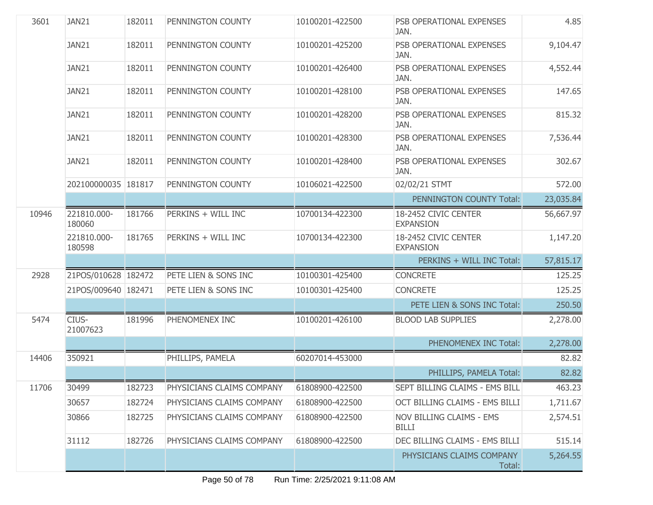| 3601  | JAN21                 | 182011 | PENNINGTON COUNTY         | 10100201-422500 | PSB OPERATIONAL EXPENSES<br>JAN.         | 4.85      |
|-------|-----------------------|--------|---------------------------|-----------------|------------------------------------------|-----------|
|       | JAN21                 | 182011 | PENNINGTON COUNTY         | 10100201-425200 | PSB OPERATIONAL EXPENSES<br>JAN.         | 9,104.47  |
|       | JAN21                 | 182011 | PENNINGTON COUNTY         | 10100201-426400 | PSB OPERATIONAL EXPENSES<br>JAN.         | 4,552.44  |
|       | JAN21                 | 182011 | PENNINGTON COUNTY         | 10100201-428100 | PSB OPERATIONAL EXPENSES<br>JAN.         | 147.65    |
|       | JAN21                 | 182011 | PENNINGTON COUNTY         | 10100201-428200 | PSB OPERATIONAL EXPENSES<br>JAN.         | 815.32    |
|       | JAN21                 | 182011 | PENNINGTON COUNTY         | 10100201-428300 | PSB OPERATIONAL EXPENSES<br>JAN.         | 7,536.44  |
|       | JAN21                 | 182011 | PENNINGTON COUNTY         | 10100201-428400 | PSB OPERATIONAL EXPENSES<br>JAN.         | 302.67    |
|       | 202100000035 181817   |        | PENNINGTON COUNTY         | 10106021-422500 | 02/02/21 STMT                            | 572.00    |
|       |                       |        |                           |                 | PENNINGTON COUNTY Total:                 | 23,035.84 |
| 10946 | 221810.000-<br>180060 | 181766 | PERKINS + WILL INC        | 10700134-422300 | 18-2452 CIVIC CENTER<br><b>EXPANSION</b> | 56,667.97 |
|       | 221810.000-<br>180598 | 181765 | PERKINS + WILL INC        | 10700134-422300 | 18-2452 CIVIC CENTER<br><b>EXPANSION</b> | 1,147.20  |
|       |                       |        |                           |                 | PERKINS + WILL INC Total:                | 57,815.17 |
| 2928  | 21POS/010628 182472   |        | PETE LIEN & SONS INC      | 10100301-425400 | <b>CONCRETE</b>                          | 125.25    |
|       | 21POS/009640 182471   |        | PETE LIEN & SONS INC      | 10100301-425400 | <b>CONCRETE</b>                          | 125.25    |
|       |                       |        |                           |                 | PETE LIEN & SONS INC Total:              | 250.50    |
| 5474  | CIUS-<br>21007623     | 181996 | PHENOMENEX INC            | 10100201-426100 | <b>BLOOD LAB SUPPLIES</b>                | 2,278.00  |
|       |                       |        |                           |                 | PHENOMENEX INC Total:                    | 2,278.00  |
| 14406 | 350921                |        | PHILLIPS, PAMELA          | 60207014-453000 |                                          | 82.82     |
|       |                       |        |                           |                 | PHILLIPS, PAMELA Total:                  | 82.82     |
| 11706 | 30499                 | 182723 | PHYSICIANS CLAIMS COMPANY | 61808900-422500 | SEPT BILLING CLAIMS - EMS BILL           | 463.23    |
|       | 30657                 | 182724 | PHYSICIANS CLAIMS COMPANY | 61808900-422500 | OCT BILLING CLAIMS - EMS BILLI           | 1,711.67  |
|       | 30866                 | 182725 | PHYSICIANS CLAIMS COMPANY | 61808900-422500 | NOV BILLING CLAIMS - EMS<br>BILLI        | 2,574.51  |
|       | 31112                 | 182726 | PHYSICIANS CLAIMS COMPANY | 61808900-422500 | DEC BILLING CLAIMS - EMS BILLI           | 515.14    |
|       |                       |        |                           |                 | PHYSICIANS CLAIMS COMPANY<br>Total:      | 5,264.55  |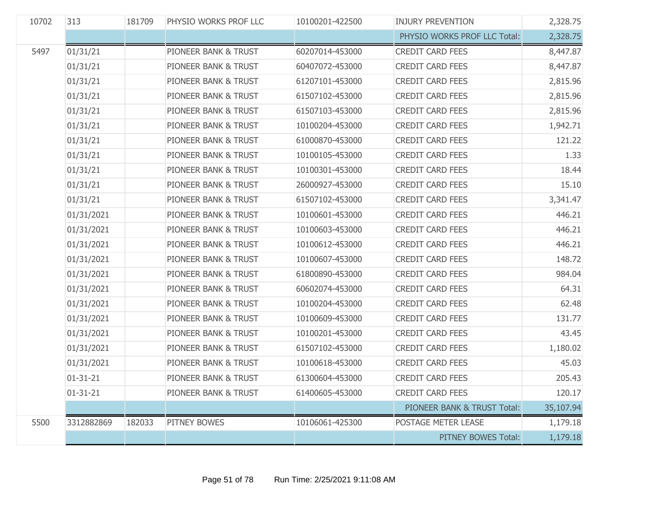| 10702 | 313            | 181709 | PHYSIO WORKS PROF LLC | 10100201-422500 | <b>INJURY PREVENTION</b>     | 2,328.75  |
|-------|----------------|--------|-----------------------|-----------------|------------------------------|-----------|
|       |                |        |                       |                 | PHYSIO WORKS PROF LLC Total: | 2,328.75  |
| 5497  | 01/31/21       |        | PIONEER BANK & TRUST  | 60207014-453000 | <b>CREDIT CARD FEES</b>      | 8,447.87  |
|       | 01/31/21       |        | PIONEER BANK & TRUST  | 60407072-453000 | <b>CREDIT CARD FEES</b>      | 8,447.87  |
|       | 01/31/21       |        | PIONEER BANK & TRUST  | 61207101-453000 | <b>CREDIT CARD FEES</b>      | 2,815.96  |
|       | 01/31/21       |        | PIONEER BANK & TRUST  | 61507102-453000 | <b>CREDIT CARD FEES</b>      | 2,815.96  |
|       | 01/31/21       |        | PIONEER BANK & TRUST  | 61507103-453000 | <b>CREDIT CARD FEES</b>      | 2,815.96  |
|       | 01/31/21       |        | PIONEER BANK & TRUST  | 10100204-453000 | CREDIT CARD FEES             | 1,942.71  |
|       | 01/31/21       |        | PIONEER BANK & TRUST  | 61000870-453000 | <b>CREDIT CARD FEES</b>      | 121.22    |
|       | 01/31/21       |        | PIONEER BANK & TRUST  | 10100105-453000 | <b>CREDIT CARD FEES</b>      | 1.33      |
|       | 01/31/21       |        | PIONEER BANK & TRUST  | 10100301-453000 | <b>CREDIT CARD FEES</b>      | 18.44     |
|       | 01/31/21       |        | PIONEER BANK & TRUST  | 26000927-453000 | <b>CREDIT CARD FEES</b>      | 15.10     |
|       | 01/31/21       |        | PIONEER BANK & TRUST  | 61507102-453000 | <b>CREDIT CARD FEES</b>      | 3,341.47  |
|       | 01/31/2021     |        | PIONEER BANK & TRUST  | 10100601-453000 | <b>CREDIT CARD FEES</b>      | 446.21    |
|       | 01/31/2021     |        | PIONEER BANK & TRUST  | 10100603-453000 | <b>CREDIT CARD FEES</b>      | 446.21    |
|       | 01/31/2021     |        | PIONEER BANK & TRUST  | 10100612-453000 | <b>CREDIT CARD FEES</b>      | 446.21    |
|       | 01/31/2021     |        | PIONEER BANK & TRUST  | 10100607-453000 | <b>CREDIT CARD FEES</b>      | 148.72    |
|       | 01/31/2021     |        | PIONEER BANK & TRUST  | 61800890-453000 | <b>CREDIT CARD FEES</b>      | 984.04    |
|       | 01/31/2021     |        | PIONEER BANK & TRUST  | 60602074-453000 | CREDIT CARD FEES             | 64.31     |
|       | 01/31/2021     |        | PIONEER BANK & TRUST  | 10100204-453000 | <b>CREDIT CARD FEES</b>      | 62.48     |
|       | 01/31/2021     |        | PIONEER BANK & TRUST  | 10100609-453000 | <b>CREDIT CARD FEES</b>      | 131.77    |
|       | 01/31/2021     |        | PIONEER BANK & TRUST  | 10100201-453000 | <b>CREDIT CARD FEES</b>      | 43.45     |
|       | 01/31/2021     |        | PIONEER BANK & TRUST  | 61507102-453000 | <b>CREDIT CARD FEES</b>      | 1,180.02  |
|       | 01/31/2021     |        | PIONEER BANK & TRUST  | 10100618-453000 | <b>CREDIT CARD FEES</b>      | 45.03     |
|       | $01 - 31 - 21$ |        | PIONEER BANK & TRUST  | 61300604-453000 | <b>CREDIT CARD FEES</b>      | 205.43    |
|       | $01 - 31 - 21$ |        | PIONEER BANK & TRUST  | 61400605-453000 | <b>CREDIT CARD FEES</b>      | 120.17    |
|       |                |        |                       |                 | PIONEER BANK & TRUST Total:  | 35,107.94 |
| 5500  | 3312882869     | 182033 | PITNEY BOWES          | 10106061-425300 | POSTAGE METER LEASE          | 1,179.18  |
|       |                |        |                       |                 | PITNEY BOWES Total:          | 1,179.18  |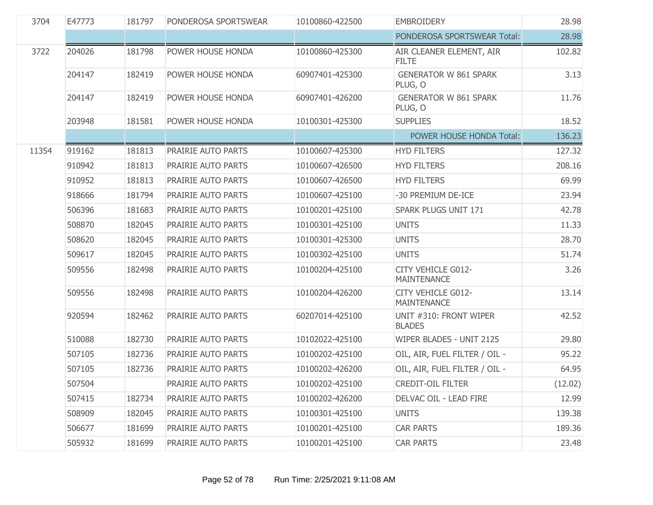| 3704  | E47773 | 181797 | PONDEROSA SPORTSWEAR | 10100860-422500 | <b>EMBROIDERY</b>                        | 28.98   |
|-------|--------|--------|----------------------|-----------------|------------------------------------------|---------|
|       |        |        |                      |                 | PONDEROSA SPORTSWEAR Total:              | 28.98   |
| 3722  | 204026 | 181798 | POWER HOUSE HONDA    | 10100860-425300 | AIR CLEANER ELEMENT, AIR<br><b>FILTE</b> | 102.82  |
|       | 204147 | 182419 | POWER HOUSE HONDA    | 60907401-425300 | <b>GENERATOR W 861 SPARK</b><br>PLUG, O  | 3.13    |
|       | 204147 | 182419 | POWER HOUSE HONDA    | 60907401-426200 | <b>GENERATOR W 861 SPARK</b><br>PLUG, O  | 11.76   |
|       | 203948 | 181581 | POWER HOUSE HONDA    | 10100301-425300 | <b>SUPPLIES</b>                          | 18.52   |
|       |        |        |                      |                 | <b>POWER HOUSE HONDA Total:</b>          | 136.23  |
| 11354 | 919162 | 181813 | PRAIRIE AUTO PARTS   | 10100607-425300 | <b>HYD FILTERS</b>                       | 127.32  |
|       | 910942 | 181813 | PRAIRIE AUTO PARTS   | 10100607-426500 | <b>HYD FILTERS</b>                       | 208.16  |
|       | 910952 | 181813 | PRAIRIE AUTO PARTS   | 10100607-426500 | <b>HYD FILTERS</b>                       | 69.99   |
|       | 918666 | 181794 | PRAIRIE AUTO PARTS   | 10100607-425100 | -30 PREMIUM DE-ICE                       | 23.94   |
|       | 506396 | 181683 | PRAIRIE AUTO PARTS   | 10100201-425100 | <b>SPARK PLUGS UNIT 171</b>              | 42.78   |
|       | 508870 | 182045 | PRAIRIE AUTO PARTS   | 10100301-425100 | <b>UNITS</b>                             | 11.33   |
|       | 508620 | 182045 | PRAIRIE AUTO PARTS   | 10100301-425300 | <b>UNITS</b>                             | 28.70   |
|       | 509617 | 182045 | PRAIRIE AUTO PARTS   | 10100302-425100 | <b>UNITS</b>                             | 51.74   |
|       | 509556 | 182498 | PRAIRIE AUTO PARTS   | 10100204-425100 | CITY VEHICLE G012-<br><b>MAINTENANCE</b> | 3.26    |
|       | 509556 | 182498 | PRAIRIE AUTO PARTS   | 10100204-426200 | CITY VEHICLE G012-<br><b>MAINTENANCE</b> | 13.14   |
|       | 920594 | 182462 | PRAIRIE AUTO PARTS   | 60207014-425100 | UNIT #310: FRONT WIPER<br><b>BLADES</b>  | 42.52   |
|       | 510088 | 182730 | PRAIRIE AUTO PARTS   | 10102022-425100 | WIPER BLADES - UNIT 2125                 | 29.80   |
|       | 507105 | 182736 | PRAIRIE AUTO PARTS   | 10100202-425100 | OIL, AIR, FUEL FILTER / OIL -            | 95.22   |
|       | 507105 | 182736 | PRAIRIE AUTO PARTS   | 10100202-426200 | OIL, AIR, FUEL FILTER / OIL -            | 64.95   |
|       | 507504 |        | PRAIRIE AUTO PARTS   | 10100202-425100 | <b>CREDIT-OIL FILTER</b>                 | (12.02) |
|       | 507415 | 182734 | PRAIRIE AUTO PARTS   | 10100202-426200 | DELVAC OIL - LEAD FIRE                   | 12.99   |
|       | 508909 | 182045 | PRAIRIE AUTO PARTS   | 10100301-425100 | <b>UNITS</b>                             | 139.38  |
|       | 506677 | 181699 | PRAIRIE AUTO PARTS   | 10100201-425100 | <b>CAR PARTS</b>                         | 189.36  |
|       | 505932 | 181699 | PRAIRIE AUTO PARTS   | 10100201-425100 | <b>CAR PARTS</b>                         | 23.48   |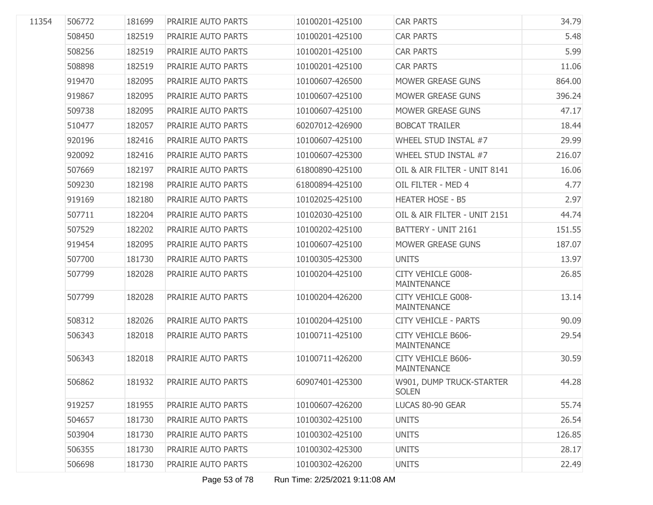| 11354 | 506772 | 181699 | PRAIRIE AUTO PARTS | 10100201-425100 | <b>CAR PARTS</b>                         | 34.79  |
|-------|--------|--------|--------------------|-----------------|------------------------------------------|--------|
|       | 508450 | 182519 | PRAIRIE AUTO PARTS | 10100201-425100 | <b>CAR PARTS</b>                         | 5.48   |
|       | 508256 | 182519 | PRAIRIE AUTO PARTS | 10100201-425100 | <b>CAR PARTS</b>                         | 5.99   |
|       | 508898 | 182519 | PRAIRIE AUTO PARTS | 10100201-425100 | <b>CAR PARTS</b>                         | 11.06  |
|       | 919470 | 182095 | PRAIRIE AUTO PARTS | 10100607-426500 | <b>MOWER GREASE GUNS</b>                 | 864.00 |
|       | 919867 | 182095 | PRAIRIE AUTO PARTS | 10100607-425100 | <b>MOWER GREASE GUNS</b>                 | 396.24 |
|       | 509738 | 182095 | PRAIRIE AUTO PARTS | 10100607-425100 | <b>MOWER GREASE GUNS</b>                 | 47.17  |
|       | 510477 | 182057 | PRAIRIE AUTO PARTS | 60207012-426900 | <b>BOBCAT TRAILER</b>                    | 18.44  |
|       | 920196 | 182416 | PRAIRIE AUTO PARTS | 10100607-425100 | WHEEL STUD INSTAL #7                     | 29.99  |
|       | 920092 | 182416 | PRAIRIE AUTO PARTS | 10100607-425300 | WHEEL STUD INSTAL #7                     | 216.07 |
|       | 507669 | 182197 | PRAIRIE AUTO PARTS | 61800890-425100 | OIL & AIR FILTER - UNIT 8141             | 16.06  |
|       | 509230 | 182198 | PRAIRIE AUTO PARTS | 61800894-425100 | OIL FILTER - MED 4                       | 4.77   |
|       | 919169 | 182180 | PRAIRIE AUTO PARTS | 10102025-425100 | <b>HEATER HOSE - B5</b>                  | 2.97   |
|       | 507711 | 182204 | PRAIRIE AUTO PARTS | 10102030-425100 | OIL & AIR FILTER - UNIT 2151             | 44.74  |
|       | 507529 | 182202 | PRAIRIE AUTO PARTS | 10100202-425100 | BATTERY - UNIT 2161                      | 151.55 |
|       | 919454 | 182095 | PRAIRIE AUTO PARTS | 10100607-425100 | <b>MOWER GREASE GUNS</b>                 | 187.07 |
|       | 507700 | 181730 | PRAIRIE AUTO PARTS | 10100305-425300 | <b>UNITS</b>                             | 13.97  |
|       | 507799 | 182028 | PRAIRIE AUTO PARTS | 10100204-425100 | CITY VEHICLE G008-<br><b>MAINTENANCE</b> | 26.85  |
|       | 507799 | 182028 | PRAIRIE AUTO PARTS | 10100204-426200 | CITY VEHICLE G008-<br><b>MAINTENANCE</b> | 13.14  |
|       | 508312 | 182026 | PRAIRIE AUTO PARTS | 10100204-425100 | <b>CITY VEHICLE - PARTS</b>              | 90.09  |
|       | 506343 | 182018 | PRAIRIE AUTO PARTS | 10100711-425100 | CITY VEHICLE B606-<br><b>MAINTENANCE</b> | 29.54  |
|       | 506343 | 182018 | PRAIRIE AUTO PARTS | 10100711-426200 | CITY VEHICLE B606-<br><b>MAINTENANCE</b> | 30.59  |
|       | 506862 | 181932 | PRAIRIE AUTO PARTS | 60907401-425300 | W901, DUMP TRUCK-STARTER<br><b>SOLEN</b> | 44.28  |
|       | 919257 | 181955 | PRAIRIE AUTO PARTS | 10100607-426200 | LUCAS 80-90 GEAR                         | 55.74  |
|       | 504657 | 181730 | PRAIRIE AUTO PARTS | 10100302-425100 | <b>UNITS</b>                             | 26.54  |
|       | 503904 | 181730 | PRAIRIE AUTO PARTS | 10100302-425100 | <b>UNITS</b>                             | 126.85 |
|       | 506355 | 181730 | PRAIRIE AUTO PARTS | 10100302-425300 | <b>UNITS</b>                             | 28.17  |
|       | 506698 | 181730 | PRAIRIE AUTO PARTS | 10100302-426200 | <b>UNITS</b>                             | 22.49  |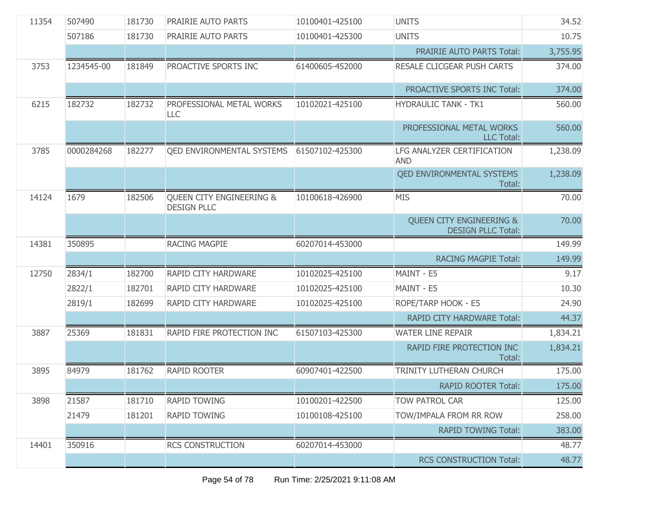| 11354 | 507490     | 181730 | PRAIRIE AUTO PARTS                                        | 10100401-425100 | <b>UNITS</b>                                                     | 34.52    |
|-------|------------|--------|-----------------------------------------------------------|-----------------|------------------------------------------------------------------|----------|
|       | 507186     | 181730 | PRAIRIE AUTO PARTS                                        | 10100401-425300 | <b>UNITS</b>                                                     | 10.75    |
|       |            |        |                                                           |                 | PRAIRIE AUTO PARTS Total:                                        | 3,755.95 |
| 3753  | 1234545-00 | 181849 | PROACTIVE SPORTS INC                                      | 61400605-452000 | RESALE CLICGEAR PUSH CARTS                                       | 374.00   |
|       |            |        |                                                           |                 | PROACTIVE SPORTS INC Total:                                      | 374.00   |
| 6215  | 182732     | 182732 | PROFESSIONAL METAL WORKS<br>LLC                           | 10102021-425100 | <b>HYDRAULIC TANK - TK1</b>                                      | 560.00   |
|       |            |        |                                                           |                 | PROFESSIONAL METAL WORKS<br><b>LLC Total:</b>                    | 560.00   |
| 3785  | 0000284268 | 182277 | <b>QED ENVIRONMENTAL SYSTEMS</b>                          | 61507102-425300 | LFG ANALYZER CERTIFICATION<br><b>AND</b>                         | 1,238.09 |
|       |            |        |                                                           |                 | <b>QED ENVIRONMENTAL SYSTEMS</b><br>Total:                       | 1,238.09 |
| 14124 | 1679       | 182506 | <b>QUEEN CITY ENGINEERING &amp;</b><br><b>DESIGN PLLC</b> | 10100618-426900 | <b>MIS</b>                                                       | 70.00    |
|       |            |        |                                                           |                 | <b>QUEEN CITY ENGINEERING &amp;</b><br><b>DESIGN PLLC Total:</b> | 70.00    |
| 14381 | 350895     |        | <b>RACING MAGPIE</b>                                      | 60207014-453000 |                                                                  | 149.99   |
|       |            |        |                                                           |                 | <b>RACING MAGPIE Total:</b>                                      | 149.99   |
| 12750 | 2834/1     | 182700 | RAPID CITY HARDWARE                                       | 10102025-425100 | MAINT - E5                                                       | 9.17     |
|       | 2822/1     | 182701 | RAPID CITY HARDWARE                                       | 10102025-425100 | MAINT - E5                                                       | 10.30    |
|       | 2819/1     | 182699 | RAPID CITY HARDWARE                                       | 10102025-425100 | ROPE/TARP HOOK - E5                                              | 24.90    |
|       |            |        |                                                           |                 | <b>RAPID CITY HARDWARE Total:</b>                                | 44.37    |
| 3887  | 25369      | 181831 | RAPID FIRE PROTECTION INC                                 | 61507103-425300 | <b>WATER LINE REPAIR</b>                                         | 1,834.21 |
|       |            |        |                                                           |                 | RAPID FIRE PROTECTION INC<br>Total:                              | 1,834.21 |
| 3895  | 84979      | 181762 | <b>RAPID ROOTER</b>                                       | 60907401-422500 | TRINITY LUTHERAN CHURCH                                          | 175.00   |
|       |            |        |                                                           |                 | <b>RAPID ROOTER Total:</b>                                       | 175.00   |
| 3898  | 21587      | 181710 | <b>RAPID TOWING</b>                                       | 10100201-422500 | <b>TOW PATROL CAR</b>                                            | 125.00   |
|       | 21479      | 181201 | <b>RAPID TOWING</b>                                       | 10100108-425100 | TOW/IMPALA FROM RR ROW                                           | 258.00   |
|       |            |        |                                                           |                 | <b>RAPID TOWING Total:</b>                                       | 383.00   |
| 14401 | 350916     |        | <b>RCS CONSTRUCTION</b>                                   | 60207014-453000 |                                                                  | 48.77    |
|       |            |        |                                                           |                 | <b>RCS CONSTRUCTION Total:</b>                                   | 48.77    |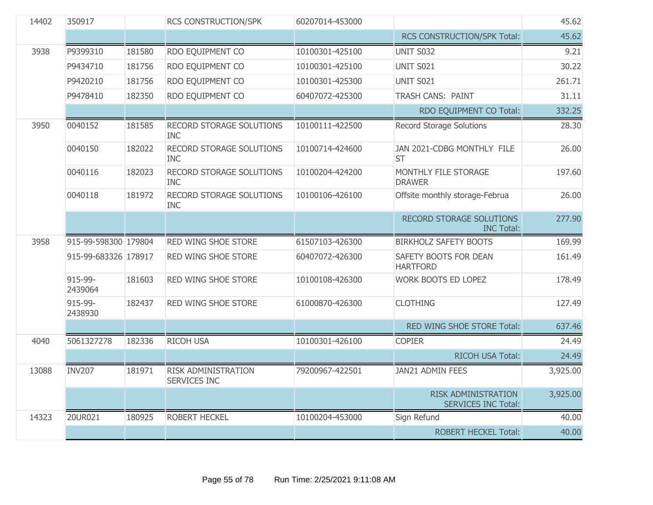| 14402 | 350917               |        | <b>RCS CONSTRUCTION/SPK</b>                       | 60207014-453000 |                                                          | 45.62    |
|-------|----------------------|--------|---------------------------------------------------|-----------------|----------------------------------------------------------|----------|
|       |                      |        |                                                   |                 | RCS CONSTRUCTION/SPK Total:                              | 45.62    |
| 3938  | P9399310             | 181580 | RDO EQUIPMENT CO                                  | 10100301-425100 | UNIT S032                                                | 9.21     |
|       | P9434710             | 181756 | RDO EQUIPMENT CO                                  | 10100301-425100 | <b>UNIT S021</b>                                         | 30.22    |
|       | P9420210             | 181756 | RDO EQUIPMENT CO                                  | 10100301-425300 | <b>UNIT S021</b>                                         | 261.71   |
|       | P9478410             | 182350 | RDO EQUIPMENT CO                                  | 60407072-425300 | <b>TRASH CANS: PAINT</b>                                 | 31.11    |
|       |                      |        |                                                   |                 | RDO EQUIPMENT CO Total:                                  | 332.25   |
| 3950  | 0040152              | 181585 | <b>RECORD STORAGE SOLUTIONS</b><br><b>INC</b>     | 10100111-422500 | <b>Record Storage Solutions</b>                          | 28.30    |
|       | 0040150              | 182022 | <b>RECORD STORAGE SOLUTIONS</b><br><b>INC</b>     | 10100714-424600 | JAN 2021-CDBG MONTHLY FILE<br><b>ST</b>                  | 26.00    |
|       | 0040116              | 182023 | <b>RECORD STORAGE SOLUTIONS</b><br><b>INC</b>     | 10100204-424200 | MONTHLY FILE STORAGE<br><b>DRAWER</b>                    | 197.60   |
|       | 0040118              | 181972 | <b>RECORD STORAGE SOLUTIONS</b><br><b>INC</b>     | 10100106-426100 | Offsite monthly storage-Februa                           | 26.00    |
|       |                      |        |                                                   |                 | <b>RECORD STORAGE SOLUTIONS</b><br><b>INC Total:</b>     | 277.90   |
| 3958  | 915-99-598300 179804 |        | <b>RED WING SHOE STORE</b>                        | 61507103-426300 | <b>BIRKHOLZ SAFETY BOOTS</b>                             | 169.99   |
|       | 915-99-683326 178917 |        | RED WING SHOE STORE                               | 60407072-426300 | SAFETY BOOTS FOR DEAN<br><b>HARTFORD</b>                 | 161.49   |
|       | 915-99-<br>2439064   | 181603 | RED WING SHOE STORE                               | 10100108-426300 | WORK BOOTS ED LOPEZ                                      | 178.49   |
|       | 915-99-<br>2438930   | 182437 | RED WING SHOE STORE                               | 61000870-426300 | <b>CLOTHING</b>                                          | 127.49   |
|       |                      |        |                                                   |                 | RED WING SHOE STORE Total:                               | 637.46   |
| 4040  | 5061327278           | 182336 | <b>RICOH USA</b>                                  | 10100301-426100 | <b>COPIER</b>                                            | 24.49    |
|       |                      |        |                                                   |                 | RICOH USA Total:                                         | 24.49    |
| 13088 | <b>INV207</b>        | 181971 | <b>RISK ADMINISTRATION</b><br><b>SERVICES INC</b> | 79200967-422501 | <b>JAN21 ADMIN FEES</b>                                  | 3,925.00 |
|       |                      |        |                                                   |                 | <b>RISK ADMINISTRATION</b><br><b>SERVICES INC Total:</b> | 3,925.00 |
| 14323 | 20UR021              | 180925 | <b>ROBERT HECKEL</b>                              | 10100204-453000 | Sign Refund                                              | 40.00    |
|       |                      |        |                                                   |                 | <b>ROBERT HECKEL Total:</b>                              | 40.00    |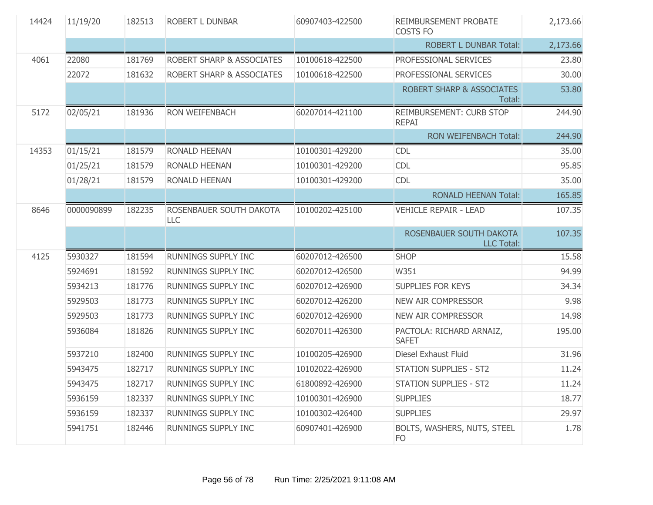| 14424 | 11/19/20   | 182513 | ROBERT L DUNBAR                       | 60907403-422500 | REIMBURSEMENT PROBATE<br><b>COSTS FO</b>       | 2,173.66 |
|-------|------------|--------|---------------------------------------|-----------------|------------------------------------------------|----------|
|       |            |        |                                       |                 | <b>ROBERT L DUNBAR Total:</b>                  | 2,173.66 |
| 4061  | 22080      | 181769 | ROBERT SHARP & ASSOCIATES             | 10100618-422500 | PROFESSIONAL SERVICES                          | 23.80    |
|       | 22072      | 181632 | <b>ROBERT SHARP &amp; ASSOCIATES</b>  | 10100618-422500 | PROFESSIONAL SERVICES                          | 30.00    |
|       |            |        |                                       |                 | <b>ROBERT SHARP &amp; ASSOCIATES</b><br>Total: | 53.80    |
| 5172  | 02/05/21   | 181936 | RON WEIFENBACH                        | 60207014-421100 | REIMBURSEMENT: CURB STOP<br><b>REPAI</b>       | 244.90   |
|       |            |        |                                       |                 | <b>RON WEIFENBACH Total:</b>                   | 244.90   |
| 14353 | 01/15/21   | 181579 | RONALD HEENAN                         | 10100301-429200 | <b>CDL</b>                                     | 35.00    |
|       | 01/25/21   | 181579 | RONALD HEENAN                         | 10100301-429200 | <b>CDL</b>                                     | 95.85    |
|       | 01/28/21   | 181579 | RONALD HEENAN                         | 10100301-429200 | <b>CDL</b>                                     | 35.00    |
|       |            |        |                                       |                 | <b>RONALD HEENAN Total:</b>                    | 165.85   |
| 8646  | 0000090899 | 182235 | ROSENBAUER SOUTH DAKOTA<br><b>LLC</b> | 10100202-425100 | <b>VEHICLE REPAIR - LEAD</b>                   | 107.35   |
|       |            |        |                                       |                 | ROSENBAUER SOUTH DAKOTA<br><b>LLC Total:</b>   | 107.35   |
| 4125  | 5930327    | 181594 | <b>RUNNINGS SUPPLY INC</b>            | 60207012-426500 | <b>SHOP</b>                                    | 15.58    |
|       | 5924691    | 181592 | RUNNINGS SUPPLY INC                   | 60207012-426500 | W351                                           | 94.99    |
|       | 5934213    | 181776 | RUNNINGS SUPPLY INC                   | 60207012-426900 | <b>SUPPLIES FOR KEYS</b>                       | 34.34    |
|       | 5929503    | 181773 | RUNNINGS SUPPLY INC                   | 60207012-426200 | <b>NEW AIR COMPRESSOR</b>                      | 9.98     |
|       | 5929503    | 181773 | RUNNINGS SUPPLY INC                   | 60207012-426900 | <b>NEW AIR COMPRESSOR</b>                      | 14.98    |
|       | 5936084    | 181826 | RUNNINGS SUPPLY INC                   | 60207011-426300 | PACTOLA: RICHARD ARNAIZ,<br><b>SAFET</b>       | 195.00   |
|       | 5937210    | 182400 | RUNNINGS SUPPLY INC                   | 10100205-426900 | Diesel Exhaust Fluid                           | 31.96    |
|       | 5943475    | 182717 | RUNNINGS SUPPLY INC                   | 10102022-426900 | <b>STATION SUPPLIES - ST2</b>                  | 11.24    |
|       | 5943475    | 182717 | RUNNINGS SUPPLY INC                   | 61800892-426900 | <b>STATION SUPPLIES - ST2</b>                  | 11.24    |
|       | 5936159    | 182337 | RUNNINGS SUPPLY INC                   | 10100301-426900 | <b>SUPPLIES</b>                                | 18.77    |
|       | 5936159    | 182337 | RUNNINGS SUPPLY INC                   | 10100302-426400 | <b>SUPPLIES</b>                                | 29.97    |
|       | 5941751    | 182446 | RUNNINGS SUPPLY INC                   | 60907401-426900 | BOLTS, WASHERS, NUTS, STEEL<br><b>FO</b>       | 1.78     |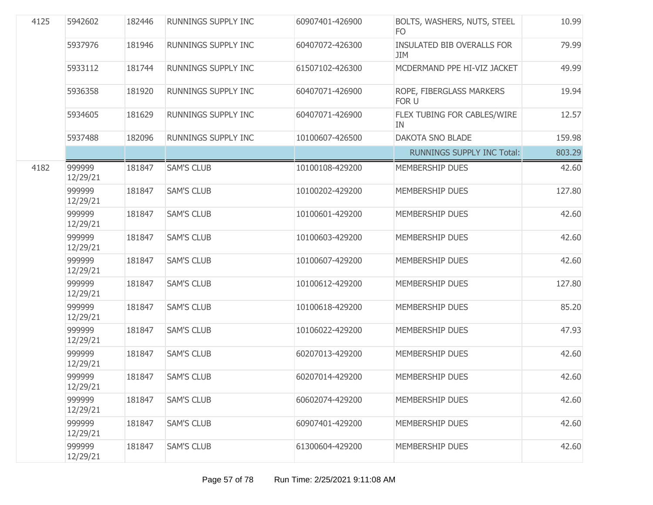| 4125 | 5942602            | 182446 | RUNNINGS SUPPLY INC        | 60907401-426900 | BOLTS, WASHERS, NUTS, STEEL<br>F <sub>O</sub> | 10.99  |
|------|--------------------|--------|----------------------------|-----------------|-----------------------------------------------|--------|
|      | 5937976            | 181946 | RUNNINGS SUPPLY INC        | 60407072-426300 | <b>INSULATED BIB OVERALLS FOR</b><br>JIM      | 79.99  |
|      | 5933112            | 181744 | RUNNINGS SUPPLY INC        | 61507102-426300 | MCDERMAND PPE HI-VIZ JACKET                   | 49.99  |
|      | 5936358            | 181920 | RUNNINGS SUPPLY INC        | 60407071-426900 | ROPE, FIBERGLASS MARKERS<br>FOR U             | 19.94  |
|      | 5934605            | 181629 | <b>RUNNINGS SUPPLY INC</b> | 60407071-426900 | FLEX TUBING FOR CABLES/WIRE<br>IN             | 12.57  |
|      | 5937488            | 182096 | RUNNINGS SUPPLY INC        | 10100607-426500 | <b>DAKOTA SNO BLADE</b>                       | 159.98 |
|      |                    |        |                            |                 | <b>RUNNINGS SUPPLY INC Total:</b>             | 803.29 |
| 4182 | 999999<br>12/29/21 | 181847 | <b>SAM'S CLUB</b>          | 10100108-429200 | MEMBERSHIP DUES                               | 42.60  |
|      | 999999<br>12/29/21 | 181847 | <b>SAM'S CLUB</b>          | 10100202-429200 | MEMBERSHIP DUES                               | 127.80 |
|      | 999999<br>12/29/21 | 181847 | <b>SAM'S CLUB</b>          | 10100601-429200 | <b>MEMBERSHIP DUES</b>                        | 42.60  |
|      | 999999<br>12/29/21 | 181847 | <b>SAM'S CLUB</b>          | 10100603-429200 | MEMBERSHIP DUES                               | 42.60  |
|      | 999999<br>12/29/21 | 181847 | <b>SAM'S CLUB</b>          | 10100607-429200 | MEMBERSHIP DUES                               | 42.60  |
|      | 999999<br>12/29/21 | 181847 | <b>SAM'S CLUB</b>          | 10100612-429200 | MEMBERSHIP DUES                               | 127.80 |
|      | 999999<br>12/29/21 | 181847 | <b>SAM'S CLUB</b>          | 10100618-429200 | MEMBERSHIP DUES                               | 85.20  |
|      | 999999<br>12/29/21 | 181847 | <b>SAM'S CLUB</b>          | 10106022-429200 | MEMBERSHIP DUES                               | 47.93  |
|      | 999999<br>12/29/21 | 181847 | <b>SAM'S CLUB</b>          | 60207013-429200 | <b>MEMBERSHIP DUES</b>                        | 42.60  |
|      | 999999<br>12/29/21 | 181847 | <b>SAM'S CLUB</b>          | 60207014-429200 | MEMBERSHIP DUES                               | 42.60  |
|      | 999999<br>12/29/21 | 181847 | <b>SAM'S CLUB</b>          | 60602074-429200 | <b>MEMBERSHIP DUES</b>                        | 42.60  |
|      | 999999<br>12/29/21 | 181847 | <b>SAM'S CLUB</b>          | 60907401-429200 | <b>MEMBERSHIP DUES</b>                        | 42.60  |
|      | 999999<br>12/29/21 | 181847 | <b>SAM'S CLUB</b>          | 61300604-429200 | <b>MEMBERSHIP DUES</b>                        | 42.60  |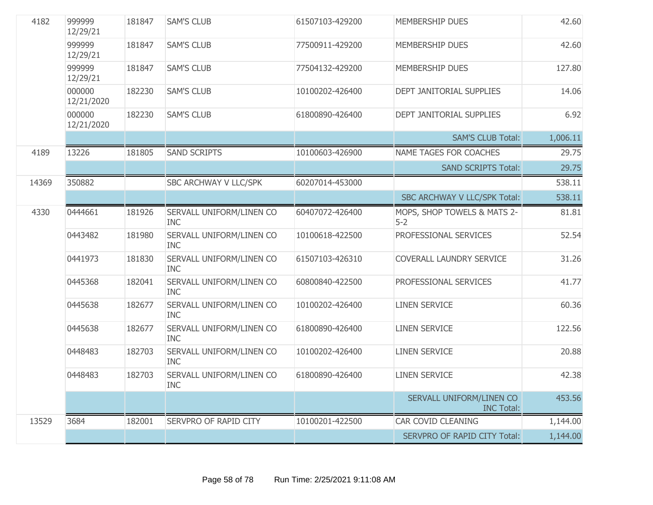| 4182  | 999999<br>12/29/21   | 181847 | <b>SAM'S CLUB</b>                      | 61507103-429200 | MEMBERSHIP DUES                               | 42.60    |
|-------|----------------------|--------|----------------------------------------|-----------------|-----------------------------------------------|----------|
|       | 999999<br>12/29/21   | 181847 | <b>SAM'S CLUB</b>                      | 77500911-429200 | MEMBERSHIP DUES                               | 42.60    |
|       | 999999<br>12/29/21   | 181847 | <b>SAM'S CLUB</b>                      | 77504132-429200 | MEMBERSHIP DUES                               | 127.80   |
|       | 000000<br>12/21/2020 | 182230 | <b>SAM'S CLUB</b>                      | 10100202-426400 | DEPT JANITORIAL SUPPLIES                      | 14.06    |
|       | 000000<br>12/21/2020 | 182230 | <b>SAM'S CLUB</b>                      | 61800890-426400 | DEPT JANITORIAL SUPPLIES                      | 6.92     |
|       |                      |        |                                        |                 | <b>SAM'S CLUB Total:</b>                      | 1,006.11 |
| 4189  | 13226                | 181805 | <b>SAND SCRIPTS</b>                    | 10100603-426900 | NAME TAGES FOR COACHES                        | 29.75    |
|       |                      |        |                                        |                 | <b>SAND SCRIPTS Total:</b>                    | 29.75    |
| 14369 | 350882               |        | SBC ARCHWAY V LLC/SPK                  | 60207014-453000 |                                               | 538.11   |
|       |                      |        |                                        |                 | SBC ARCHWAY V LLC/SPK Total:                  | 538.11   |
| 4330  | 0444661              | 181926 | SERVALL UNIFORM/LINEN CO<br><b>INC</b> | 60407072-426400 | MOPS, SHOP TOWELS & MATS 2-<br>$5 - 2$        | 81.81    |
|       | 0443482              | 181980 | SERVALL UNIFORM/LINEN CO<br><b>INC</b> | 10100618-422500 | PROFESSIONAL SERVICES                         | 52.54    |
|       | 0441973              | 181830 | SERVALL UNIFORM/LINEN CO<br><b>INC</b> | 61507103-426310 | COVERALL LAUNDRY SERVICE                      | 31.26    |
|       | 0445368              | 182041 | SERVALL UNIFORM/LINEN CO<br><b>INC</b> | 60800840-422500 | PROFESSIONAL SERVICES                         | 41.77    |
|       | 0445638              | 182677 | SERVALL UNIFORM/LINEN CO<br><b>INC</b> | 10100202-426400 | <b>LINEN SERVICE</b>                          | 60.36    |
|       | 0445638              | 182677 | SERVALL UNIFORM/LINEN CO<br><b>INC</b> | 61800890-426400 | <b>LINEN SERVICE</b>                          | 122.56   |
|       | 0448483              | 182703 | SERVALL UNIFORM/LINEN CO<br><b>INC</b> | 10100202-426400 | <b>LINEN SERVICE</b>                          | 20.88    |
|       | 0448483              | 182703 | SERVALL UNIFORM/LINEN CO<br><b>INC</b> | 61800890-426400 | <b>LINEN SERVICE</b>                          | 42.38    |
|       |                      |        |                                        |                 | SERVALL UNIFORM/LINEN CO<br><b>INC Total:</b> | 453.56   |
| 13529 | 3684                 | 182001 | SERVPRO OF RAPID CITY                  | 10100201-422500 | CAR COVID CLEANING                            | 1,144.00 |
|       |                      |        |                                        |                 | SERVPRO OF RAPID CITY Total:                  | 1,144.00 |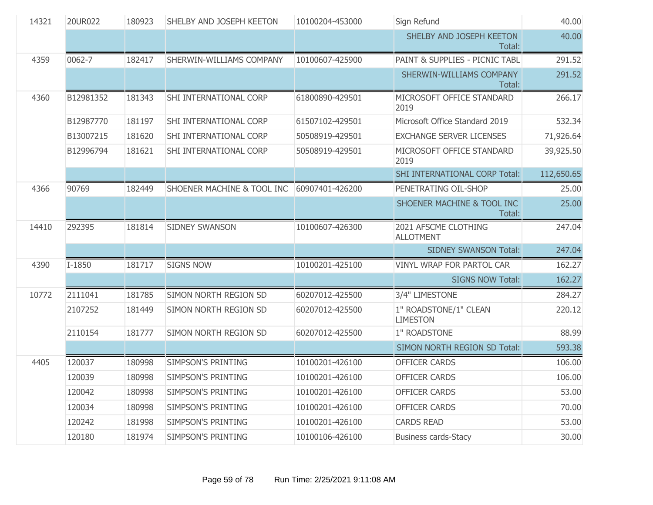| 14321 | 20UR022   | 180923 | SHELBY AND JOSEPH KEETON   | 10100204-453000 | Sign Refund                              | 40.00      |
|-------|-----------|--------|----------------------------|-----------------|------------------------------------------|------------|
|       |           |        |                            |                 | SHELBY AND JOSEPH KEETON<br>Total:       | 40.00      |
| 4359  | 0062-7    | 182417 | SHERWIN-WILLIAMS COMPANY   | 10100607-425900 | PAINT & SUPPLIES - PICNIC TABL           | 291.52     |
|       |           |        |                            |                 | SHERWIN-WILLIAMS COMPANY<br>Total:       | 291.52     |
| 4360  | B12981352 | 181343 | SHI INTERNATIONAL CORP     | 61800890-429501 | MICROSOFT OFFICE STANDARD<br>2019        | 266.17     |
|       | B12987770 | 181197 | SHI INTERNATIONAL CORP     | 61507102-429501 | Microsoft Office Standard 2019           | 532.34     |
|       | B13007215 | 181620 | SHI INTERNATIONAL CORP     | 50508919-429501 | <b>EXCHANGE SERVER LICENSES</b>          | 71,926.64  |
|       | B12996794 | 181621 | SHI INTERNATIONAL CORP     | 50508919-429501 | MICROSOFT OFFICE STANDARD<br>2019        | 39,925.50  |
|       |           |        |                            |                 | SHI INTERNATIONAL CORP Total:            | 112,650.65 |
| 4366  | 90769     | 182449 | SHOENER MACHINE & TOOL INC | 60907401-426200 | PENETRATING OIL-SHOP                     | 25.00      |
|       |           |        |                            |                 | SHOENER MACHINE & TOOL INC<br>Total:     | 25.00      |
| 14410 | 292395    | 181814 | <b>SIDNEY SWANSON</b>      | 10100607-426300 | 2021 AFSCME CLOTHING<br><b>ALLOTMENT</b> | 247.04     |
|       |           |        |                            |                 | <b>SIDNEY SWANSON Total:</b>             | 247.04     |
| 4390  | I-1850    | 181717 | <b>SIGNS NOW</b>           | 10100201-425100 | <b>VINYL WRAP FOR PARTOL CAR</b>         | 162.27     |
|       |           |        |                            |                 | <b>SIGNS NOW Total:</b>                  | 162.27     |
| 10772 | 2111041   | 181785 | SIMON NORTH REGION SD      | 60207012-425500 | 3/4" LIMESTONE                           | 284.27     |
|       | 2107252   | 181449 | SIMON NORTH REGION SD      | 60207012-425500 | 1" ROADSTONE/1" CLEAN<br><b>LIMESTON</b> | 220.12     |
|       | 2110154   | 181777 | SIMON NORTH REGION SD      | 60207012-425500 | 1" ROADSTONE                             | 88.99      |
|       |           |        |                            |                 | SIMON NORTH REGION SD Total:             | 593.38     |
| 4405  | 120037    | 180998 | <b>SIMPSON'S PRINTING</b>  | 10100201-426100 | <b>OFFICER CARDS</b>                     | 106.00     |
|       | 120039    | 180998 | <b>SIMPSON'S PRINTING</b>  | 10100201-426100 | <b>OFFICER CARDS</b>                     | 106.00     |
|       | 120042    | 180998 | <b>SIMPSON'S PRINTING</b>  | 10100201-426100 | OFFICER CARDS                            | 53.00      |
|       | 120034    | 180998 | SIMPSON'S PRINTING         | 10100201-426100 | <b>OFFICER CARDS</b>                     | 70.00      |
|       | 120242    | 181998 | <b>SIMPSON'S PRINTING</b>  | 10100201-426100 | <b>CARDS READ</b>                        | 53.00      |
|       | 120180    | 181974 | SIMPSON'S PRINTING         | 10100106-426100 | <b>Business cards-Stacy</b>              | 30.00      |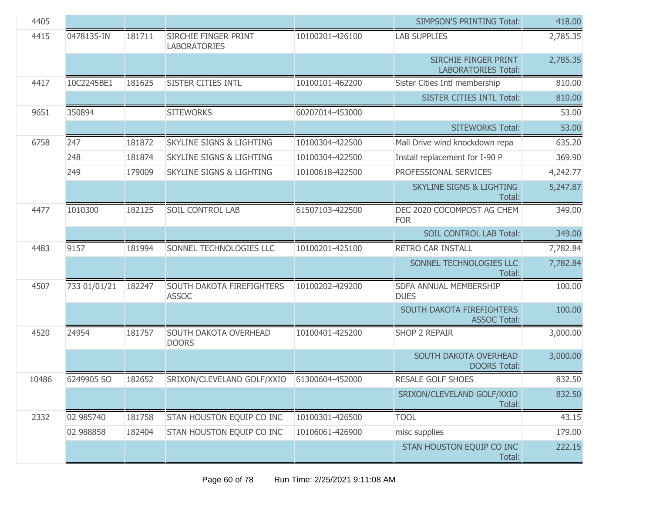| 4405  |              |        |                                             |                 | <b>SIMPSON'S PRINTING Total:</b>                   | 418.00   |
|-------|--------------|--------|---------------------------------------------|-----------------|----------------------------------------------------|----------|
| 4415  | 0478135-IN   | 181711 | SIRCHIE FINGER PRINT<br><b>LABORATORIES</b> | 10100201-426100 | <b>LAB SUPPLIES</b>                                | 2,785.35 |
|       |              |        |                                             |                 | SIRCHIE FINGER PRINT<br><b>LABORATORIES Total:</b> | 2,785.35 |
| 4417  | 10C2245BE1   | 181625 | <b>SISTER CITIES INTL</b>                   | 10100101-462200 | Sister Cities Intl membership                      | 810.00   |
|       |              |        |                                             |                 | <b>SISTER CITIES INTL Total:</b>                   | 810.00   |
| 9651  | 350894       |        | <b>SITEWORKS</b>                            | 60207014-453000 |                                                    | 53.00    |
|       |              |        |                                             |                 | <b>SITEWORKS Total:</b>                            | 53.00    |
| 6758  | 247          | 181872 | <b>SKYLINE SIGNS &amp; LIGHTING</b>         | 10100304-422500 | Mall Drive wind knockdown repa                     | 635.20   |
|       | 248          | 181874 | <b>SKYLINE SIGNS &amp; LIGHTING</b>         | 10100304-422500 | Install replacement for I-90 P                     | 369.90   |
|       | 249          | 179009 | <b>SKYLINE SIGNS &amp; LIGHTING</b>         | 10100618-422500 | PROFESSIONAL SERVICES                              | 4,242.77 |
|       |              |        |                                             |                 | <b>SKYLINE SIGNS &amp; LIGHTING</b><br>Total:      | 5,247.87 |
| 4477  | 1010300      | 182125 | <b>SOIL CONTROL LAB</b>                     | 61507103-422500 | DEC 2020 COCOMPOST AG CHEM<br><b>FOR</b>           | 349.00   |
|       |              |        |                                             |                 | <b>SOIL CONTROL LAB Total:</b>                     | 349.00   |
| 4483  | 9157         | 181994 | SONNEL TECHNOLOGIES LLC                     | 10100201-425100 | <b>RETRO CAR INSTALL</b>                           | 7,782.84 |
|       |              |        |                                             |                 | SONNEL TECHNOLOGIES LLC<br>Total:                  | 7,782.84 |
| 4507  | 733 01/01/21 | 182247 | SOUTH DAKOTA FIREFIGHTERS<br><b>ASSOC</b>   | 10100202-429200 | SDFA ANNUAL MEMBERSHIP<br><b>DUES</b>              | 100.00   |
|       |              |        |                                             |                 | SOUTH DAKOTA FIREFIGHTERS<br><b>ASSOC Total:</b>   | 100.00   |
| 4520  | 24954        | 181757 | SOUTH DAKOTA OVERHEAD<br><b>DOORS</b>       | 10100401-425200 | <b>SHOP 2 REPAIR</b>                               | 3,000.00 |
|       |              |        |                                             |                 | SOUTH DAKOTA OVERHEAD<br><b>DOORS Total:</b>       | 3,000.00 |
| 10486 | 6249905 SO   | 182652 | SRIXON/CLEVELAND GOLF/XXIO                  | 61300604-452000 | <b>RESALE GOLF SHOES</b>                           | 832.50   |
|       |              |        |                                             |                 | SRIXON/CLEVELAND GOLF/XXIO<br>Total:               | 832.50   |
| 2332  | 02 985740    | 181758 | STAN HOUSTON EQUIP CO INC                   | 10100301-426500 | <b>TOOL</b>                                        | 43.15    |
|       | 02 988858    | 182404 | STAN HOUSTON EQUIP CO INC                   | 10106061-426900 | misc supplies                                      | 179.00   |
|       |              |        |                                             |                 | STAN HOUSTON EQUIP CO INC<br>Total:                | 222.15   |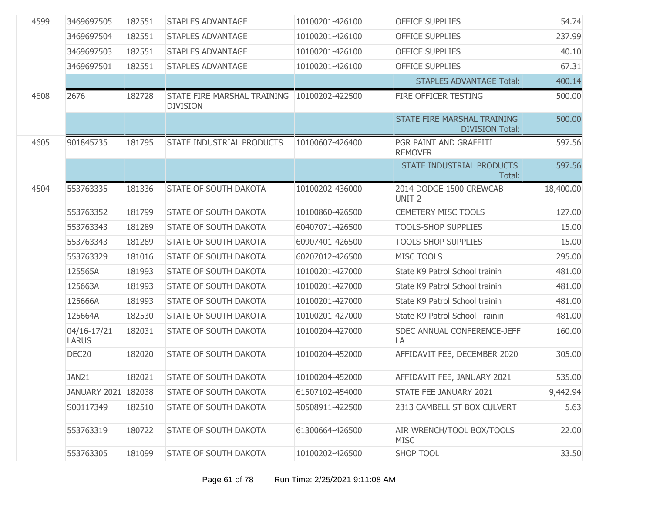| 4599 | 3469697505                  | 182551 | <b>STAPLES ADVANTAGE</b>                       | 10100201-426100 | <b>OFFICE SUPPLIES</b>                                | 54.74     |
|------|-----------------------------|--------|------------------------------------------------|-----------------|-------------------------------------------------------|-----------|
|      | 3469697504                  | 182551 | <b>STAPLES ADVANTAGE</b>                       | 10100201-426100 | <b>OFFICE SUPPLIES</b>                                | 237.99    |
|      | 3469697503                  | 182551 | <b>STAPLES ADVANTAGE</b>                       | 10100201-426100 | <b>OFFICE SUPPLIES</b>                                | 40.10     |
|      | 3469697501                  | 182551 | <b>STAPLES ADVANTAGE</b>                       | 10100201-426100 | <b>OFFICE SUPPLIES</b>                                | 67.31     |
|      |                             |        |                                                |                 | <b>STAPLES ADVANTAGE Total:</b>                       | 400.14    |
| 4608 | 2676                        | 182728 | STATE FIRE MARSHAL TRAINING<br><b>DIVISION</b> | 10100202-422500 | FIRE OFFICER TESTING                                  | 500.00    |
|      |                             |        |                                                |                 | STATE FIRE MARSHAL TRAINING<br><b>DIVISION Total:</b> | 500.00    |
| 4605 | 901845735                   | 181795 | <b>STATE INDUSTRIAL PRODUCTS</b>               | 10100607-426400 | PGR PAINT AND GRAFFITI<br><b>REMOVER</b>              | 597.56    |
|      |                             |        |                                                |                 | STATE INDUSTRIAL PRODUCTS<br>Total:                   | 597.56    |
| 4504 | 553763335                   | 181336 | STATE OF SOUTH DAKOTA                          | 10100202-436000 | 2014 DODGE 1500 CREWCAB<br>UNIT <sub>2</sub>          | 18,400.00 |
|      | 553763352                   | 181799 | <b>STATE OF SOUTH DAKOTA</b>                   | 10100860-426500 | <b>CEMETERY MISC TOOLS</b>                            | 127.00    |
|      | 553763343                   | 181289 | STATE OF SOUTH DAKOTA                          | 60407071-426500 | <b>TOOLS-SHOP SUPPLIES</b>                            | 15.00     |
|      | 553763343                   | 181289 | STATE OF SOUTH DAKOTA                          | 60907401-426500 | <b>TOOLS-SHOP SUPPLIES</b>                            | 15.00     |
|      | 553763329                   | 181016 | STATE OF SOUTH DAKOTA                          | 60207012-426500 | <b>MISC TOOLS</b>                                     | 295.00    |
|      | 125565A                     | 181993 | STATE OF SOUTH DAKOTA                          | 10100201-427000 | State K9 Patrol School trainin                        | 481.00    |
|      | 125663A                     | 181993 | STATE OF SOUTH DAKOTA                          | 10100201-427000 | State K9 Patrol School trainin                        | 481.00    |
|      | 125666A                     | 181993 | STATE OF SOUTH DAKOTA                          | 10100201-427000 | State K9 Patrol School trainin                        | 481.00    |
|      | 125664A                     | 182530 | STATE OF SOUTH DAKOTA                          | 10100201-427000 | State K9 Patrol School Trainin                        | 481.00    |
|      | 04/16-17/21<br><b>LARUS</b> | 182031 | STATE OF SOUTH DAKOTA                          | 10100204-427000 | SDEC ANNUAL CONFERENCE-JEFF<br>LA                     | 160.00    |
|      | DEC <sub>20</sub>           | 182020 | STATE OF SOUTH DAKOTA                          | 10100204-452000 | AFFIDAVIT FEE, DECEMBER 2020                          | 305.00    |
|      | JAN21                       | 182021 | STATE OF SOUTH DAKOTA                          | 10100204-452000 | AFFIDAVIT FEE, JANUARY 2021                           | 535.00    |
|      | JANUARY 2021 182038         |        | STATE OF SOUTH DAKOTA                          | 61507102-454000 | STATE FEE JANUARY 2021                                | 9,442.94  |
|      | S00117349                   | 182510 | STATE OF SOUTH DAKOTA                          | 50508911-422500 | 2313 CAMBELL ST BOX CULVERT                           | 5.63      |
|      | 553763319                   | 180722 | <b>STATE OF SOUTH DAKOTA</b>                   | 61300664-426500 | AIR WRENCH/TOOL BOX/TOOLS<br><b>MISC</b>              | 22.00     |
|      | 553763305                   | 181099 | STATE OF SOUTH DAKOTA                          | 10100202-426500 | <b>SHOP TOOL</b>                                      | 33.50     |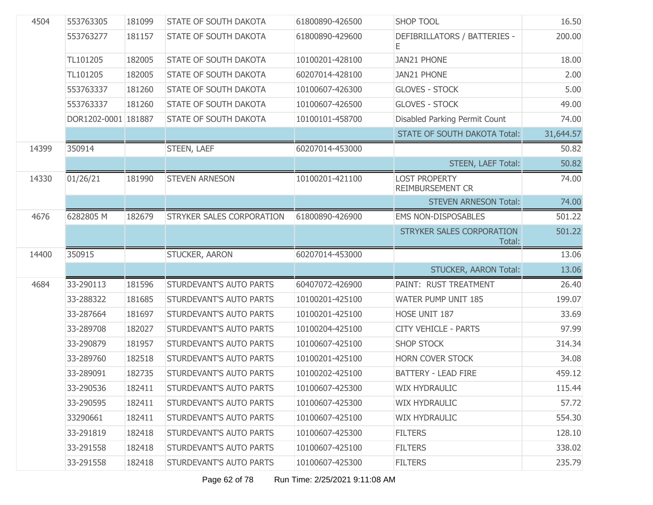| 4504  | 553763305           | 181099 | STATE OF SOUTH DAKOTA     | 61800890-426500 | <b>SHOP TOOL</b>                                | 16.50     |
|-------|---------------------|--------|---------------------------|-----------------|-------------------------------------------------|-----------|
|       | 553763277           | 181157 | STATE OF SOUTH DAKOTA     | 61800890-429600 | DEFIBRILLATORS / BATTERIES -<br>E               | 200.00    |
|       | TL101205            | 182005 | STATE OF SOUTH DAKOTA     | 10100201-428100 | <b>JAN21 PHONE</b>                              | 18.00     |
|       | TL101205            | 182005 | STATE OF SOUTH DAKOTA     | 60207014-428100 | <b>JAN21 PHONE</b>                              | 2.00      |
|       | 553763337           | 181260 | STATE OF SOUTH DAKOTA     | 10100607-426300 | <b>GLOVES - STOCK</b>                           | 5.00      |
|       | 553763337           | 181260 | STATE OF SOUTH DAKOTA     | 10100607-426500 | <b>GLOVES - STOCK</b>                           | 49.00     |
|       | DOR1202-0001 181887 |        | STATE OF SOUTH DAKOTA     | 10100101-458700 | Disabled Parking Permit Count                   | 74.00     |
|       |                     |        |                           |                 | <b>STATE OF SOUTH DAKOTA Total:</b>             | 31,644.57 |
| 14399 | 350914              |        | STEEN, LAEF               | 60207014-453000 |                                                 | 50.82     |
|       |                     |        |                           |                 | <b>STEEN, LAEF Total:</b>                       | 50.82     |
| 14330 | 01/26/21            | 181990 | <b>STEVEN ARNESON</b>     | 10100201-421100 | <b>LOST PROPERTY</b><br><b>REIMBURSEMENT CR</b> | 74.00     |
|       |                     |        |                           |                 | <b>STEVEN ARNESON Total:</b>                    | 74.00     |
| 4676  | 6282805 M           | 182679 | STRYKER SALES CORPORATION | 61800890-426900 | <b>EMS NON-DISPOSABLES</b>                      | 501.22    |
|       |                     |        |                           |                 | <b>STRYKER SALES CORPORATION</b><br>Total:      | 501.22    |
|       |                     |        |                           |                 |                                                 |           |
| 14400 | 350915              |        | STUCKER, AARON            | 60207014-453000 |                                                 | 13.06     |
|       |                     |        |                           |                 | STUCKER, AARON Total:                           | 13.06     |
| 4684  | 33-290113           | 181596 | STURDEVANT'S AUTO PARTS   | 60407072-426900 | PAINT: RUST TREATMENT                           | 26.40     |
|       | 33-288322           | 181685 | STURDEVANT'S AUTO PARTS   | 10100201-425100 | WATER PUMP UNIT 185                             | 199.07    |
|       | 33-287664           | 181697 | STURDEVANT'S AUTO PARTS   | 10100201-425100 | HOSE UNIT 187                                   | 33.69     |
|       | 33-289708           | 182027 | STURDEVANT'S AUTO PARTS   | 10100204-425100 | <b>CITY VEHICLE - PARTS</b>                     | 97.99     |
|       | 33-290879           | 181957 | STURDEVANT'S AUTO PARTS   | 10100607-425100 | <b>SHOP STOCK</b>                               | 314.34    |
|       | 33-289760           | 182518 | STURDEVANT'S AUTO PARTS   | 10100201-425100 | HORN COVER STOCK                                | 34.08     |
|       | 33-289091           | 182735 | STURDEVANT'S AUTO PARTS   | 10100202-425100 | <b>BATTERY - LEAD FIRE</b>                      | 459.12    |
|       | 33-290536           | 182411 | STURDEVANT'S AUTO PARTS   | 10100607-425300 | <b>WIX HYDRAULIC</b>                            | 115.44    |
|       | 33-290595           | 182411 | STURDEVANT'S AUTO PARTS   | 10100607-425300 | <b>WIX HYDRAULIC</b>                            | 57.72     |
|       | 33290661            | 182411 | STURDEVANT'S AUTO PARTS   | 10100607-425100 | <b>WIX HYDRAULIC</b>                            | 554.30    |
|       | 33-291819           | 182418 | STURDEVANT'S AUTO PARTS   | 10100607-425300 | <b>FILTERS</b>                                  | 128.10    |
|       | 33-291558           | 182418 | STURDEVANT'S AUTO PARTS   | 10100607-425100 | <b>FILTERS</b>                                  | 338.02    |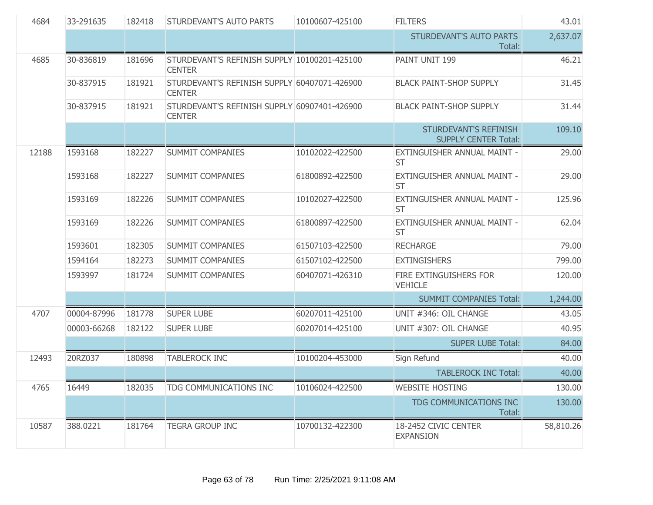| 4684  | 33-291635   | 182418 | <b>STURDEVANT'S AUTO PARTS</b>                                | 10100607-425100 | <b>FILTERS</b>                                       | 43.01     |
|-------|-------------|--------|---------------------------------------------------------------|-----------------|------------------------------------------------------|-----------|
|       |             |        |                                                               |                 | STURDEVANT'S AUTO PARTS<br>Total:                    | 2,637.07  |
| 4685  | 30-836819   | 181696 | STURDEVANT'S REFINISH SUPPLY 10100201-425100<br><b>CENTER</b> |                 | PAINT UNIT 199                                       | 46.21     |
|       | 30-837915   | 181921 | STURDEVANT'S REFINISH SUPPLY 60407071-426900<br><b>CENTER</b> |                 | <b>BLACK PAINT-SHOP SUPPLY</b>                       | 31.45     |
|       | 30-837915   | 181921 | STURDEVANT'S REFINISH SUPPLY 60907401-426900<br><b>CENTER</b> |                 | <b>BLACK PAINT-SHOP SUPPLY</b>                       | 31.44     |
|       |             |        |                                                               |                 | STURDEVANT'S REFINISH<br><b>SUPPLY CENTER Total:</b> | 109.10    |
| 12188 | 1593168     | 182227 | <b>SUMMIT COMPANIES</b>                                       | 10102022-422500 | EXTINGUISHER ANNUAL MAINT -<br><b>ST</b>             | 29.00     |
|       | 1593168     | 182227 | <b>SUMMIT COMPANIES</b>                                       | 61800892-422500 | EXTINGUISHER ANNUAL MAINT -<br><b>ST</b>             | 29.00     |
|       | 1593169     | 182226 | <b>SUMMIT COMPANIES</b>                                       | 10102027-422500 | EXTINGUISHER ANNUAL MAINT -<br><b>ST</b>             | 125.96    |
|       | 1593169     | 182226 | <b>SUMMIT COMPANIES</b>                                       | 61800897-422500 | EXTINGUISHER ANNUAL MAINT -<br><b>ST</b>             | 62.04     |
|       | 1593601     | 182305 | <b>SUMMIT COMPANIES</b>                                       | 61507103-422500 | <b>RECHARGE</b>                                      | 79.00     |
|       | 1594164     | 182273 | SUMMIT COMPANIES                                              | 61507102-422500 | <b>EXTINGISHERS</b>                                  | 799.00    |
|       | 1593997     | 181724 | <b>SUMMIT COMPANIES</b>                                       | 60407071-426310 | FIRE EXTINGUISHERS FOR<br><b>VEHICLE</b>             | 120.00    |
|       |             |        |                                                               |                 | <b>SUMMIT COMPANIES Total:</b>                       | 1,244.00  |
| 4707  | 00004-87996 | 181778 | <b>SUPER LUBE</b>                                             | 60207011-425100 | UNIT #346: OIL CHANGE                                | 43.05     |
|       | 00003-66268 | 182122 | <b>SUPER LUBE</b>                                             | 60207014-425100 | UNIT #307: OIL CHANGE                                | 40.95     |
|       |             |        |                                                               |                 | <b>SUPER LUBE Total:</b>                             | 84.00     |
| 12493 | 20RZ037     | 180898 | <b>TABLEROCK INC</b>                                          | 10100204-453000 | Sign Refund                                          | 40.00     |
|       |             |        |                                                               |                 | <b>TABLEROCK INC Total:</b>                          | 40.00     |
| 4765  | 16449       | 182035 | TDG COMMUNICATIONS INC                                        | 10106024-422500 | <b>WEBSITE HOSTING</b>                               | 130.00    |
|       |             |        |                                                               |                 | TDG COMMUNICATIONS INC<br>Total:                     | 130.00    |
| 10587 | 388.0221    | 181764 | <b>TEGRA GROUP INC</b>                                        | 10700132-422300 | 18-2452 CIVIC CENTER<br><b>EXPANSION</b>             | 58,810.26 |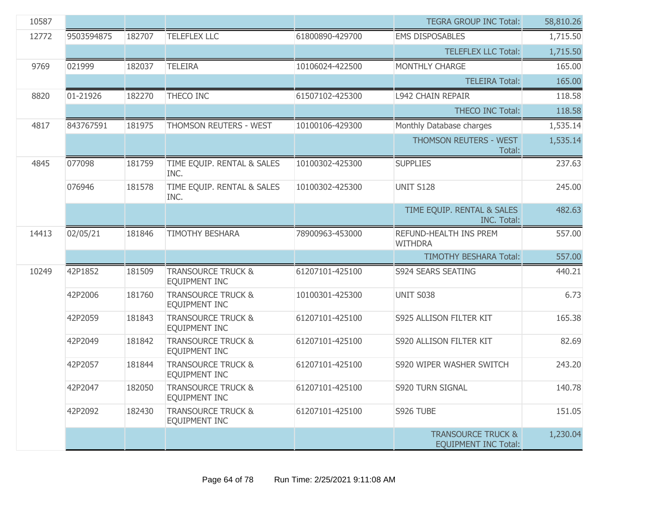| 10587 |            |        |                                                       |                 | <b>TEGRA GROUP INC Total:</b>                                | 58,810.26 |
|-------|------------|--------|-------------------------------------------------------|-----------------|--------------------------------------------------------------|-----------|
| 12772 | 9503594875 | 182707 | <b>TELEFLEX LLC</b>                                   | 61800890-429700 | <b>EMS DISPOSABLES</b>                                       | 1,715.50  |
|       |            |        |                                                       |                 | <b>TELEFLEX LLC Total:</b>                                   | 1,715.50  |
| 9769  | 021999     | 182037 | <b>TELEIRA</b>                                        | 10106024-422500 | MONTHLY CHARGE                                               | 165.00    |
|       |            |        |                                                       |                 | <b>TELEIRA Total:</b>                                        | 165.00    |
| 8820  | 01-21926   | 182270 | THECO INC                                             | 61507102-425300 | <b>L942 CHAIN REPAIR</b>                                     | 118.58    |
|       |            |        |                                                       |                 | <b>THECO INC Total:</b>                                      | 118.58    |
| 4817  | 843767591  | 181975 | THOMSON REUTERS - WEST                                | 10100106-429300 | Monthly Database charges                                     | 1,535.14  |
|       |            |        |                                                       |                 | THOMSON REUTERS - WEST<br>Total:                             | 1,535.14  |
| 4845  | 077098     | 181759 | TIME EQUIP. RENTAL & SALES<br>INC.                    | 10100302-425300 | <b>SUPPLIES</b>                                              | 237.63    |
|       | 076946     | 181578 | TIME EQUIP. RENTAL & SALES<br>INC.                    | 10100302-425300 | <b>UNIT S128</b>                                             | 245.00    |
|       |            |        |                                                       |                 | TIME EQUIP. RENTAL & SALES<br><b>INC. Total:</b>             | 482.63    |
| 14413 | 02/05/21   | 181846 | <b>TIMOTHY BESHARA</b>                                | 78900963-453000 | REFUND-HEALTH INS PREM<br><b>WITHDRA</b>                     | 557.00    |
|       |            |        |                                                       |                 | <b>TIMOTHY BESHARA Total:</b>                                | 557.00    |
| 10249 | 42P1852    | 181509 | <b>TRANSOURCE TRUCK &amp;</b><br>EQUIPMENT INC        | 61207101-425100 | S924 SEARS SEATING                                           | 440.21    |
|       | 42P2006    | 181760 | <b>TRANSOURCE TRUCK &amp;</b><br>EQUIPMENT INC        | 10100301-425300 | UNIT S038                                                    | 6.73      |
|       | 42P2059    | 181843 | <b>TRANSOURCE TRUCK &amp;</b><br>EQUIPMENT INC        | 61207101-425100 | S925 ALLISON FILTER KIT                                      | 165.38    |
|       | 42P2049    | 181842 | <b>TRANSOURCE TRUCK &amp;</b><br><b>EQUIPMENT INC</b> | 61207101-425100 | S920 ALLISON FILTER KIT                                      | 82.69     |
|       | 42P2057    | 181844 | <b>TRANSOURCE TRUCK &amp;</b><br>EQUIPMENT INC        | 61207101-425100 | S920 WIPER WASHER SWITCH                                     | 243.20    |
|       | 42P2047    | 182050 | <b>TRANSOURCE TRUCK &amp;</b><br>EQUIPMENT INC        | 61207101-425100 | S920 TURN SIGNAL                                             | 140.78    |
|       | 42P2092    | 182430 | <b>TRANSOURCE TRUCK &amp;</b><br><b>EQUIPMENT INC</b> | 61207101-425100 | S926 TUBE                                                    | 151.05    |
|       |            |        |                                                       |                 | <b>TRANSOURCE TRUCK &amp;</b><br><b>EQUIPMENT INC Total:</b> | 1,230.04  |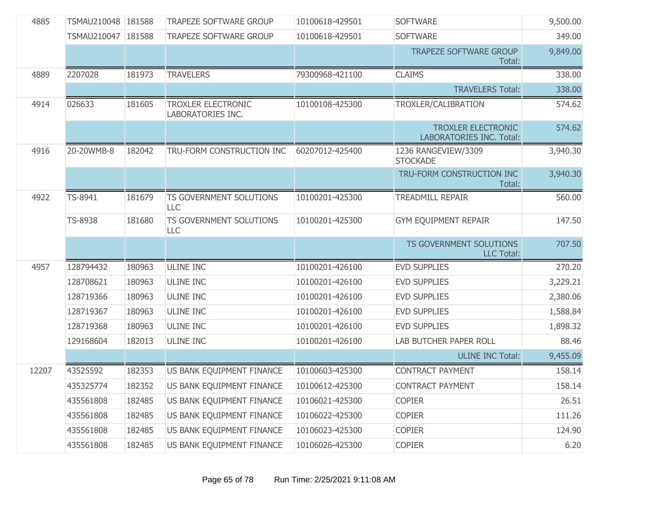| 4885  | TSMAU210048 181588   |        | TRAPEZE SOFTWARE GROUP                         | 10100618-429501 | <b>SOFTWARE</b>                                       | 9,500.00 |
|-------|----------------------|--------|------------------------------------------------|-----------------|-------------------------------------------------------|----------|
|       | TSMAU210047   181588 |        | <b>TRAPEZE SOFTWARE GROUP</b>                  | 10100618-429501 | <b>SOFTWARE</b>                                       | 349.00   |
|       |                      |        |                                                |                 | <b>TRAPEZE SOFTWARE GROUP</b><br>Total:               | 9,849.00 |
| 4889  | 2207028              | 181973 | <b>TRAVELERS</b>                               | 79300968-421100 | <b>CLAIMS</b>                                         | 338.00   |
|       |                      |        |                                                |                 | <b>TRAVELERS Total:</b>                               | 338.00   |
| 4914  | 026633               | 181605 | <b>TROXLER ELECTRONIC</b><br>LABORATORIES INC. | 10100108-425300 | TROXLER/CALIBRATION                                   | 574.62   |
|       |                      |        |                                                |                 | <b>TROXLER ELECTRONIC</b><br>LABORATORIES INC. Total: | 574.62   |
| 4916  | 20-20WMB-8           | 182042 | TRU-FORM CONSTRUCTION INC                      | 60207012-425400 | 1236 RANGEVIEW/3309<br><b>STOCKADE</b>                | 3,940.30 |
|       |                      |        |                                                |                 | TRU-FORM CONSTRUCTION INC<br>Total:                   | 3,940.30 |
| 4922  | TS-8941              | 181679 | TS GOVERNMENT SOLUTIONS<br>LLC                 | 10100201-425300 | <b>TREADMILL REPAIR</b>                               | 560.00   |
|       | TS-8938              | 181680 | TS GOVERNMENT SOLUTIONS<br>LLC                 | 10100201-425300 | <b>GYM EQUIPMENT REPAIR</b>                           | 147.50   |
|       |                      |        |                                                |                 | TS GOVERNMENT SOLUTIONS<br><b>LLC Total:</b>          | 707.50   |
| 4957  | 128794432            | 180963 | <b>ULINE INC</b>                               | 10100201-426100 | <b>EVD SUPPLIES</b>                                   | 270.20   |
|       | 128708621            | 180963 | <b>ULINE INC</b>                               | 10100201-426100 | <b>EVD SUPPLIES</b>                                   | 3,229.21 |
|       | 128719366            | 180963 | <b>ULINE INC</b>                               | 10100201-426100 | <b>EVD SUPPLIES</b>                                   | 2,380.06 |
|       | 128719367            | 180963 | <b>ULINE INC</b>                               | 10100201-426100 | <b>EVD SUPPLIES</b>                                   | 1,588.84 |
|       | 128719368            | 180963 | <b>ULINE INC</b>                               | 10100201-426100 | <b>EVD SUPPLIES</b>                                   | 1,898.32 |
|       | 129168604            | 182013 | <b>ULINE INC</b>                               | 10100201-426100 | <b>LAB BUTCHER PAPER ROLL</b>                         | 88.46    |
|       |                      |        |                                                |                 | <b>ULINE INC Total:</b>                               | 9,455.09 |
| 12207 | 43525592             | 182353 | US BANK EQUIPMENT FINANCE                      | 10100603-425300 | <b>CONTRACT PAYMENT</b>                               | 158.14   |
|       | 435325774            | 182352 | US BANK EQUIPMENT FINANCE                      | 10100612-425300 | CONTRACT PAYMENT                                      | 158.14   |
|       | 435561808            | 182485 | US BANK EQUIPMENT FINANCE                      | 10106021-425300 | <b>COPIER</b>                                         | 26.51    |
|       | 435561808            | 182485 | US BANK EQUIPMENT FINANCE                      | 10106022-425300 | <b>COPIER</b>                                         | 111.26   |
|       | 435561808            | 182485 | US BANK EQUIPMENT FINANCE                      | 10106023-425300 | <b>COPIER</b>                                         | 124.90   |
|       | 435561808            | 182485 | US BANK EQUIPMENT FINANCE                      | 10106026-425300 | <b>COPIER</b>                                         | 6.20     |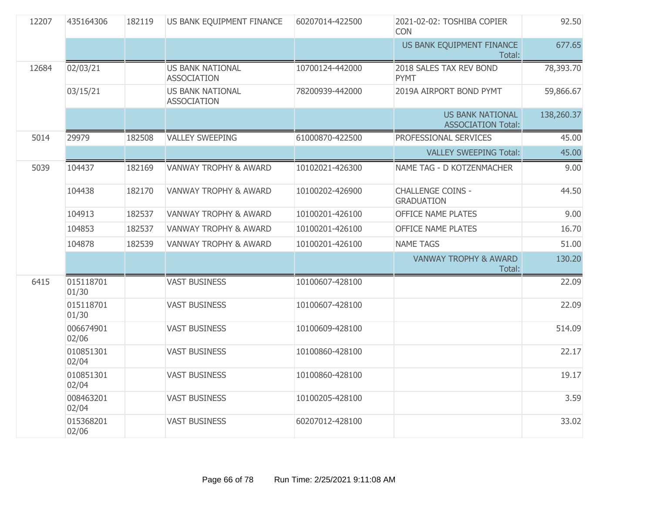| 12207 | 435164306          | 182119 | US BANK EQUIPMENT FINANCE                     | 60207014-422500 | 2021-02-02: TOSHIBA COPIER<br><b>CON</b>             | 92.50      |
|-------|--------------------|--------|-----------------------------------------------|-----------------|------------------------------------------------------|------------|
|       |                    |        |                                               |                 | US BANK EQUIPMENT FINANCE<br>Total:                  | 677.65     |
| 12684 | 02/03/21           |        | <b>US BANK NATIONAL</b><br><b>ASSOCIATION</b> | 10700124-442000 | 2018 SALES TAX REV BOND<br><b>PYMT</b>               | 78,393.70  |
|       | 03/15/21           |        | <b>US BANK NATIONAL</b><br><b>ASSOCIATION</b> | 78200939-442000 | 2019A AIRPORT BOND PYMT                              | 59,866.67  |
|       |                    |        |                                               |                 | <b>US BANK NATIONAL</b><br><b>ASSOCIATION Total:</b> | 138,260.37 |
| 5014  | 29979              | 182508 | <b>VALLEY SWEEPING</b>                        | 61000870-422500 | PROFESSIONAL SERVICES                                | 45.00      |
|       |                    |        |                                               |                 | <b>VALLEY SWEEPING Total:</b>                        | 45.00      |
| 5039  | 104437             | 182169 | VANWAY TROPHY & AWARD                         | 10102021-426300 | NAME TAG - D KOTZENMACHER                            | 9.00       |
|       | 104438             | 182170 | <b>VANWAY TROPHY &amp; AWARD</b>              | 10100202-426900 | <b>CHALLENGE COINS -</b><br><b>GRADUATION</b>        | 44.50      |
|       | 104913             | 182537 | <b>VANWAY TROPHY &amp; AWARD</b>              | 10100201-426100 | OFFICE NAME PLATES                                   | 9.00       |
|       | 104853             | 182537 | <b>VANWAY TROPHY &amp; AWARD</b>              | 10100201-426100 | OFFICE NAME PLATES                                   | 16.70      |
|       | 104878             | 182539 | <b>VANWAY TROPHY &amp; AWARD</b>              | 10100201-426100 | <b>NAME TAGS</b>                                     | 51.00      |
|       |                    |        |                                               |                 | <b>VANWAY TROPHY &amp; AWARD</b><br>Total:           | 130.20     |
| 6415  | 015118701<br>01/30 |        | <b>VAST BUSINESS</b>                          | 10100607-428100 |                                                      | 22.09      |
|       | 015118701<br>01/30 |        | <b>VAST BUSINESS</b>                          | 10100607-428100 |                                                      | 22.09      |
|       | 006674901<br>02/06 |        | <b>VAST BUSINESS</b>                          | 10100609-428100 |                                                      | 514.09     |
|       | 010851301<br>02/04 |        | <b>VAST BUSINESS</b>                          | 10100860-428100 |                                                      | 22.17      |
|       | 010851301<br>02/04 |        | <b>VAST BUSINESS</b>                          | 10100860-428100 |                                                      | 19.17      |
|       | 008463201<br>02/04 |        | <b>VAST BUSINESS</b>                          | 10100205-428100 |                                                      | 3.59       |
|       | 015368201<br>02/06 |        | <b>VAST BUSINESS</b>                          | 60207012-428100 |                                                      | 33.02      |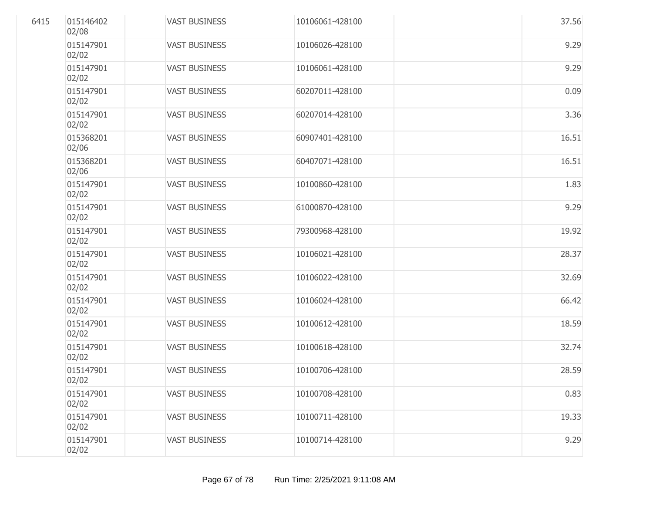| 6415 | 015146402<br>02/08 | <b>VAST BUSINESS</b> | 10106061-428100 | 37.56 |
|------|--------------------|----------------------|-----------------|-------|
|      | 015147901<br>02/02 | <b>VAST BUSINESS</b> | 10106026-428100 | 9.29  |
|      | 015147901<br>02/02 | <b>VAST BUSINESS</b> | 10106061-428100 | 9.29  |
|      | 015147901<br>02/02 | <b>VAST BUSINESS</b> | 60207011-428100 | 0.09  |
|      | 015147901<br>02/02 | <b>VAST BUSINESS</b> | 60207014-428100 | 3.36  |
|      | 015368201<br>02/06 | <b>VAST BUSINESS</b> | 60907401-428100 | 16.51 |
|      | 015368201<br>02/06 | <b>VAST BUSINESS</b> | 60407071-428100 | 16.51 |
|      | 015147901<br>02/02 | <b>VAST BUSINESS</b> | 10100860-428100 | 1.83  |
|      | 015147901<br>02/02 | <b>VAST BUSINESS</b> | 61000870-428100 | 9.29  |
|      | 015147901<br>02/02 | <b>VAST BUSINESS</b> | 79300968-428100 | 19.92 |
|      | 015147901<br>02/02 | <b>VAST BUSINESS</b> | 10106021-428100 | 28.37 |
|      | 015147901<br>02/02 | <b>VAST BUSINESS</b> | 10106022-428100 | 32.69 |
|      | 015147901<br>02/02 | <b>VAST BUSINESS</b> | 10106024-428100 | 66.42 |
|      | 015147901<br>02/02 | <b>VAST BUSINESS</b> | 10100612-428100 | 18.59 |
|      | 015147901<br>02/02 | <b>VAST BUSINESS</b> | 10100618-428100 | 32.74 |
|      | 015147901<br>02/02 | <b>VAST BUSINESS</b> | 10100706-428100 | 28.59 |
|      | 015147901<br>02/02 | <b>VAST BUSINESS</b> | 10100708-428100 | 0.83  |
|      | 015147901<br>02/02 | <b>VAST BUSINESS</b> | 10100711-428100 | 19.33 |
|      | 015147901<br>02/02 | <b>VAST BUSINESS</b> | 10100714-428100 | 9.29  |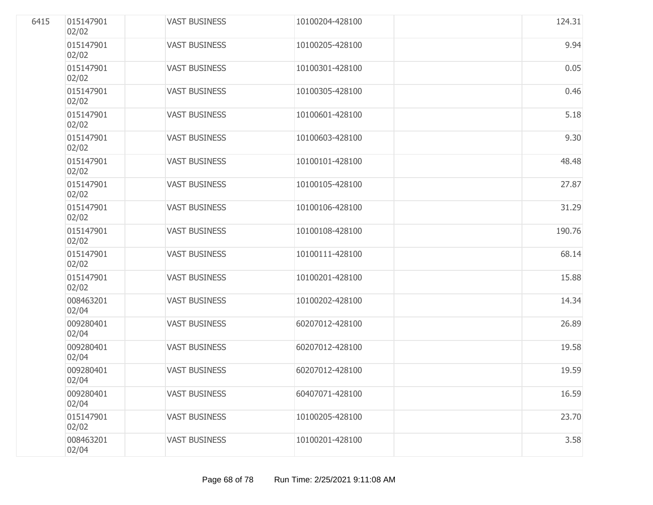| 6415 | 015147901<br>02/02 | <b>VAST BUSINESS</b> | 10100204-428100 | 124.31 |
|------|--------------------|----------------------|-----------------|--------|
|      | 015147901<br>02/02 | <b>VAST BUSINESS</b> | 10100205-428100 | 9.94   |
|      | 015147901<br>02/02 | <b>VAST BUSINESS</b> | 10100301-428100 | 0.05   |
|      | 015147901<br>02/02 | <b>VAST BUSINESS</b> | 10100305-428100 | 0.46   |
|      | 015147901<br>02/02 | <b>VAST BUSINESS</b> | 10100601-428100 | 5.18   |
|      | 015147901<br>02/02 | <b>VAST BUSINESS</b> | 10100603-428100 | 9.30   |
|      | 015147901<br>02/02 | <b>VAST BUSINESS</b> | 10100101-428100 | 48.48  |
|      | 015147901<br>02/02 | <b>VAST BUSINESS</b> | 10100105-428100 | 27.87  |
|      | 015147901<br>02/02 | <b>VAST BUSINESS</b> | 10100106-428100 | 31.29  |
|      | 015147901<br>02/02 | <b>VAST BUSINESS</b> | 10100108-428100 | 190.76 |
|      | 015147901<br>02/02 | <b>VAST BUSINESS</b> | 10100111-428100 | 68.14  |
|      | 015147901<br>02/02 | <b>VAST BUSINESS</b> | 10100201-428100 | 15.88  |
|      | 008463201<br>02/04 | <b>VAST BUSINESS</b> | 10100202-428100 | 14.34  |
|      | 009280401<br>02/04 | <b>VAST BUSINESS</b> | 60207012-428100 | 26.89  |
|      | 009280401<br>02/04 | <b>VAST BUSINESS</b> | 60207012-428100 | 19.58  |
|      | 009280401<br>02/04 | <b>VAST BUSINESS</b> | 60207012-428100 | 19.59  |
|      | 009280401<br>02/04 | <b>VAST BUSINESS</b> | 60407071-428100 | 16.59  |
|      | 015147901<br>02/02 | <b>VAST BUSINESS</b> | 10100205-428100 | 23.70  |
|      | 008463201<br>02/04 | <b>VAST BUSINESS</b> | 10100201-428100 | 3.58   |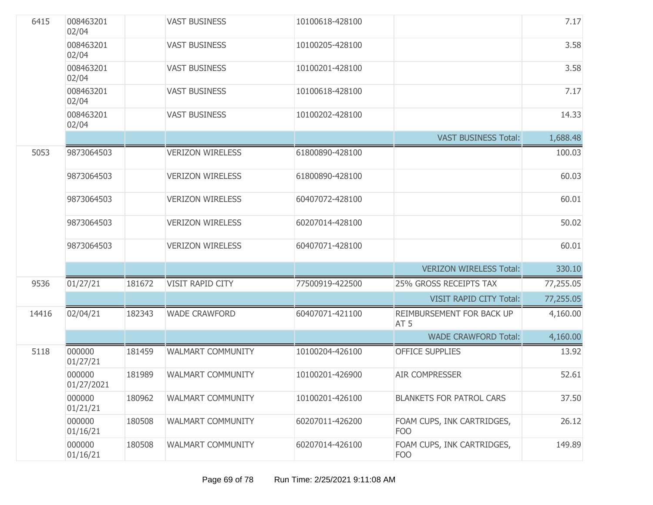| 6415  | 008463201<br>02/04   |        | <b>VAST BUSINESS</b>     | 10100618-428100 |                                              | 7.17      |
|-------|----------------------|--------|--------------------------|-----------------|----------------------------------------------|-----------|
|       | 008463201<br>02/04   |        | <b>VAST BUSINESS</b>     | 10100205-428100 |                                              | 3.58      |
|       | 008463201<br>02/04   |        | <b>VAST BUSINESS</b>     | 10100201-428100 |                                              | 3.58      |
|       | 008463201<br>02/04   |        | <b>VAST BUSINESS</b>     | 10100618-428100 |                                              | 7.17      |
|       | 008463201<br>02/04   |        | <b>VAST BUSINESS</b>     | 10100202-428100 |                                              | 14.33     |
|       |                      |        |                          |                 | <b>VAST BUSINESS Total:</b>                  | 1,688.48  |
| 5053  | 9873064503           |        | <b>VERIZON WIRELESS</b>  | 61800890-428100 |                                              | 100.03    |
|       | 9873064503           |        | <b>VERIZON WIRELESS</b>  | 61800890-428100 |                                              | 60.03     |
|       | 9873064503           |        | <b>VERIZON WIRELESS</b>  | 60407072-428100 |                                              | 60.01     |
|       | 9873064503           |        | <b>VERIZON WIRELESS</b>  | 60207014-428100 |                                              | 50.02     |
|       | 9873064503           |        | <b>VERIZON WIRELESS</b>  | 60407071-428100 |                                              | 60.01     |
|       |                      |        |                          |                 | <b>VERIZON WIRELESS Total:</b>               | 330.10    |
| 9536  | 01/27/21             | 181672 | VISIT RAPID CITY         | 77500919-422500 | <b>25% GROSS RECEIPTS TAX</b>                | 77,255.05 |
|       |                      |        |                          |                 | <b>VISIT RAPID CITY Total:</b>               | 77,255.05 |
| 14416 | 02/04/21             | 182343 | <b>WADE CRAWFORD</b>     | 60407071-421100 | REIMBURSEMENT FOR BACK UP<br>AT <sub>5</sub> | 4,160.00  |
|       |                      |        |                          |                 | <b>WADE CRAWFORD Total:</b>                  | 4,160.00  |
| 5118  | 000000<br>01/27/21   | 181459 | <b>WALMART COMMUNITY</b> | 10100204-426100 | <b>OFFICE SUPPLIES</b>                       | 13.92     |
|       | 000000<br>01/27/2021 | 181989 | <b>WALMART COMMUNITY</b> | 10100201-426900 | <b>AIR COMPRESSER</b>                        | 52.61     |
|       | 000000<br>01/21/21   | 180962 | <b>WALMART COMMUNITY</b> | 10100201-426100 | <b>BLANKETS FOR PATROL CARS</b>              | 37.50     |
|       | 000000<br>01/16/21   | 180508 | <b>WALMART COMMUNITY</b> | 60207011-426200 | FOAM CUPS, INK CARTRIDGES,<br><b>FOO</b>     | 26.12     |
|       | 000000<br>01/16/21   | 180508 | <b>WALMART COMMUNITY</b> | 60207014-426100 | FOAM CUPS, INK CARTRIDGES,<br><b>FOO</b>     | 149.89    |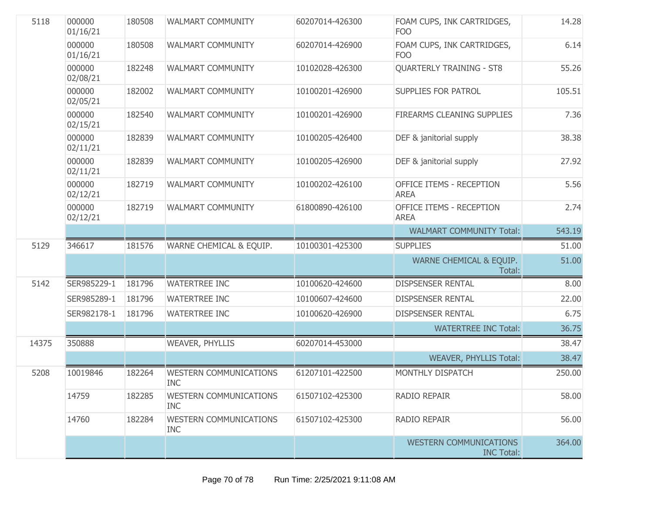| 5118  | 000000<br>01/16/21 | 180508 | <b>WALMART COMMUNITY</b>                    | 60207014-426300 | FOAM CUPS, INK CARTRIDGES,<br><b>FOO</b>           | 14.28  |
|-------|--------------------|--------|---------------------------------------------|-----------------|----------------------------------------------------|--------|
|       | 000000<br>01/16/21 | 180508 | <b>WALMART COMMUNITY</b>                    | 60207014-426900 | FOAM CUPS, INK CARTRIDGES,<br><b>FOO</b>           | 6.14   |
|       | 000000<br>02/08/21 | 182248 | <b>WALMART COMMUNITY</b>                    | 10102028-426300 | <b>QUARTERLY TRAINING - ST8</b>                    | 55.26  |
|       | 000000<br>02/05/21 | 182002 | <b>WALMART COMMUNITY</b>                    | 10100201-426900 | SUPPLIES FOR PATROL                                | 105.51 |
|       | 000000<br>02/15/21 | 182540 | <b>WALMART COMMUNITY</b>                    | 10100201-426900 | <b>FIREARMS CLEANING SUPPLIES</b>                  | 7.36   |
|       | 000000<br>02/11/21 | 182839 | <b>WALMART COMMUNITY</b>                    | 10100205-426400 | DEF & janitorial supply                            | 38.38  |
|       | 000000<br>02/11/21 | 182839 | <b>WALMART COMMUNITY</b>                    | 10100205-426900 | DEF & janitorial supply                            | 27.92  |
|       | 000000<br>02/12/21 | 182719 | <b>WALMART COMMUNITY</b>                    | 10100202-426100 | OFFICE ITEMS - RECEPTION<br><b>AREA</b>            | 5.56   |
|       | 000000<br>02/12/21 | 182719 | <b>WALMART COMMUNITY</b>                    | 61800890-426100 | OFFICE ITEMS - RECEPTION<br><b>AREA</b>            | 2.74   |
|       |                    |        |                                             |                 | <b>WALMART COMMUNITY Total:</b>                    | 543.19 |
| 5129  | 346617             | 181576 | WARNE CHEMICAL & EQUIP.                     | 10100301-425300 | <b>SUPPLIES</b>                                    | 51.00  |
|       |                    |        |                                             |                 | WARNE CHEMICAL & EQUIP.<br>Total:                  | 51.00  |
| 5142  | SER985229-1        | 181796 | <b>WATERTREE INC</b>                        | 10100620-424600 | <b>DISPSENSER RENTAL</b>                           | 8.00   |
|       | SER985289-1        | 181796 | <b>WATERTREE INC</b>                        | 10100607-424600 | <b>DISPSENSER RENTAL</b>                           | 22.00  |
|       | SER982178-1        | 181796 | <b>WATERTREE INC</b>                        | 10100620-426900 | <b>DISPSENSER RENTAL</b>                           | 6.75   |
|       |                    |        |                                             |                 | <b>WATERTREE INC Total:</b>                        | 36.75  |
| 14375 | 350888             |        | <b>WEAVER, PHYLLIS</b>                      | 60207014-453000 |                                                    | 38.47  |
|       |                    |        |                                             |                 | <b>WEAVER, PHYLLIS Total:</b>                      | 38.47  |
| 5208  | 10019846           | 182264 | <b>WESTERN COMMUNICATIONS</b><br><b>INC</b> | 61207101-422500 | MONTHLY DISPATCH                                   | 250.00 |
|       | 14759              | 182285 | <b>WESTERN COMMUNICATIONS</b><br><b>INC</b> | 61507102-425300 | <b>RADIO REPAIR</b>                                | 58.00  |
|       | 14760              | 182284 | <b>WESTERN COMMUNICATIONS</b><br><b>INC</b> | 61507102-425300 | <b>RADIO REPAIR</b>                                | 56.00  |
|       |                    |        |                                             |                 | <b>WESTERN COMMUNICATIONS</b><br><b>INC Total:</b> | 364.00 |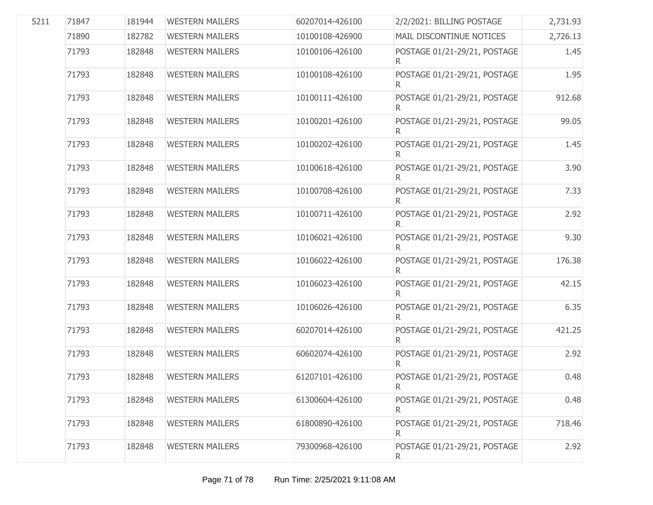| 71847 | 181944 | <b>WESTERN MAILERS</b> | 60207014-426100 | 2/2/2021: BILLING POSTAGE          | 2,731.93 |
|-------|--------|------------------------|-----------------|------------------------------------|----------|
| 71890 | 182782 | <b>WESTERN MAILERS</b> | 10100108-426900 | MAIL DISCONTINUE NOTICES           | 2,726.13 |
| 71793 | 182848 | <b>WESTERN MAILERS</b> | 10100106-426100 | POSTAGE 01/21-29/21, POSTAGE<br>R  | 1.45     |
| 71793 | 182848 | <b>WESTERN MAILERS</b> | 10100108-426100 | POSTAGE 01/21-29/21, POSTAGE<br>R  | 1.95     |
| 71793 | 182848 | <b>WESTERN MAILERS</b> | 10100111-426100 | POSTAGE 01/21-29/21, POSTAGE<br>R  | 912.68   |
| 71793 | 182848 | <b>WESTERN MAILERS</b> | 10100201-426100 | POSTAGE 01/21-29/21, POSTAGE<br>R  | 99.05    |
| 71793 | 182848 | <b>WESTERN MAILERS</b> | 10100202-426100 | POSTAGE 01/21-29/21, POSTAGE<br>R  | 1.45     |
| 71793 | 182848 | <b>WESTERN MAILERS</b> | 10100618-426100 | POSTAGE 01/21-29/21, POSTAGE<br>R. | 3.90     |
| 71793 | 182848 | <b>WESTERN MAILERS</b> | 10100708-426100 | POSTAGE 01/21-29/21, POSTAGE<br>R  | 7.33     |
| 71793 | 182848 | <b>WESTERN MAILERS</b> | 10100711-426100 | POSTAGE 01/21-29/21, POSTAGE<br>R. | 2.92     |
| 71793 | 182848 | <b>WESTERN MAILERS</b> | 10106021-426100 | POSTAGE 01/21-29/21, POSTAGE<br>R  | 9.30     |
| 71793 | 182848 | <b>WESTERN MAILERS</b> | 10106022-426100 | POSTAGE 01/21-29/21, POSTAGE<br>R. | 176.38   |
| 71793 | 182848 | <b>WESTERN MAILERS</b> | 10106023-426100 | POSTAGE 01/21-29/21, POSTAGE<br>R. | 42.15    |
| 71793 | 182848 | <b>WESTERN MAILERS</b> | 10106026-426100 | POSTAGE 01/21-29/21, POSTAGE<br>R  | 6.35     |
| 71793 | 182848 | <b>WESTERN MAILERS</b> | 60207014-426100 | POSTAGE 01/21-29/21, POSTAGE<br>R. | 421.25   |
| 71793 | 182848 | <b>WESTERN MAILERS</b> | 60602074-426100 | POSTAGE 01/21-29/21, POSTAGE<br>R  | 2.92     |
| 71793 | 182848 | <b>WESTERN MAILERS</b> | 61207101-426100 | POSTAGE 01/21-29/21, POSTAGE<br>к  | 0.48     |
| 71793 | 182848 | <b>WESTERN MAILERS</b> | 61300604-426100 | POSTAGE 01/21-29/21, POSTAGE<br>R  | 0.48     |
| 71793 | 182848 | <b>WESTERN MAILERS</b> | 61800890-426100 | POSTAGE 01/21-29/21, POSTAGE<br>R  | 718.46   |
| 71793 | 182848 | <b>WESTERN MAILERS</b> | 79300968-426100 | POSTAGE 01/21-29/21, POSTAGE<br>R  | 2.92     |
|       |        |                        |                 |                                    |          |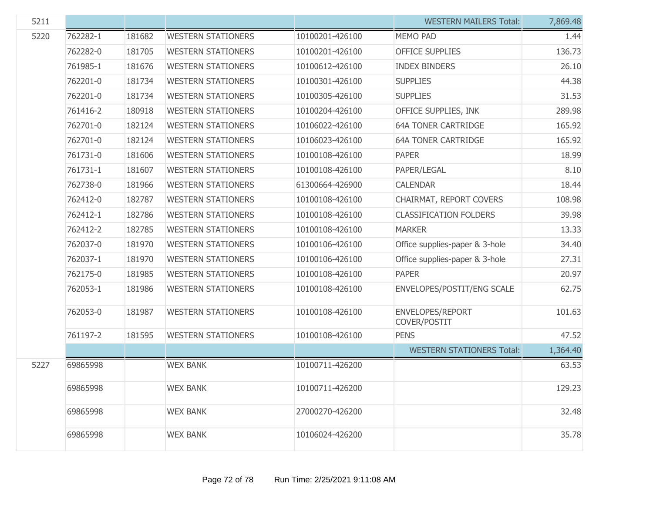| 5211 |          |        |                           |                 | <b>WESTERN MAILERS Total:</b>           | 7,869.48 |
|------|----------|--------|---------------------------|-----------------|-----------------------------------------|----------|
| 5220 | 762282-1 | 181682 | <b>WESTERN STATIONERS</b> | 10100201-426100 | <b>MEMO PAD</b>                         | 1.44     |
|      | 762282-0 | 181705 | <b>WESTERN STATIONERS</b> | 10100201-426100 | <b>OFFICE SUPPLIES</b>                  | 136.73   |
|      | 761985-1 | 181676 | <b>WESTERN STATIONERS</b> | 10100612-426100 | <b>INDEX BINDERS</b>                    | 26.10    |
|      | 762201-0 | 181734 | <b>WESTERN STATIONERS</b> | 10100301-426100 | <b>SUPPLIES</b>                         | 44.38    |
|      | 762201-0 | 181734 | <b>WESTERN STATIONERS</b> | 10100305-426100 | <b>SUPPLIES</b>                         | 31.53    |
|      | 761416-2 | 180918 | <b>WESTERN STATIONERS</b> | 10100204-426100 | OFFICE SUPPLIES, INK                    | 289.98   |
|      | 762701-0 | 182124 | <b>WESTERN STATIONERS</b> | 10106022-426100 | <b>64A TONER CARTRIDGE</b>              | 165.92   |
|      | 762701-0 | 182124 | <b>WESTERN STATIONERS</b> | 10106023-426100 | <b>64A TONER CARTRIDGE</b>              | 165.92   |
|      | 761731-0 | 181606 | <b>WESTERN STATIONERS</b> | 10100108-426100 | <b>PAPER</b>                            | 18.99    |
|      | 761731-1 | 181607 | <b>WESTERN STATIONERS</b> | 10100108-426100 | PAPER/LEGAL                             | 8.10     |
|      | 762738-0 | 181966 | <b>WESTERN STATIONERS</b> | 61300664-426900 | <b>CALENDAR</b>                         | 18.44    |
|      | 762412-0 | 182787 | <b>WESTERN STATIONERS</b> | 10100108-426100 | CHAIRMAT, REPORT COVERS                 | 108.98   |
|      | 762412-1 | 182786 | <b>WESTERN STATIONERS</b> | 10100108-426100 | <b>CLASSIFICATION FOLDERS</b>           | 39.98    |
|      | 762412-2 | 182785 | <b>WESTERN STATIONERS</b> | 10100108-426100 | <b>MARKER</b>                           | 13.33    |
|      | 762037-0 | 181970 | <b>WESTERN STATIONERS</b> | 10100106-426100 | Office supplies-paper & 3-hole          | 34.40    |
|      | 762037-1 | 181970 | <b>WESTERN STATIONERS</b> | 10100106-426100 | Office supplies-paper & 3-hole          | 27.31    |
|      | 762175-0 | 181985 | <b>WESTERN STATIONERS</b> | 10100108-426100 | <b>PAPER</b>                            | 20.97    |
|      | 762053-1 | 181986 | <b>WESTERN STATIONERS</b> | 10100108-426100 | ENVELOPES/POSTIT/ENG SCALE              | 62.75    |
|      | 762053-0 | 181987 | <b>WESTERN STATIONERS</b> | 10100108-426100 | <b>ENVELOPES/REPORT</b><br>COVER/POSTIT | 101.63   |
|      | 761197-2 | 181595 | <b>WESTERN STATIONERS</b> | 10100108-426100 | <b>PENS</b>                             | 47.52    |
|      |          |        |                           |                 | <b>WESTERN STATIONERS Total:</b>        | 1,364.40 |
| 5227 | 69865998 |        | <b>WEX BANK</b>           | 10100711-426200 |                                         | 63.53    |
|      | 69865998 |        | <b>WEX BANK</b>           | 10100711-426200 |                                         | 129.23   |
|      | 69865998 |        | <b>WEX BANK</b>           | 27000270-426200 |                                         | 32.48    |
|      | 69865998 |        | <b>WEX BANK</b>           | 10106024-426200 |                                         | 35.78    |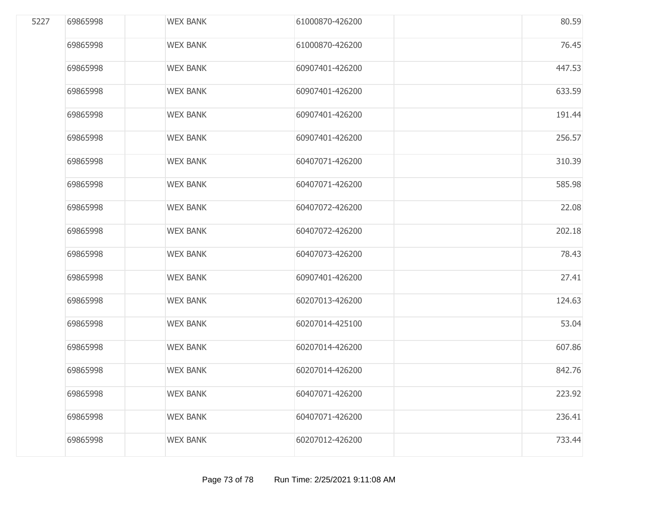| 5227 | 69865998 | <b>WEX BANK</b> | 61000870-426200 | 80.59  |
|------|----------|-----------------|-----------------|--------|
|      | 69865998 | <b>WEX BANK</b> | 61000870-426200 | 76.45  |
|      | 69865998 | <b>WEX BANK</b> | 60907401-426200 | 447.53 |
|      | 69865998 | <b>WEX BANK</b> | 60907401-426200 | 633.59 |
|      | 69865998 | <b>WEX BANK</b> | 60907401-426200 | 191.44 |
|      | 69865998 | <b>WEX BANK</b> | 60907401-426200 | 256.57 |
|      | 69865998 | <b>WEX BANK</b> | 60407071-426200 | 310.39 |
|      | 69865998 | <b>WEX BANK</b> | 60407071-426200 | 585.98 |
|      | 69865998 | <b>WEX BANK</b> | 60407072-426200 | 22.08  |
|      | 69865998 | <b>WEX BANK</b> | 60407072-426200 | 202.18 |
|      | 69865998 | <b>WEX BANK</b> | 60407073-426200 | 78.43  |
|      | 69865998 | <b>WEX BANK</b> | 60907401-426200 | 27.41  |
|      | 69865998 | <b>WEX BANK</b> | 60207013-426200 | 124.63 |
|      | 69865998 | <b>WEX BANK</b> | 60207014-425100 | 53.04  |
|      | 69865998 | <b>WEX BANK</b> | 60207014-426200 | 607.86 |
|      | 69865998 | <b>WEX BANK</b> | 60207014-426200 | 842.76 |
|      | 69865998 | <b>WEX BANK</b> | 60407071-426200 | 223.92 |
|      | 69865998 | <b>WEX BANK</b> | 60407071-426200 | 236.41 |
|      | 69865998 | <b>WEX BANK</b> | 60207012-426200 | 733.44 |
|      |          |                 |                 |        |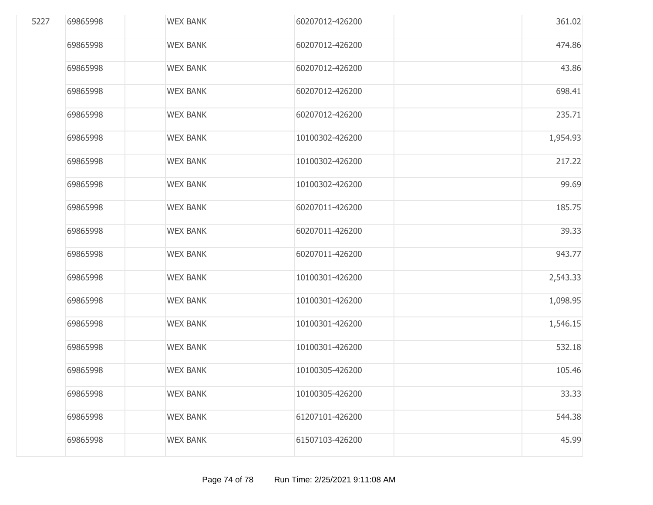| 5227 | 69865998 | <b>WEX BANK</b> | 60207012-426200 | 361.02   |
|------|----------|-----------------|-----------------|----------|
|      | 69865998 | <b>WEX BANK</b> | 60207012-426200 | 474.86   |
|      | 69865998 | <b>WEX BANK</b> | 60207012-426200 | 43.86    |
|      | 69865998 | <b>WEX BANK</b> | 60207012-426200 | 698.41   |
|      | 69865998 | <b>WEX BANK</b> | 60207012-426200 | 235.71   |
|      | 69865998 | <b>WEX BANK</b> | 10100302-426200 | 1,954.93 |
|      | 69865998 | <b>WEX BANK</b> | 10100302-426200 | 217.22   |
|      | 69865998 | <b>WEX BANK</b> | 10100302-426200 | 99.69    |
|      | 69865998 | <b>WEX BANK</b> | 60207011-426200 | 185.75   |
|      | 69865998 | <b>WEX BANK</b> | 60207011-426200 | 39.33    |
|      | 69865998 | <b>WEX BANK</b> | 60207011-426200 | 943.77   |
|      | 69865998 | <b>WEX BANK</b> | 10100301-426200 | 2,543.33 |
|      | 69865998 | <b>WEX BANK</b> | 10100301-426200 | 1,098.95 |
|      | 69865998 | <b>WEX BANK</b> | 10100301-426200 | 1,546.15 |
|      | 69865998 | <b>WEX BANK</b> | 10100301-426200 | 532.18   |
|      | 69865998 | <b>WEX BANK</b> | 10100305-426200 | 105.46   |
|      | 69865998 | <b>WEX BANK</b> | 10100305-426200 | 33.33    |
|      | 69865998 | <b>WEX BANK</b> | 61207101-426200 | 544.38   |
|      | 69865998 | <b>WEX BANK</b> | 61507103-426200 | 45.99    |
|      |          |                 |                 |          |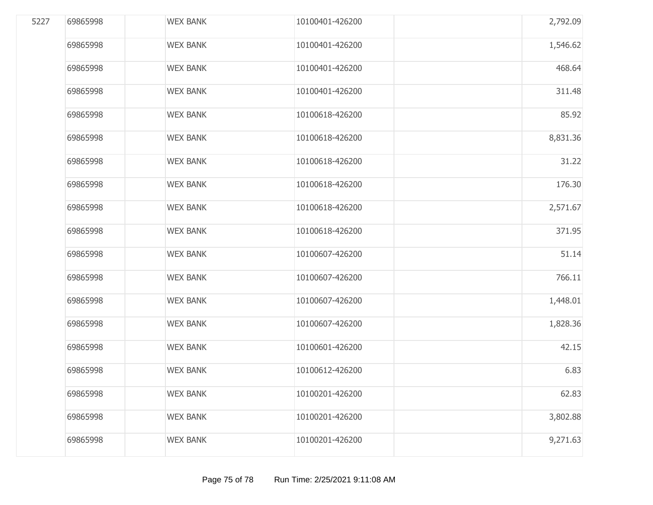| 5227 | 69865998 | <b>WEX BANK</b> | 10100401-426200 | 2,792.09 |
|------|----------|-----------------|-----------------|----------|
|      | 69865998 | <b>WEX BANK</b> | 10100401-426200 | 1,546.62 |
|      | 69865998 | <b>WEX BANK</b> | 10100401-426200 | 468.64   |
|      | 69865998 | <b>WEX BANK</b> | 10100401-426200 | 311.48   |
|      | 69865998 | <b>WEX BANK</b> | 10100618-426200 | 85.92    |
|      | 69865998 | <b>WEX BANK</b> | 10100618-426200 | 8,831.36 |
|      | 69865998 | <b>WEX BANK</b> | 10100618-426200 | 31.22    |
|      | 69865998 | <b>WEX BANK</b> | 10100618-426200 | 176.30   |
|      | 69865998 | <b>WEX BANK</b> | 10100618-426200 | 2,571.67 |
|      | 69865998 | <b>WEX BANK</b> | 10100618-426200 | 371.95   |
|      | 69865998 | <b>WEX BANK</b> | 10100607-426200 | 51.14    |
|      | 69865998 | <b>WEX BANK</b> | 10100607-426200 | 766.11   |
|      | 69865998 | <b>WEX BANK</b> | 10100607-426200 | 1,448.01 |
|      | 69865998 | <b>WEX BANK</b> | 10100607-426200 | 1,828.36 |
|      | 69865998 | <b>WEX BANK</b> | 10100601-426200 | 42.15    |
|      | 69865998 | <b>WEX BANK</b> | 10100612-426200 | 6.83     |
|      | 69865998 | <b>WEX BANK</b> | 10100201-426200 | 62.83    |
|      | 69865998 | <b>WEX BANK</b> | 10100201-426200 | 3,802.88 |
|      | 69865998 | <b>WEX BANK</b> | 10100201-426200 | 9,271.63 |
|      |          |                 |                 |          |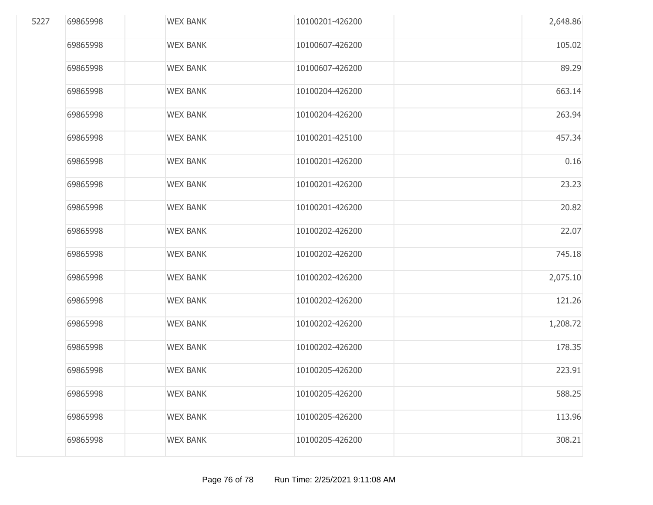| 5227 | 69865998 | <b>WEX BANK</b> | 10100201-426200 | 2,648.86 |
|------|----------|-----------------|-----------------|----------|
|      | 69865998 | <b>WEX BANK</b> | 10100607-426200 | 105.02   |
|      | 69865998 | <b>WEX BANK</b> | 10100607-426200 | 89.29    |
|      | 69865998 | <b>WEX BANK</b> | 10100204-426200 | 663.14   |
|      | 69865998 | <b>WEX BANK</b> | 10100204-426200 | 263.94   |
|      | 69865998 | <b>WEX BANK</b> | 10100201-425100 | 457.34   |
|      | 69865998 | <b>WEX BANK</b> | 10100201-426200 | 0.16     |
|      | 69865998 | <b>WEX BANK</b> | 10100201-426200 | 23.23    |
|      | 69865998 | <b>WEX BANK</b> | 10100201-426200 | 20.82    |
|      | 69865998 | <b>WEX BANK</b> | 10100202-426200 | 22.07    |
|      | 69865998 | <b>WEX BANK</b> | 10100202-426200 | 745.18   |
|      | 69865998 | <b>WEX BANK</b> | 10100202-426200 | 2,075.10 |
|      | 69865998 | <b>WEX BANK</b> | 10100202-426200 | 121.26   |
|      | 69865998 | <b>WEX BANK</b> | 10100202-426200 | 1,208.72 |
|      | 69865998 | <b>WEX BANK</b> | 10100202-426200 | 178.35   |
|      | 69865998 | <b>WEX BANK</b> | 10100205-426200 | 223.91   |
|      | 69865998 | <b>WEX BANK</b> | 10100205-426200 | 588.25   |
|      | 69865998 | <b>WEX BANK</b> | 10100205-426200 | 113.96   |
|      | 69865998 | <b>WEX BANK</b> | 10100205-426200 | 308.21   |
|      |          |                 |                 |          |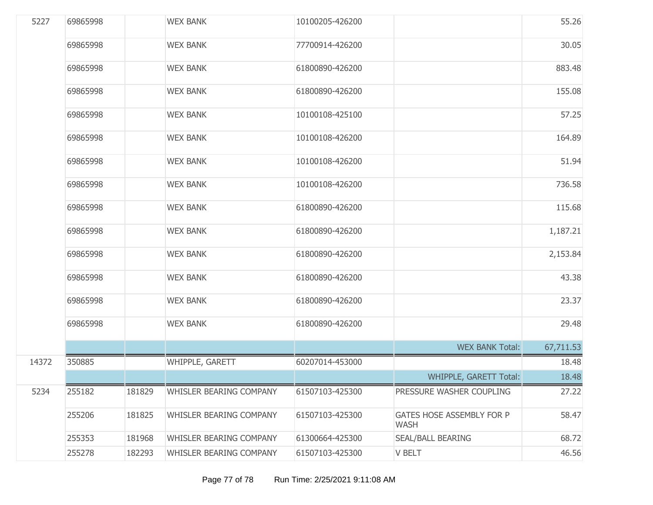| 5227  | 69865998 |        | <b>WEX BANK</b>         | 10100205-426200 |                                          | 55.26     |
|-------|----------|--------|-------------------------|-----------------|------------------------------------------|-----------|
|       | 69865998 |        | <b>WEX BANK</b>         | 77700914-426200 |                                          | 30.05     |
|       | 69865998 |        | <b>WEX BANK</b>         | 61800890-426200 |                                          | 883.48    |
|       | 69865998 |        | <b>WEX BANK</b>         | 61800890-426200 |                                          | 155.08    |
|       | 69865998 |        | <b>WEX BANK</b>         | 10100108-425100 |                                          | 57.25     |
|       | 69865998 |        | <b>WEX BANK</b>         | 10100108-426200 |                                          | 164.89    |
|       | 69865998 |        | <b>WEX BANK</b>         | 10100108-426200 |                                          | 51.94     |
|       | 69865998 |        | <b>WEX BANK</b>         | 10100108-426200 |                                          | 736.58    |
|       | 69865998 |        | <b>WEX BANK</b>         | 61800890-426200 |                                          | 115.68    |
|       | 69865998 |        | <b>WEX BANK</b>         | 61800890-426200 |                                          | 1,187.21  |
|       | 69865998 |        | <b>WEX BANK</b>         | 61800890-426200 |                                          | 2,153.84  |
|       | 69865998 |        | <b>WEX BANK</b>         | 61800890-426200 |                                          | 43.38     |
|       | 69865998 |        | <b>WEX BANK</b>         | 61800890-426200 |                                          | 23.37     |
|       | 69865998 |        | <b>WEX BANK</b>         | 61800890-426200 |                                          | 29.48     |
|       |          |        |                         |                 | <b>WEX BANK Total:</b>                   | 67,711.53 |
| 14372 | 350885   |        | WHIPPLE, GARETT         | 60207014-453000 |                                          | 18.48     |
|       |          |        |                         |                 | WHIPPLE, GARETT Total:                   | 18.48     |
| 5234  | 255182   | 181829 | WHISLER BEARING COMPANY | 61507103-425300 | PRESSURE WASHER COUPLING                 | 27.22     |
|       | 255206   | 181825 | WHISLER BEARING COMPANY | 61507103-425300 | <b>GATES HOSE ASSEMBLY FOR P</b><br>WASH | 58.47     |
|       | 255353   | 181968 | WHISLER BEARING COMPANY | 61300664-425300 | <b>SEAL/BALL BEARING</b>                 | 68.72     |
|       | 255278   | 182293 | WHISLER BEARING COMPANY | 61507103-425300 | V BELT                                   | 46.56     |